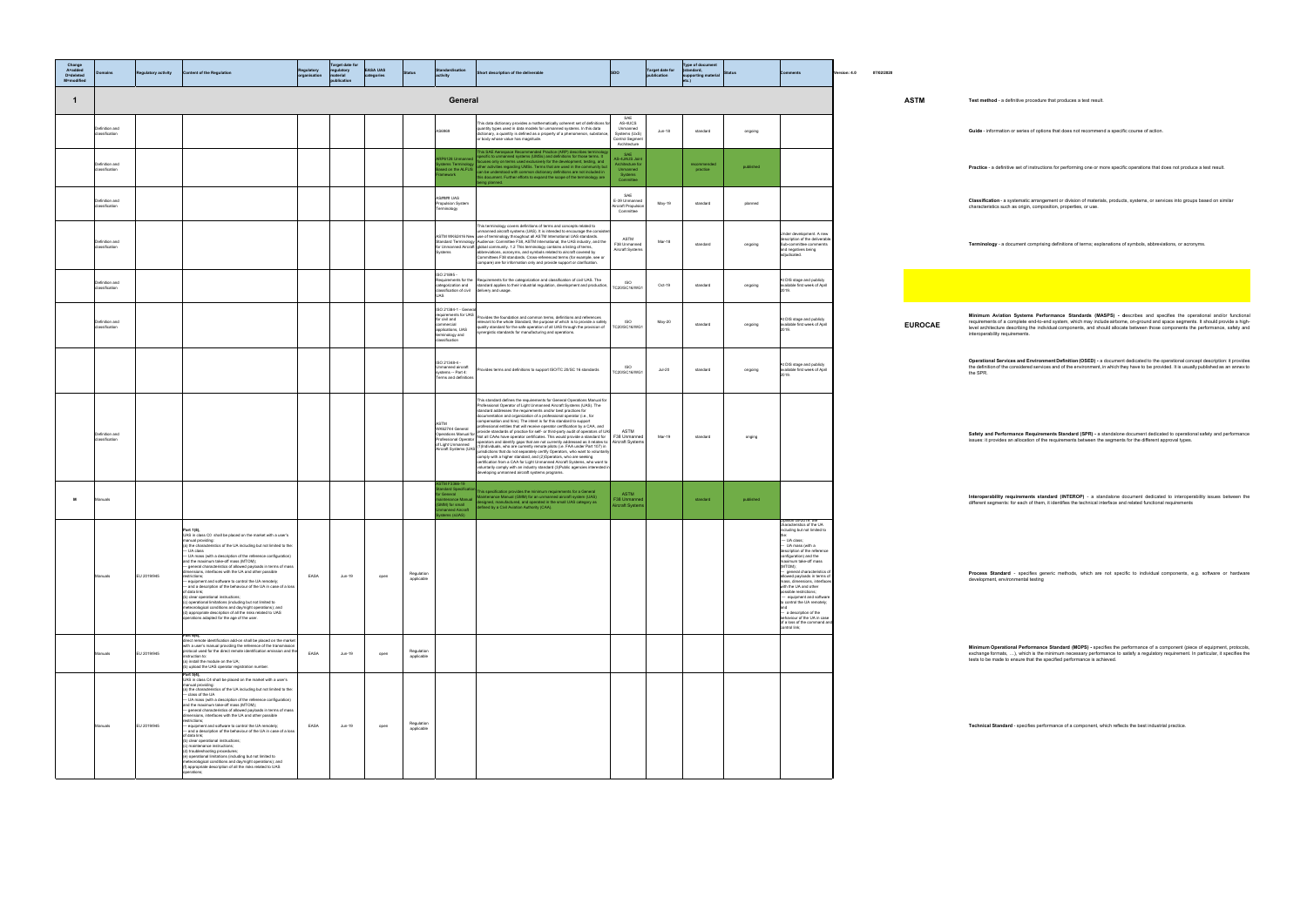practice published **Practice** - a definitive set of instructions for performing one or more specific operations that does not produce a test result.

**ification** - a systematic arrangement or division of materials, products, systems, or services into groups based on similar<br>cteristics such as origin, composition, properties, or use.

**Terminology** - a document comprising definitions of terms; explanations of symbols, abbreviations, or acronyms.

**Minimum Aviation Systems Performance Standards (MASPS) - de**scribes and specifies the operational and/or functiona<br>requirements of a complete end-to-end system, which may include airborne, on-ground and space segments. It

**ational Services and Environment Definition (OSED) -** a document dedicated to the operational concept description: it provides<br>finition of the considered services and of the environment, in which they have to be provided.

**y and Performance Requirements Standard (SPR) -** a standalone document dedicated to operational safety and performance<br>s∷it provides an allocation of the requirements between the segments for the different approval types.

**pperability requirements standard (INTEROP)** - a standalone document dedicated to interoperability issues between the<br>Int segments: for each of them, it identifies the technical interface and related functional requiremen

**Process Standard** - specifies generic methods, which are not specific to individual components, e.g. software or hardware<br>development, environmental testing

**num Operational Performance Standard (MOPS)** - specifies the performance of a component (piece of equipment, protocols,<br>nge formats, ….), which is the minimum necessary performance to satisfy a regulatory requirement. In

nical Standard - specifies performance of a component, which reflects the best industrial practice.

| Change<br>A=added<br>D=deleted<br>M=modified | omains                           | <b>Regulatory activity</b> | <b>Content of the Regulation</b>                                                                                                                                                                                                                                                                                                                                                                                                                                                                                                                                                                                                                                                                                                                                                                                                                                                                                | Regulatory<br>organisation | <b>Target date for</b><br>regulatory<br>material<br>publication | <b>EASA UAS</b><br>categories | <b>Status</b>            | ndardisation<br>ctivity                                                                                                       | Short description of the deliverable                                                                                                                                                                                                                                                                                                                                                                                                                                                                                                                                                                                                                                                                                                                                                                                                                                                                                                                                                                                                                                                                   | <b>SDO</b>                                                                          | <b>Target date for</b><br>publication | <b>Type of document</b><br>(standard,<br>supporting material<br>etc.) | Status    |                                                                                                                                                                                                                                                                                                                                                                                                                                                                                                                                       | Version: 4.0 | 07/02/2020 |                |                                                                                                                                                                                                                           |
|----------------------------------------------|----------------------------------|----------------------------|-----------------------------------------------------------------------------------------------------------------------------------------------------------------------------------------------------------------------------------------------------------------------------------------------------------------------------------------------------------------------------------------------------------------------------------------------------------------------------------------------------------------------------------------------------------------------------------------------------------------------------------------------------------------------------------------------------------------------------------------------------------------------------------------------------------------------------------------------------------------------------------------------------------------|----------------------------|-----------------------------------------------------------------|-------------------------------|--------------------------|-------------------------------------------------------------------------------------------------------------------------------|--------------------------------------------------------------------------------------------------------------------------------------------------------------------------------------------------------------------------------------------------------------------------------------------------------------------------------------------------------------------------------------------------------------------------------------------------------------------------------------------------------------------------------------------------------------------------------------------------------------------------------------------------------------------------------------------------------------------------------------------------------------------------------------------------------------------------------------------------------------------------------------------------------------------------------------------------------------------------------------------------------------------------------------------------------------------------------------------------------|-------------------------------------------------------------------------------------|---------------------------------------|-----------------------------------------------------------------------|-----------|---------------------------------------------------------------------------------------------------------------------------------------------------------------------------------------------------------------------------------------------------------------------------------------------------------------------------------------------------------------------------------------------------------------------------------------------------------------------------------------------------------------------------------------|--------------|------------|----------------|---------------------------------------------------------------------------------------------------------------------------------------------------------------------------------------------------------------------------|
| $\mathbf{1}$                                 |                                  |                            |                                                                                                                                                                                                                                                                                                                                                                                                                                                                                                                                                                                                                                                                                                                                                                                                                                                                                                                 |                            |                                                                 |                               |                          | General                                                                                                                       |                                                                                                                                                                                                                                                                                                                                                                                                                                                                                                                                                                                                                                                                                                                                                                                                                                                                                                                                                                                                                                                                                                        |                                                                                     |                                       |                                                                       |           |                                                                                                                                                                                                                                                                                                                                                                                                                                                                                                                                       |              |            | <b>ASTM</b>    | Test method - a definitive procedure that produces a test result                                                                                                                                                          |
|                                              | Definition and<br>classification |                            |                                                                                                                                                                                                                                                                                                                                                                                                                                                                                                                                                                                                                                                                                                                                                                                                                                                                                                                 |                            |                                                                 |                               |                          | AS6969                                                                                                                        | This data dictionary provides a mathematically coherent set of definitions f<br>quantity types used in data models for unmanned systems. In this data<br>dictionary, a quantity is defined as a property of a phenomenon, substance,<br>or body whose value has magnitude.                                                                                                                                                                                                                                                                                                                                                                                                                                                                                                                                                                                                                                                                                                                                                                                                                             | SAE<br>AS-4UCS<br>Unmanned<br>Systems (UxS)<br>Control Segment<br>Architecture      | <b>Jun-18</b>                         | standard                                                              | ongoing   |                                                                                                                                                                                                                                                                                                                                                                                                                                                                                                                                       |              |            |                | Guide - information or series of options that does not recommer                                                                                                                                                           |
|                                              | Definition and<br>classification |                            |                                                                                                                                                                                                                                                                                                                                                                                                                                                                                                                                                                                                                                                                                                                                                                                                                                                                                                                 |                            |                                                                 |                               |                          | P6128 Unmanne                                                                                                                 | This SAE Aerospace Recommended Practice (ARP) describes terminolog<br>specific to unmanned systems (UMSs) and definitions for those terms. It<br>focuses only on terms used exclusively for the development, testing, and<br>stems Terminology<br>seed on the ALFUS can be understood with common dictionary definitions are not included in<br>smoothed can be understood with common dictionary definitions are not included in<br>this document. Further efforts to expand the scope of the terminology are<br>being planned.                                                                                                                                                                                                                                                                                                                                                                                                                                                                                                                                                                       | <b>SAF</b><br>AS-4JAUS Join<br>Architecture for<br>Unmanned<br>Systems<br>Committee |                                       | recommende<br>practice                                                | published |                                                                                                                                                                                                                                                                                                                                                                                                                                                                                                                                       |              |            |                | Practice - a definitive set of instructions for performing one or m                                                                                                                                                       |
|                                              | Definition and<br>classification |                            |                                                                                                                                                                                                                                                                                                                                                                                                                                                                                                                                                                                                                                                                                                                                                                                                                                                                                                                 |                            |                                                                 |                               |                          | AS#### UAS<br>Propulsion System<br>erminology                                                                                 |                                                                                                                                                                                                                                                                                                                                                                                                                                                                                                                                                                                                                                                                                                                                                                                                                                                                                                                                                                                                                                                                                                        | SAE<br>E-39 Unmanned<br>Aircraft Propulsic<br>Committee                             | May-19                                | standard                                                              | planned   |                                                                                                                                                                                                                                                                                                                                                                                                                                                                                                                                       |              |            |                | Classification - a systematic arrangement or division of materia<br>characteristics such as origin, composition, properties, or use.                                                                                      |
|                                              | Definition and<br>classification |                            |                                                                                                                                                                                                                                                                                                                                                                                                                                                                                                                                                                                                                                                                                                                                                                                                                                                                                                                 |                            |                                                                 |                               |                          | ystems                                                                                                                        | This terminology covers definitions of terms and concepts related to<br>nmanned aircraft systems (UAS). It is intended to encourage the consist<br>ASTM WK62416 New use of terminology throughout all ASTM International UAS standards.<br>Itandard Terminology Audience: Committee F38, ASTM International, the UAS industry, and the<br>or Unmanned Aircraft global community. 1.2 This terminology contains a listing of terms,<br>abbreviations, acronyms, and symbols related to aircraft covered by<br>Committees F38 standards. Cross-referenced terms (for example, see or<br>compare) are for information only and provide support or clarification.                                                                                                                                                                                                                                                                                                                                                                                                                                          | ASTM<br>F38 Unmanned<br>Aircraft Systems                                            | Mar-18                                | standard                                                              | ongoing   | Under development. A new<br>description of the deliverable<br>Sub-committee commernts<br>and negatives being<br>adjudicated.                                                                                                                                                                                                                                                                                                                                                                                                          |              |            |                | Terminology - a document comprising definitions of terms; exp                                                                                                                                                             |
|                                              | Definition and<br>classification |                            |                                                                                                                                                                                                                                                                                                                                                                                                                                                                                                                                                                                                                                                                                                                                                                                                                                                                                                                 |                            |                                                                 |                               |                          | SO 21895 -<br>lassification of civil<br>UAS                                                                                   | Requirements for the Requirements for the categorization and classification of civil UAS. The<br>categorization and standard applies to their industrial regulation, development and production,<br>delivery and usage.                                                                                                                                                                                                                                                                                                                                                                                                                                                                                                                                                                                                                                                                                                                                                                                                                                                                                | <b>ISO</b><br>TC20/SC16/WG1                                                         | Oct-19                                | standard                                                              | ongoing   | At DIS stage and publicly<br>available first week of April<br>2019.                                                                                                                                                                                                                                                                                                                                                                                                                                                                   |              |            |                |                                                                                                                                                                                                                           |
|                                              | Definition and<br>classification |                            |                                                                                                                                                                                                                                                                                                                                                                                                                                                                                                                                                                                                                                                                                                                                                                                                                                                                                                                 |                            |                                                                 |                               |                          | ISO 21384-1 - Gener<br>equirements for UAS<br>for civil and<br>ommercial<br>applications, UAS<br>minology and<br>assification | Provides the foundation and common terms, definitions and references<br>relevant to the whole Standard, the purpose of which is to provide a safety<br>quality standard for the safe operation of all UAS through the provision of<br>nergistic standards for manufacturing and operations.                                                                                                                                                                                                                                                                                                                                                                                                                                                                                                                                                                                                                                                                                                                                                                                                            | ISO.<br>TC20/SC16/WG1                                                               | May-20                                | standard                                                              | ongoing   | At DIS stage and publicly<br>available first week of April<br>2019.                                                                                                                                                                                                                                                                                                                                                                                                                                                                   |              |            | <b>EUROCAE</b> | Minimum Aviation Systems Performance Standards (MA<br>requirements of a complete end-to-end system, which may inclu<br>level architecture describing the individual components, and she<br>interoperability requirements. |
|                                              |                                  |                            |                                                                                                                                                                                                                                                                                                                                                                                                                                                                                                                                                                                                                                                                                                                                                                                                                                                                                                                 |                            |                                                                 |                               |                          | ISO 21348-4 -<br>Jnmanned aircraft<br>systems -- Part 4:<br>Ferms and definitions                                             | Provides terms and definitions to support ISO/TC 20/SC 16 standards                                                                                                                                                                                                                                                                                                                                                                                                                                                                                                                                                                                                                                                                                                                                                                                                                                                                                                                                                                                                                                    | <b>ISO</b><br>TC20/SC16/WG1                                                         | $Jul-20$                              | standard                                                              | ongoing   | At DIS stage and publicly<br>available first week of April<br>2019.                                                                                                                                                                                                                                                                                                                                                                                                                                                                   |              |            |                | Operational Services and Environment Definition (OSED) - a<br>the definition of the considered services and of the environment,<br>the SPR.                                                                               |
|                                              | Definition and<br>classification |                            |                                                                                                                                                                                                                                                                                                                                                                                                                                                                                                                                                                                                                                                                                                                                                                                                                                                                                                                 |                            |                                                                 |                               |                          | ASTM<br>of Light Unmanned                                                                                                     | This standard defines the requirements for General Operations Manual for<br>Professional Operator of Light Unmanned Aircraft Systems (UAS). The<br>standard addresses the requirements and/or best practices for<br>documentation and organization of a professional operator (i.e., for<br>compensation and hire). The intent is for this standard to support<br>professional entities that will receive operator certification by a CAA, and<br>WK62744 General provides and manes use we use uperation terminativity is over, and UAS<br>Operations Manual for provide standards of practice for self- or third-party audit of operators of UAS<br>Professional Operator Not all CA<br>or Light Offmanned<br>Aircraft Systems (UAS (1)Individuals, who are currently remote pilots (i.e. FAA under Part 107) in<br>comply with a higher standard, and (2)Operators, who are seeking<br>certification from a CAA for Light Unmanned Aircraft Systems, who want to<br>voluntarily comply with an industry standard (3)Public agencies interested in<br>developing unmanned aircraft systems programs. |                                                                                     | Mar-19                                | standard                                                              | onging    |                                                                                                                                                                                                                                                                                                                                                                                                                                                                                                                                       |              |            |                | Safety and Performance Requirements Standard (SPR) - a<br>issues: it provides an allocation of the requirements between the                                                                                               |
| <b>M</b>                                     | Manuals                          |                            |                                                                                                                                                                                                                                                                                                                                                                                                                                                                                                                                                                                                                                                                                                                                                                                                                                                                                                                 |                            |                                                                 |                               |                          | TM F3366-19<br><b>Indard Specifica</b><br>General<br>intenance Manual<br>MM) for small<br>manned Aircraft<br>stems (sUAS)     | This specification provides the minimum requirements for a General<br>Maintenance Manual (GMM) for an unmanned aircraft system (UAS)<br>designed, manufactured, and operated in the small UAS category as<br>defined by a Civil Aviation Authority (CAA).                                                                                                                                                                                                                                                                                                                                                                                                                                                                                                                                                                                                                                                                                                                                                                                                                                              | ASTM<br>F38 Unmanner<br>Aircraft System:                                            |                                       | standard                                                              | published |                                                                                                                                                                                                                                                                                                                                                                                                                                                                                                                                       |              |            |                | Interoperability requirements standard (INTEROP) - a sta<br>different segments: for each of them, it identifies the technical in                                                                                          |
|                                              | Manuals                          | EU 2019/945                | Part 1(8).<br>UAS in class C0 shall be placed on the market with a user's<br>manual providing:<br>(a) the characteristics of the UA including but not limited to the:<br>- UA mass (with a description of the reference configuration)<br>and the maximum take-off mass (MTOM);<br>- general characteristics of allowed payloads in terms of mass<br>dimensions, interfaces with the UA and other possible<br>restrictions:<br>- equipment and software to control the UA remotely;<br>- and a description of the behaviour of the UA in case of a loss<br>of data link;<br>(b) clear operational instructions;<br>(c) operational limitations (including but not limited to<br>meteorological conditions and day/night operations); and<br>(d) appropriate description of all the risks related to UAS<br>operations adapted for the age of the user.                                                          | EASA                       | Jun-19                                                          | open                          | Regulation<br>applicable |                                                                                                                               |                                                                                                                                                                                                                                                                                                                                                                                                                                                                                                                                                                                                                                                                                                                                                                                                                                                                                                                                                                                                                                                                                                        |                                                                                     |                                       |                                                                       |           | Opinion 05-2019: the<br>characteristics of the UA<br>including but not limited to<br>$-$ UA class;<br>- UA mass (with a<br>scription of the refer<br>configuration) and the<br>maximum take-off mass<br>(MTOM);<br>- general characteristics o<br>allowed payloads in terms of<br>mass, dimensions, interfacer<br>with the UA and other<br>possible restrictions;<br>- equipment and software<br>to control the UA remotely;<br>- a description of the<br>behaviour of the UA in case<br>of a loss of the command an<br>control link; |              |            |                | Process Standard - specifies generic methods, which are<br>development, environmental testing                                                                                                                             |
|                                              | Manuals                          | EU 2019/945                | Part 6(4).<br>direct remote identification add-on shall be placed on the market<br>with a user's manual providing the reference of the transmission<br>protocol used for the direct remote identification emission and the<br>instruction to:<br>(a) install the module on the UA;<br>(b) upload the UAS operator registration number                                                                                                                                                                                                                                                                                                                                                                                                                                                                                                                                                                           | EASA                       | Jun-19                                                          | open                          | Regulation<br>applicable |                                                                                                                               |                                                                                                                                                                                                                                                                                                                                                                                                                                                                                                                                                                                                                                                                                                                                                                                                                                                                                                                                                                                                                                                                                                        |                                                                                     |                                       |                                                                       |           |                                                                                                                                                                                                                                                                                                                                                                                                                                                                                                                                       |              |            |                | Minimum Operational Performance Standard (MOPS) - spec<br>exchange formats, ), which is the minimum necessary perform<br>tests to be made to ensure that the specified performance is ach                                 |
|                                              | Manuals                          | EU 2019/945                | Part 5(4).<br>UAS in class C4 shall be placed on the market with a user's<br>manual providing:<br>(a) the characteristics of the UA including but not limited to the:<br>- class of the UA<br>- UA mass (with a description of the reference configuration)<br>and the maximum take-off mass (MTOM);<br>- general characteristics of allowed payloads in terms of mass<br>dimensions, interfaces with the UA and other possible<br>restrictions;<br>- equipment and software to control the UA remotely;<br>- and a description of the behaviour of the UA in case of a loss<br>of data link:<br>(b) clear operational instructions;<br>(c) maintenance instructions;<br>(d) troubleshooting procedures;<br>(e) operational limitations (including but not limited to<br>meteorological conditions and day/night operations); and<br>(f) appropriate description of all the risks related to UAS<br>operations; | EASA                       | Jun-19                                                          | open                          | Regulation<br>applicable |                                                                                                                               |                                                                                                                                                                                                                                                                                                                                                                                                                                                                                                                                                                                                                                                                                                                                                                                                                                                                                                                                                                                                                                                                                                        |                                                                                     |                                       |                                                                       |           |                                                                                                                                                                                                                                                                                                                                                                                                                                                                                                                                       |              |            |                | Technical Standard - specifies performance of a component, w                                                                                                                                                              |

- information or series of options that does not recommend a specific course of action.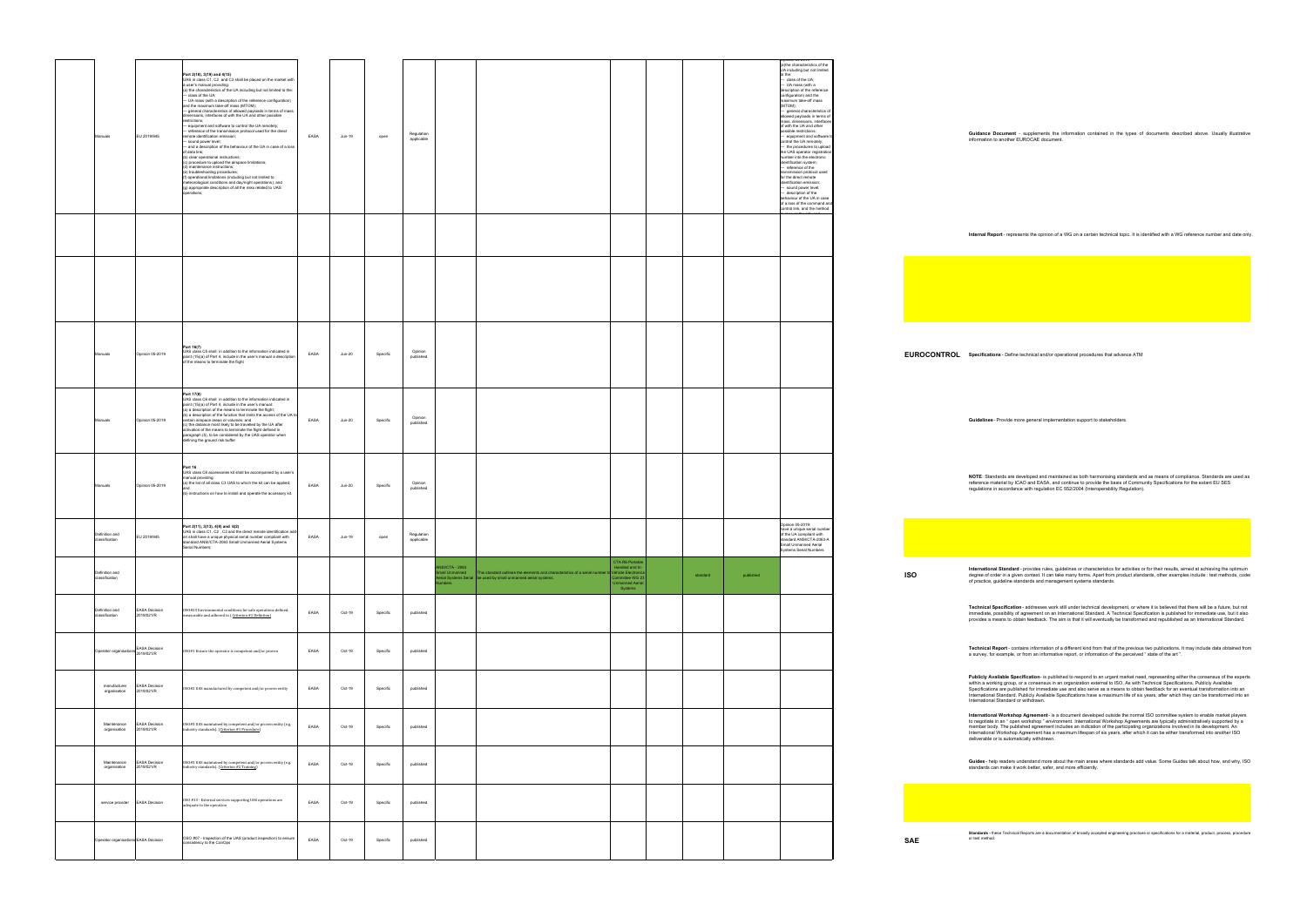**Guidance Document** - supplements the information contained in the types of documents described above. Usually illustrative information to another EUROCAE document.

**Internal Report** - represents the opinion of a WG on a certain technical topic. It is identified with a WG reference number and date only.

 $S$ pecifications - Define technical and/or operational procedures that advance ATM

Guidelines - Provide more general implementation support to stakeholders.

**NOTE**: Standards are developed and maintained as both harmonising standards and as means of compilance. Standards are used as<br>reference material by ICAO and EASA, and continue to provide the basis of Community Specificati

**International Standard** - provides rules, guidelines or characteristics for activities or for their results, aimed at achieving the optimum<br>degree of order in a given context. It can take many forms. Apart from product st

**Technical Specification -** addresses work still under technical development, or where it is believed that there will be a future, but not<br>immediate, possibility of agreement on an International Standard. A Technical Speci

Technical Report - contains information of a different kind from that of the previous two publications. It may include data obtained from<br>a survey, for example, or from an informative report, or information of the perceive

**Publicly Available Specificatio**n- is published to respond to an urgent market need, representing either the consensus of the experts<br>within a working group, or a consensus in an organization external to ISO. As with Tech

International Workshop Agreement - is a document developed outside the normal ISO committee system to enable market players<br>to negotiale in an "open workshop " environment. International Workshop Agreements are typically a

**Guides -** help readers understand more about the main areas where standards add value. Some Guides talk about how, and why, ISO<br>standards can make it work better, safer, and more efficiently.

**Standards -** these Technical Reports are a documentation of broadly accepted engineering practices or specifications for a material, product, process, procedure<br>or test method

| anuals                               | EU 2019/945                        | Part 2(18), 3(19) and 4(15)<br>UAS in class C1, C2 and C3 shall be placed on the market with<br>a user's manual providing:<br>(a) the characteristics of the UA including but not limited to the:<br>- class of the UA;<br>- UA mass (with a description of the reference configuration)<br>and the maximum take-off mass (MTOM);<br>- general characteristics of allowed payloads in terms of mass<br>dimensions, interfaces of with the UA and other possible<br>restrictions;<br>- equipment and software to control the UA remotely;<br>- reference of the transmission protocol used for the direct<br>emote identification emission;<br>- sound power level;<br>- and a description of the behaviour of the UA in case of a loss<br>of data link;<br>(b) clear operational instructions;<br>(c) procedure to upload the airspace limitations;<br>(d) maintenance instructions:<br>(e) troubleshooting procedures;<br>(f) operational limitations (including but not limited to<br>neteorological conditions and day/night operations); and<br>(g) appropriate description of all the risks related to UAS<br>perations; | EASA | Jun-19   | open     | Regulation<br>applicable |                                                  |                                                                                                                                              |                                                                                                                  |          |           | <b>Pillion 03-2018</b><br>(a)the characteristics of the<br>UA including but not limited<br>to the:<br>- class of the UA;<br>- UA mass (with a<br>description of the reference<br>configuration) and the<br>maximum take-off mass<br>(MTOM);<br>- general characteristics of<br>allowed payloads in terms of<br>mass, dimensions, interfaces<br>of with the UA and other<br>possible restrictions;<br>- equipment and software<br>control the UA remotely;<br>- the procedures to upload<br>the UAS operator registration<br>number into the electronic<br>identification system;<br>- reference of the<br>transmission protocol used<br>for the direct remote<br>identification emission;<br>- sound power level;<br>description of the<br>behaviour of the UA in case<br>of a loss of the command and<br>control link, and the method |                      |         |
|--------------------------------------|------------------------------------|-------------------------------------------------------------------------------------------------------------------------------------------------------------------------------------------------------------------------------------------------------------------------------------------------------------------------------------------------------------------------------------------------------------------------------------------------------------------------------------------------------------------------------------------------------------------------------------------------------------------------------------------------------------------------------------------------------------------------------------------------------------------------------------------------------------------------------------------------------------------------------------------------------------------------------------------------------------------------------------------------------------------------------------------------------------------------------------------------------------------------------|------|----------|----------|--------------------------|--------------------------------------------------|----------------------------------------------------------------------------------------------------------------------------------------------|------------------------------------------------------------------------------------------------------------------|----------|-----------|----------------------------------------------------------------------------------------------------------------------------------------------------------------------------------------------------------------------------------------------------------------------------------------------------------------------------------------------------------------------------------------------------------------------------------------------------------------------------------------------------------------------------------------------------------------------------------------------------------------------------------------------------------------------------------------------------------------------------------------------------------------------------------------------------------------------------------------|----------------------|---------|
|                                      |                                    |                                                                                                                                                                                                                                                                                                                                                                                                                                                                                                                                                                                                                                                                                                                                                                                                                                                                                                                                                                                                                                                                                                                               |      |          |          |                          |                                                  |                                                                                                                                              |                                                                                                                  |          |           |                                                                                                                                                                                                                                                                                                                                                                                                                                                                                                                                                                                                                                                                                                                                                                                                                                        |                      |         |
|                                      |                                    |                                                                                                                                                                                                                                                                                                                                                                                                                                                                                                                                                                                                                                                                                                                                                                                                                                                                                                                                                                                                                                                                                                                               |      |          |          |                          |                                                  |                                                                                                                                              |                                                                                                                  |          |           |                                                                                                                                                                                                                                                                                                                                                                                                                                                                                                                                                                                                                                                                                                                                                                                                                                        |                      |         |
| anuals                               | Opinion 05-2019                    | Part 16(7)<br>UAS class C5 shall in addition to the information indicated in<br>point (15)(a) of Part 4, include in the user's manual a description<br>of the means to terminate the flight                                                                                                                                                                                                                                                                                                                                                                                                                                                                                                                                                                                                                                                                                                                                                                                                                                                                                                                                   | EASA | $Jun-20$ | Specific | Opinion<br>published     |                                                  |                                                                                                                                              |                                                                                                                  |          |           |                                                                                                                                                                                                                                                                                                                                                                                                                                                                                                                                                                                                                                                                                                                                                                                                                                        | <b>EUROCONTROL s</b> |         |
| anuals                               | Opinion 05-2019                    | Part 17(8)<br>UAS class C6 shall in addition to the information indicated in<br>point (15)(a) of Part 4, include in the user's manual:<br>(a) a description of the means to terminate the flight;<br>(b) a description of the function that limits the access of the UA to<br>certain airspace areas or volumes; and<br>(c) the distance most likely to be travelled by the UA after<br>activation of the means to terminate the flight defined in<br>paragraph (5), to be considered by the UAS operator when<br>defining the ground risk buffer                                                                                                                                                                                                                                                                                                                                                                                                                                                                                                                                                                             | EASA | Jun-20   | Specific | Opinion<br>published     |                                                  |                                                                                                                                              |                                                                                                                  |          |           |                                                                                                                                                                                                                                                                                                                                                                                                                                                                                                                                                                                                                                                                                                                                                                                                                                        |                      |         |
| anuals                               | Opinion 05-2019                    | Part 16<br>UAS class C6 accessories kit shall be accompanied by a user's<br>manual providing:<br>(a) the list of all class C3 UAS to which the kit can be applied;<br>(b) instructions on how to install and operate the accessory kit.                                                                                                                                                                                                                                                                                                                                                                                                                                                                                                                                                                                                                                                                                                                                                                                                                                                                                       | EASA | Jun-20   | Specific | Opinion<br>published     |                                                  |                                                                                                                                              |                                                                                                                  |          |           |                                                                                                                                                                                                                                                                                                                                                                                                                                                                                                                                                                                                                                                                                                                                                                                                                                        |                      |         |
| Definition and<br>classification     | EU 2019/945                        | Part 2(11), 3(13), 4(8) and 6(2)<br>UAS in class C1, C2, C3 and the direct remote identification add-<br>on shall have a unique physical serial number compliant with<br>standard ANSI/CTA-2063 Small Unmanned Aerial Systems<br>rial Numbers                                                                                                                                                                                                                                                                                                                                                                                                                                                                                                                                                                                                                                                                                                                                                                                                                                                                                 | EASA | Jun-19   | open     | Regulation<br>applicable |                                                  |                                                                                                                                              |                                                                                                                  |          |           | Opinion 05-2019:<br>have a unique serial number<br>of the UA compliant with<br>standard ANSI/CTA-2063-A<br>Small Unmanned Aerial<br>Systems Serial Numbers                                                                                                                                                                                                                                                                                                                                                                                                                                                                                                                                                                                                                                                                             |                      |         |
| Definition and<br>classification     |                                    |                                                                                                                                                                                                                                                                                                                                                                                                                                                                                                                                                                                                                                                                                                                                                                                                                                                                                                                                                                                                                                                                                                                               |      |          |          |                          | <b>NSI/CTA - 2063</b><br>mall Unmanned<br>umbers | This standard outlines the elements and characteristics of a serial number<br>erial Systems Serial be used by small unmanned aerial systems. | CTA R6 Portable<br>Handled and In-<br>Vehicle Electronic<br>Committee WG 23<br><b>Jnmanned Aerial</b><br>Systems | standard | published |                                                                                                                                                                                                                                                                                                                                                                                                                                                                                                                                                                                                                                                                                                                                                                                                                                        | <b>ISO</b>           |         |
| Definition and<br>classification     | <b>EASA Decision</b><br>2019/021/R | 0S0#23 Environmental conditions for safe operations defined,<br>measurable and adhered to (Criterion #1 Defintion)                                                                                                                                                                                                                                                                                                                                                                                                                                                                                                                                                                                                                                                                                                                                                                                                                                                                                                                                                                                                            | EASA | Oct-19   | Specific | published                |                                                  |                                                                                                                                              |                                                                                                                  |          |           |                                                                                                                                                                                                                                                                                                                                                                                                                                                                                                                                                                                                                                                                                                                                                                                                                                        |                      |         |
| Operator organisations EASA Decision |                                    | 0S0#1 Ensure the operator is competent and/or proven                                                                                                                                                                                                                                                                                                                                                                                                                                                                                                                                                                                                                                                                                                                                                                                                                                                                                                                                                                                                                                                                          | EASA | Oct-19   | Specific | published                |                                                  |                                                                                                                                              |                                                                                                                  |          |           |                                                                                                                                                                                                                                                                                                                                                                                                                                                                                                                                                                                                                                                                                                                                                                                                                                        |                      |         |
| manufacturer<br>organisation         | <b>EASA Decision</b><br>2019/021/R | 0SO#2 UAS manufactured by competent and/or proven entity                                                                                                                                                                                                                                                                                                                                                                                                                                                                                                                                                                                                                                                                                                                                                                                                                                                                                                                                                                                                                                                                      | EASA | Oct-19   | Specific | published                |                                                  |                                                                                                                                              |                                                                                                                  |          |           |                                                                                                                                                                                                                                                                                                                                                                                                                                                                                                                                                                                                                                                                                                                                                                                                                                        |                      |         |
| Maintenance<br>organisation          | <b>EASA Decision</b><br>2019/021/R | 0S0#3 UAS maintained by competent and/or proven entity (e.g.<br>industry standards). (Criterion #1 Procedure)                                                                                                                                                                                                                                                                                                                                                                                                                                                                                                                                                                                                                                                                                                                                                                                                                                                                                                                                                                                                                 | EASA | Oct-19   | Specific | published                |                                                  |                                                                                                                                              |                                                                                                                  |          |           |                                                                                                                                                                                                                                                                                                                                                                                                                                                                                                                                                                                                                                                                                                                                                                                                                                        |                      |         |
| Maintenance<br>organisation          | ASA Decision<br>2019/021/R         | OSO#3 UAS maintained by competent and/or proven entity (e.g.<br>ndustry standards). (Criterion #2 Training)                                                                                                                                                                                                                                                                                                                                                                                                                                                                                                                                                                                                                                                                                                                                                                                                                                                                                                                                                                                                                   | EASA | Oct-19   | Specific | published                |                                                  |                                                                                                                                              |                                                                                                                  |          |           |                                                                                                                                                                                                                                                                                                                                                                                                                                                                                                                                                                                                                                                                                                                                                                                                                                        |                      |         |
| service provider                     | <b>EASA Decision</b>               | OSO #13 - External services supporting UAS operations are<br>adequate to the operation                                                                                                                                                                                                                                                                                                                                                                                                                                                                                                                                                                                                                                                                                                                                                                                                                                                                                                                                                                                                                                        | EASA | Oct-19   | Specific | published                |                                                  |                                                                                                                                              |                                                                                                                  |          |           |                                                                                                                                                                                                                                                                                                                                                                                                                                                                                                                                                                                                                                                                                                                                                                                                                                        |                      |         |
| Operator organisations EASA Decision |                                    | OSO #07 - Inspection of the UAS (product inspection) to ensure<br>consistency to the ConOps                                                                                                                                                                                                                                                                                                                                                                                                                                                                                                                                                                                                                                                                                                                                                                                                                                                                                                                                                                                                                                   | EASA | Oct-19   | Specific | published                |                                                  |                                                                                                                                              |                                                                                                                  |          |           |                                                                                                                                                                                                                                                                                                                                                                                                                                                                                                                                                                                                                                                                                                                                                                                                                                        | SAE                  | $\circ$ |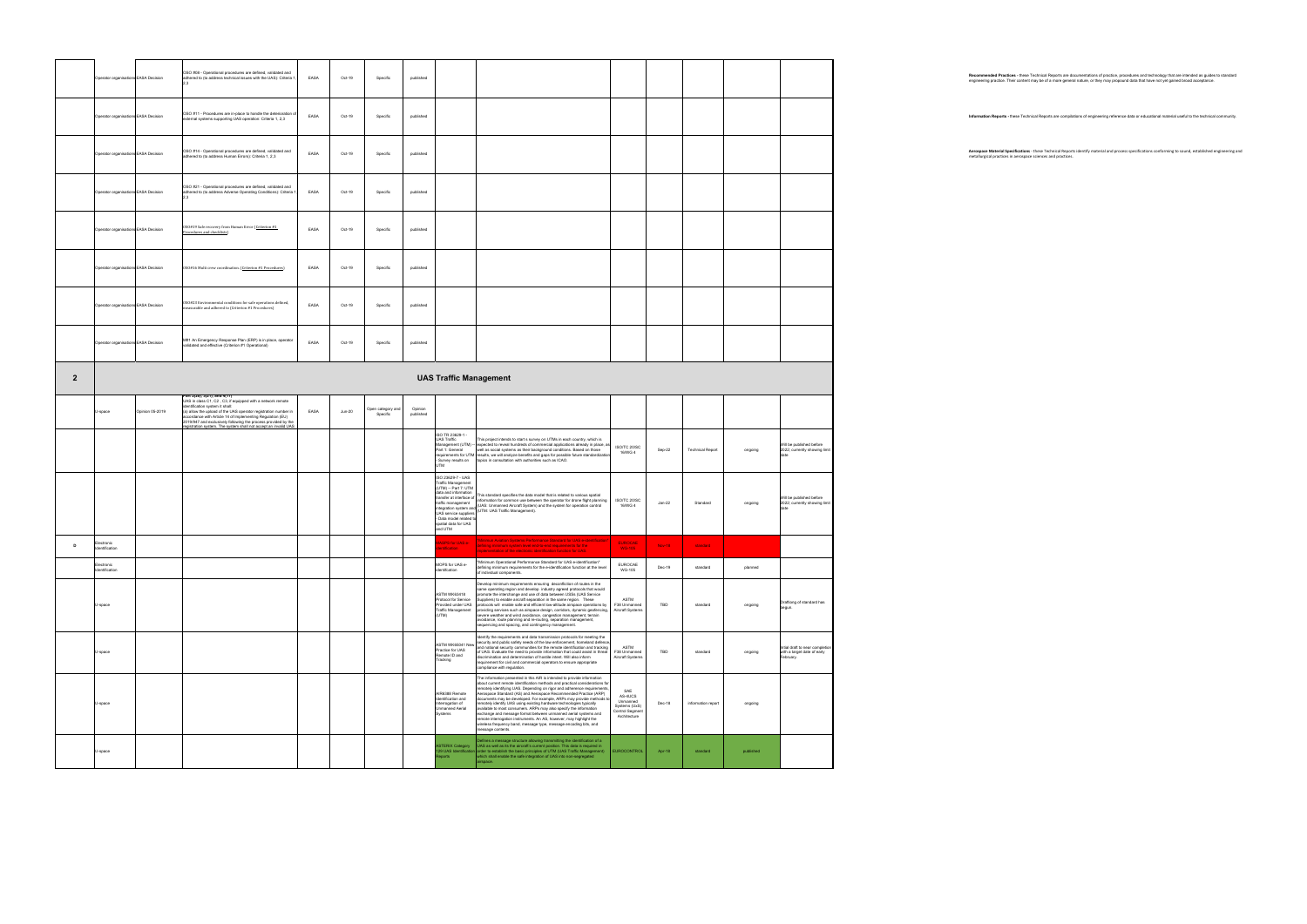|                | Operator organisations EASA Decision |                 | OSO #08 - Operational procedures are defined, validated and<br>adhered to (to address technical issues with the UAS): Criteria 1<br>23                                                                                                                                                                                                                                                             | EASA | Oct-19   | Specific                      | published            |                                                                                                                                                                                                                                        |                                                                                                                                                                                                                                                                                                                                                                                                                                                                                                                                                                                                                                                                                                                                                                  |                                                                                       |               |                         |         |                                                                            |
|----------------|--------------------------------------|-----------------|----------------------------------------------------------------------------------------------------------------------------------------------------------------------------------------------------------------------------------------------------------------------------------------------------------------------------------------------------------------------------------------------------|------|----------|-------------------------------|----------------------|----------------------------------------------------------------------------------------------------------------------------------------------------------------------------------------------------------------------------------------|------------------------------------------------------------------------------------------------------------------------------------------------------------------------------------------------------------------------------------------------------------------------------------------------------------------------------------------------------------------------------------------------------------------------------------------------------------------------------------------------------------------------------------------------------------------------------------------------------------------------------------------------------------------------------------------------------------------------------------------------------------------|---------------------------------------------------------------------------------------|---------------|-------------------------|---------|----------------------------------------------------------------------------|
|                | Operator organisations EASA Decision |                 | OSO #11 - Procedures are in-place to handle the deterioration o<br>external systems supporting UAS operation: Criteria 1, 2,3                                                                                                                                                                                                                                                                      | EASA | Oct-19   | Specific                      | published            |                                                                                                                                                                                                                                        |                                                                                                                                                                                                                                                                                                                                                                                                                                                                                                                                                                                                                                                                                                                                                                  |                                                                                       |               |                         |         |                                                                            |
|                | Operator organisations EASA Decision |                 | OSO #14 - Operational procedures are defined, validated and<br>adhered to (to address Human Errors): Criteria 1, 2,3                                                                                                                                                                                                                                                                               | EASA | Oct-19   | Specific                      | published            |                                                                                                                                                                                                                                        |                                                                                                                                                                                                                                                                                                                                                                                                                                                                                                                                                                                                                                                                                                                                                                  |                                                                                       |               |                         |         |                                                                            |
|                | Operator organisations EASA Decision |                 | OSO #21 - Operational procedures are defined, validated and<br>adhered to (to address Adverse Operating Conditions): Criteria<br>2.3                                                                                                                                                                                                                                                               | EASA | Oct-19   | Specific                      | published            |                                                                                                                                                                                                                                        |                                                                                                                                                                                                                                                                                                                                                                                                                                                                                                                                                                                                                                                                                                                                                                  |                                                                                       |               |                         |         |                                                                            |
|                | Operator organisations EASA Decision |                 | 0S0#19 Safe recovery from Human Error (Criterion #1<br>Procedures and checklists)                                                                                                                                                                                                                                                                                                                  | EASA | Oct-19   | Specific                      | published            |                                                                                                                                                                                                                                        |                                                                                                                                                                                                                                                                                                                                                                                                                                                                                                                                                                                                                                                                                                                                                                  |                                                                                       |               |                         |         |                                                                            |
|                | Operator organisations EASA Decision |                 | 0S0#16 Multi crew coordination. (Criterion #1 Procedures)                                                                                                                                                                                                                                                                                                                                          | EASA | Oct-19   | Specific                      | published            |                                                                                                                                                                                                                                        |                                                                                                                                                                                                                                                                                                                                                                                                                                                                                                                                                                                                                                                                                                                                                                  |                                                                                       |               |                         |         |                                                                            |
|                | Operator organisations EASA Decision |                 | 0SO#23 Environmental conditions for safe operations defined,<br>measurable and adhered to (Criterion #1 Procedures)                                                                                                                                                                                                                                                                                | EASA | Oct-19   | Specific                      | published            |                                                                                                                                                                                                                                        |                                                                                                                                                                                                                                                                                                                                                                                                                                                                                                                                                                                                                                                                                                                                                                  |                                                                                       |               |                         |         |                                                                            |
|                | Operator organisations EASA Decision |                 | M#1 An Emergency Response Plan (ERP) is in place, operator<br>validated and effective (Criterion #1 Operational)                                                                                                                                                                                                                                                                                   | EASA | Oct-19   | Specific                      | published            |                                                                                                                                                                                                                                        |                                                                                                                                                                                                                                                                                                                                                                                                                                                                                                                                                                                                                                                                                                                                                                  |                                                                                       |               |                         |         |                                                                            |
| $\overline{2}$ |                                      |                 |                                                                                                                                                                                                                                                                                                                                                                                                    |      |          |                               |                      | <b>UAS Traffic Management</b>                                                                                                                                                                                                          |                                                                                                                                                                                                                                                                                                                                                                                                                                                                                                                                                                                                                                                                                                                                                                  |                                                                                       |               |                         |         |                                                                            |
|                | U-space                              | Opinion 05-2019 | Part 2(20), 3(21), and 4(17)<br>UAS in class C1, C2, C3, if equipped with a network remote<br>identification system it shall:<br>(a) allow the upload of the UAS operator registration number in<br>accordance with Article 14 of Implementing Regulation (EU)<br>2019/947 and exclusively following the process provided by the<br>inistration system. The system shall not accept an invalid UAS | EASA | $Jun-20$ | Open category and<br>Specific | Opinion<br>published |                                                                                                                                                                                                                                        |                                                                                                                                                                                                                                                                                                                                                                                                                                                                                                                                                                                                                                                                                                                                                                  |                                                                                       |               |                         |         |                                                                            |
|                |                                      |                 |                                                                                                                                                                                                                                                                                                                                                                                                    |      |          |                               |                      | ISO TR 23629-1 -<br><b>UAS Traffic</b><br>Management (UTM) --<br>Part 1: General<br>requirements for UTM<br>Survey results on<br><b>UTM</b>                                                                                            | This project intends to start s survey on UTMs in each country, which is<br>expected to reveal hundreds of commercial applications already in place, a<br>well as social systems as their background conditions. Based on those<br>results, we will analyze benefits and gaps for possible future standardizatio<br>topics in consultation with authorities such as ICAO.                                                                                                                                                                                                                                                                                                                                                                                        | ISO/TC 20/SC<br>16/WG 4                                                               | Sep-22        | <b>Technical Report</b> | ongoing | Will be published before<br>2022; currently showing limit<br>date          |
|                |                                      |                 |                                                                                                                                                                                                                                                                                                                                                                                                    |      |          |                               |                      | ISO 23629-7 - UAS<br>Traffic Management<br>(UTM) -- Part 7: UTM<br>data and information<br>ransfer at interface of<br>traffic management<br><b>UAS service suppliers</b><br>- Data model related to<br>spatial data for UAS<br>and UTM | This standard specifies the data model that is related to various spatial<br>information for common use between the operator for drone flight planning<br>(UAS: Unmanned Aircraft System) and the system for operation control<br>integration system and (UAS, URINGHING / W. L.L.,                                                                                                                                                                                                                                                                                                                                                                                                                                                                              | ISO/TC 20/SC<br>16/WG 4                                                               | $Jan-22$      | Standard                | ongoing | Will be published before<br>2022; currently showing limit<br>date          |
| D              | Electronic<br>Identification         |                 |                                                                                                                                                                                                                                                                                                                                                                                                    |      |          |                               |                      | ASPS for UAS e-                                                                                                                                                                                                                        | "Minimun Aviation Systems Performance Standard for UAS e-identification"<br>defining minimum system level end-to-end requirements for the                                                                                                                                                                                                                                                                                                                                                                                                                                                                                                                                                                                                                        | <b>EUROCAE</b>                                                                        | <b>Nov-18</b> | standard                |         |                                                                            |
|                | Electronic<br>Identification         |                 |                                                                                                                                                                                                                                                                                                                                                                                                    |      |          |                               |                      | MOPS for UAS e-<br>dentifcation                                                                                                                                                                                                        | "Minimum Operational Performance Standard for UAS e-identification"<br>defining minimum requirements for the e-identification function at the level<br>of individual components.                                                                                                                                                                                                                                                                                                                                                                                                                                                                                                                                                                                 | <b>FUROCAE</b><br><b>WG-105</b>                                                       | $Dec-19$      | standard                | planned |                                                                            |
|                | U-space                              |                 |                                                                                                                                                                                                                                                                                                                                                                                                    |      |          |                               |                      | ASTM WK63418<br>rotocol for Service<br>rovided under UAS<br>Traffic Management<br>(UTM)                                                                                                                                                | Develop minimum requirements ensuring deconfliction of routes in the<br>same operating region and develop industry agreed protocols that would<br>romote the interchange and use of data between USSs (UAS Service<br>Suppliers) to enable aircraft separation in the same region. These<br>protocols will enable safe and efficient low-altitude airspace operations by<br>providing services such as airspace design, corridors, dynamic geofencing,<br>severe weather and wind avoidance, congestion management, terrain<br>avoidance, route planning and re-routing, separation management,<br>sequencing and spacing, and contingency management.                                                                                                           | ASTM<br>F38 Unmanned<br>Aircraft Systems                                              | TBD           | standard                | ongoing | Draftiong of standard has<br>begun.                                        |
|                | U-space                              |                 |                                                                                                                                                                                                                                                                                                                                                                                                    |      |          |                               |                      | ASTM WK65041 New<br>Practice for UAS<br>Remote ID and<br>Tracking                                                                                                                                                                      | Identify the requirements and data transmission protocols for meeting the<br>security and public safety needs of the law enforcement, homeland defence<br>and national security communities for the remote identification and tracking<br>of UAS. Evaluate the need to provide information that could assist in threat<br>discrimination and determination of hostile intent. Will also inform<br>requirement for civil and commercial operators to ensure appropriate<br>compliance with regulation.                                                                                                                                                                                                                                                            | <b>ASTM</b><br>F38 Unmanned<br>Aircraft Systems                                       | TBD           | standard                | ongoing | Intial draft to near completio<br>with a target date of early<br>February. |
|                | U-space                              |                 |                                                                                                                                                                                                                                                                                                                                                                                                    |      |          |                               |                      | AIR6388 Remote<br>dentification and<br>terrogation of<br><b>Jnmanned Aerial</b><br>Systems                                                                                                                                             | The information presented in this AIR is intended to provide information<br>about current remote identification methods and practical considerations for<br>emotely identifying UAS. Depending on rigor and adherence requirements.<br>Aerospace Standard (AS) and Aerospace Recommended Practice (ARP)<br>documents may be developed. For example, ARPs may provide methods to<br>emotely identify UAS using existing hardware technologies typically<br>available to most consumers. ARPs may also specify the information<br>exchange and message format between unmanned aerial systems and<br>remote interrogation instruments. An AS, however, may highlight the<br>wireless frequency band, message type, message encoding bits, and<br>message contents. | SAE<br>AS-4UCS<br>Unmanned<br>Systems (UxS)<br><b>Control Segment</b><br>Architecture | Dec-18        | information report      | ongoing |                                                                            |
|                |                                      |                 |                                                                                                                                                                                                                                                                                                                                                                                                    |      |          |                               |                      |                                                                                                                                                                                                                                        | efines a message structure allowing transmitting the identification of a                                                                                                                                                                                                                                                                                                                                                                                                                                                                                                                                                                                                                                                                                         |                                                                                       |               |                         |         |                                                                            |

Recommended Practices - these Technical Reports are documentations of practice, procedures and technology that are intended as guides to standard<br>engineering practice. Their content may be of a more general nature, or they

Information Reports - these Technical Reports are compilations of engineering reference data or educational material useful to the technical community.

Aerospace Material Specifications - these Technical Reports identify material and process specifications conforming to sound, established engineering and<br>metallurgical practices in aerospace sciences and practices.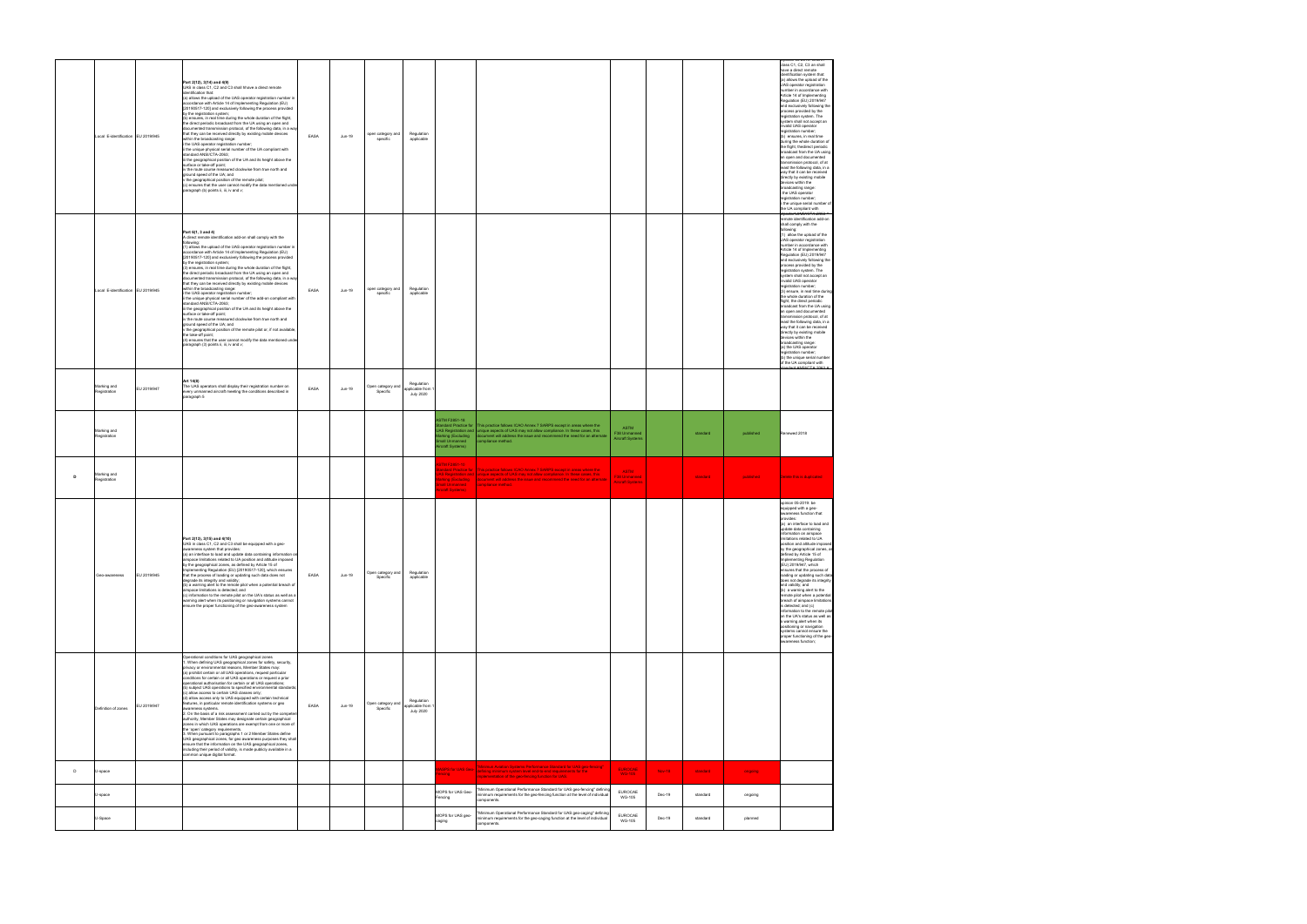|              | Local E-identification EU 2019/945 |             | Part 2(12), 3(14) and 4(9)<br>UAS in class C1, C2 and C3 shall hhave a direct remote<br>identification that:<br>(a) allows the upload of the UAS operator registration number in<br>accordance with Article 14 of Implementing Regulation (EU)<br>[20190517-120] and exclusively following the process provided<br>by the registration system;<br>(b) ensures, in real time during the whole duration of the flight,<br>the direct periodic broadcast from the UA using an open and<br>documented transmission protocol, of the following data, in a way<br>that they can be received directly by existing mobile devices<br>within the broadcasting range:<br>i the UAS operator registration number;<br>ii the unique physical serial number of the UA compliant with<br>standard ANSI/CTA-2063:<br>iii the geographical position of the UA and its height above the<br>surface or take-off point;<br>iv the route course measured clockwise from true north and<br>ground speed of the UA; and<br>v the geographical position of the remote pilot;<br>(c) ensures that the user cannot modify the data mentioned under<br>paragraph (b) points ii, iii, iv and v;                                              | EASA | Jun-19 | open category and<br>specific | Regulation<br>applicable                          |                                                                       |                                                                                                                                                                                                                                                                                                                                                                |               |          |           | siass C1, C2, C3 an shall<br>have a direct remote<br>identification system that:<br>(a) allows the upload of the<br>UAS operator registration<br>number in accordance with<br>Article 14 of Implementing<br>Regulation (EU) 2019/947<br>and exclusively following the<br>process provided by the<br>registration system. The<br>system shall not accept an<br>invalid UAS operator<br>registration number;<br>(b) ensures, in real time<br>during the whole duration of<br>the flight, thedirect periodic<br>broadcast from the UA using<br>an open and documented<br>transmission protocol, of at<br>least the following data, in a<br>way that it can be received<br>directly by existing mobile<br>devices within the<br>broadcasting range:<br>i the UAS operator<br>registration number;<br>ii the unique serial number of<br>the UA compliant with                                           |
|--------------|------------------------------------|-------------|-------------------------------------------------------------------------------------------------------------------------------------------------------------------------------------------------------------------------------------------------------------------------------------------------------------------------------------------------------------------------------------------------------------------------------------------------------------------------------------------------------------------------------------------------------------------------------------------------------------------------------------------------------------------------------------------------------------------------------------------------------------------------------------------------------------------------------------------------------------------------------------------------------------------------------------------------------------------------------------------------------------------------------------------------------------------------------------------------------------------------------------------------------------------------------------------------------------------|------|--------|-------------------------------|---------------------------------------------------|-----------------------------------------------------------------------|----------------------------------------------------------------------------------------------------------------------------------------------------------------------------------------------------------------------------------------------------------------------------------------------------------------------------------------------------------------|---------------|----------|-----------|----------------------------------------------------------------------------------------------------------------------------------------------------------------------------------------------------------------------------------------------------------------------------------------------------------------------------------------------------------------------------------------------------------------------------------------------------------------------------------------------------------------------------------------------------------------------------------------------------------------------------------------------------------------------------------------------------------------------------------------------------------------------------------------------------------------------------------------------------------------------------------------------------|
|              | Local E-identification EU 2019/945 |             | Part 6(1, 3 and 4)<br>A direct remote identification add-on shall comply with the<br>following:<br>(1) allows the upload of the UAS operator registration number in<br>accordance with Article 14 of Implementing Regulation (EU)<br>[20190517-120] and exclusively following the process provided<br>by the registration system;<br>(3) ensures, in real time during the whole duration of the flight,<br>the direct periodic broadcast from the UA using an open and<br>documented transmission protocol, of the following data, in a way<br>that they can be received directly by existing mobile devices<br>within the broadcasting range:<br>i the UAS operator registration number;<br>ii the unique physical serial number of the add-on compliant with<br>standard ANSI/CTA-2063;<br>iii the geographical position of the UA and its height above the<br>surface or take-off point;<br>iv the route course measured clockwise from true north and<br>ground speed of the UA; and<br>v the geographical position of the remote pilot or, if not available<br>the take-off point;<br>(4) ensures that the user cannot modify the data mentioned unde<br>paragraph (3) points ii, iii, iv and v;             | EASA | Jun-19 | open category and<br>specific | Regulation<br>applicable                          |                                                                       |                                                                                                                                                                                                                                                                                                                                                                |               |          |           | <del>:JpinlorrU9*264G.TA aNika</del><br>remote identification add-on<br>shall comply with the<br>following:<br>(1) allow the upload of the<br>UAS operator registration<br>number in accordance with<br>Article 14 of Implementing<br>Regulation (EU) 2019/947<br>and exclusively following the<br>process provided by the<br>registration system. The<br>system shall not accept an<br>invalid UAS operator<br>registration number:<br>(3) ensure, in real time during<br>the whole duration of the<br>flight, the direct periodic<br>broadcast from the UA using<br>an open and documented<br>transmission protocol, of at<br>least the following data, in a<br>way that it can be received<br>directly by existing mobile<br>devices within the<br>broadcasting range:<br>(a) the UAS operator<br>registration number;<br>(b) the unique serial number<br>of the UA compliant with<br>CROC ATOU |
|              | Marking and<br>Registration        | EU 2019/947 | Art 14(8)<br>The UAS operators shall display their registration number on<br>every unmanned aircraft meeting the conditions described in<br>paragraph 5                                                                                                                                                                                                                                                                                                                                                                                                                                                                                                                                                                                                                                                                                                                                                                                                                                                                                                                                                                                                                                                           | EASA | Jun-19 | Open category and<br>Specific | Regulation<br>applicable from<br><b>July 2020</b> |                                                                       |                                                                                                                                                                                                                                                                                                                                                                |               |          |           |                                                                                                                                                                                                                                                                                                                                                                                                                                                                                                                                                                                                                                                                                                                                                                                                                                                                                                    |
|              | Marking and<br>Registration        |             |                                                                                                                                                                                                                                                                                                                                                                                                                                                                                                                                                                                                                                                                                                                                                                                                                                                                                                                                                                                                                                                                                                                                                                                                                   |      |        |                               |                                                   | STM F2851-18<br>arking (Excluding<br>nall Unmanned<br>rcraft Systems) | andard Practice for This practice follows ICAO Annex 7 SARPS except in areas where the<br>ASTM<br>AS Registration and unique aspects of UAS may not allow compliance. In these cases, this<br>F38 Unmanned<br>focument will address the issue and recommend the need for an alternate<br><b>Aircraft Systems</b><br>mpliance method.                           |               | standard | published | Renewed 2018                                                                                                                                                                                                                                                                                                                                                                                                                                                                                                                                                                                                                                                                                                                                                                                                                                                                                       |
| D            | Marking and<br>Registration        |             |                                                                                                                                                                                                                                                                                                                                                                                                                                                                                                                                                                                                                                                                                                                                                                                                                                                                                                                                                                                                                                                                                                                                                                                                                   |      |        |                               |                                                   | <b>STM F2851-10</b><br>mall Unmanned<br>ircraft Systems)              | andard Practice for This practice follows ICAO Annex 7 SARPS except in areas where the<br><b>ASTM</b><br>AS Registration and unique aspects of UAS may not allow compliance. In these cases, this<br>F38 Unmanned<br>arking (Excluding document will address the issue and recommend the need for an alternate<br><b>Aircraft Systems</b><br>compliance method |               | standard | published | Delete this is duplicated                                                                                                                                                                                                                                                                                                                                                                                                                                                                                                                                                                                                                                                                                                                                                                                                                                                                          |
|              |                                    |             |                                                                                                                                                                                                                                                                                                                                                                                                                                                                                                                                                                                                                                                                                                                                                                                                                                                                                                                                                                                                                                                                                                                                                                                                                   |      |        |                               |                                                   |                                                                       |                                                                                                                                                                                                                                                                                                                                                                |               |          |           | opinion 05-2019: be<br>equipped with a geo-<br>wareness function that                                                                                                                                                                                                                                                                                                                                                                                                                                                                                                                                                                                                                                                                                                                                                                                                                              |
|              | Geo-awareness                      | EU 2019/945 | Part 2(13), 3(15) and 4(10)<br>UAS in class C1, C2 and C3 shall be equipped with a geo-<br>awareness system that provides:<br>(a) an interface to load and update data containing information or<br>airspace limitations related to UA position and altitude imposed<br>by the geographical zones, as defined by Article 15 of<br>Implementing Regulation (EU) [20190517-120], which ensures<br>that the process of loading or updating such data does not<br>degrade its integrity and validity;<br>(b) a warning alert to the remote pilot when a potential breach of<br>airspace limitations is detected; and<br>(c) information to the remote pilot on the UA's status as well as a<br>warning alert when its positioning or navigation systems cannot<br>ensure the proper functioning of the geo-awareness system                                                                                                                                                                                                                                                                                                                                                                                           | EASA | Jun-19 | Open category and<br>Specific | Regulation<br>applicable                          |                                                                       |                                                                                                                                                                                                                                                                                                                                                                |               |          |           | provides:<br>(a) an interface to load and<br>update data containing<br>information on airspace<br>limitations related to UA<br>position and altitude imposed<br>by the geographical zones, as<br>defined by Article 15 of<br>Implementing Regulation<br>(EU) 2019/947, which<br>ensures that the process of<br>loading or updating such data<br>does not degrade its integrity<br>and validity; and<br>(b) a warning alert to the<br>remote pilot when a potential<br>breach of airspace limitations<br>is detected; and (c)<br>information to the remote pilot<br>on the UA's status as well as<br>a warning alert when its<br>positioning or navigation<br>systems cannot ensure the<br>proper functioning of the geo-<br>awareness function;                                                                                                                                                    |
|              | Definition of zones                | EU 2019/947 | MITTLE 12<br>Operational conditions for UAS geographical zones<br>1. When defining UAS geographical zones for safety, security,<br>privacy or environmental reasons, Member States may:<br>(a) prohibit certain or all UAS operations, request particular<br>conditions for certain or all UAS operations or request a prior<br>operational authorisation for certain or all UAS operations;<br>(b) subject UAS operations to specified environmental standards<br>(c) allow access to certain UAS classes only;<br>(d) allow access only to UAS equipped with certain technical<br>features, in particular remote identification systems or geo<br>awareness systems.<br>2. On the basis of a risk assessment carried out by the compete<br>authority, Member States may designate certain geographical<br>zones in which UAS operations are exempt from one or more of<br>the 'open' category requirements.<br>3. When pursuant to paragraphs 1 or 2 Member States define<br>UAS geographical zones, for geo awareness purposes they shall<br>ensure that the information on the UAS geographical zones,<br>including their period of validity, is made publicly available in a<br>ommon unique digital format. | EASA | Jun-19 | Open category and<br>Specific | Regulation<br>applicable from<br><b>July 2020</b> |                                                                       |                                                                                                                                                                                                                                                                                                                                                                |               |          |           |                                                                                                                                                                                                                                                                                                                                                                                                                                                                                                                                                                                                                                                                                                                                                                                                                                                                                                    |
| $\mathsf{D}$ | U-space                            |             |                                                                                                                                                                                                                                                                                                                                                                                                                                                                                                                                                                                                                                                                                                                                                                                                                                                                                                                                                                                                                                                                                                                                                                                                                   |      |        |                               |                                                   | <b>ISPS for UAS Geo-</b><br>encing                                    | "Minimun Aviation Systems Performance Standard for UAS geo-fencing"<br><b>EUROCAE</b><br>defining minimum system level end-to-end requirements for the<br><b>WG-105</b><br>implementation of the geo-fencing function for UAS.                                                                                                                                 | <b>Nov-18</b> | standard | ongoing   |                                                                                                                                                                                                                                                                                                                                                                                                                                                                                                                                                                                                                                                                                                                                                                                                                                                                                                    |
|              | U-space                            |             |                                                                                                                                                                                                                                                                                                                                                                                                                                                                                                                                                                                                                                                                                                                                                                                                                                                                                                                                                                                                                                                                                                                                                                                                                   |      |        |                               |                                                   | MOPS for UAS Geo-<br>encing                                           | "Minimum Operational Performance Standard for UAS geo-fencing" defining<br><b>EUROCAE</b><br>minimum requirements for the geo-fencing function at the level of individual<br><b>WG-105</b><br>components.                                                                                                                                                      | Dec-19        | standard | ongoing   |                                                                                                                                                                                                                                                                                                                                                                                                                                                                                                                                                                                                                                                                                                                                                                                                                                                                                                    |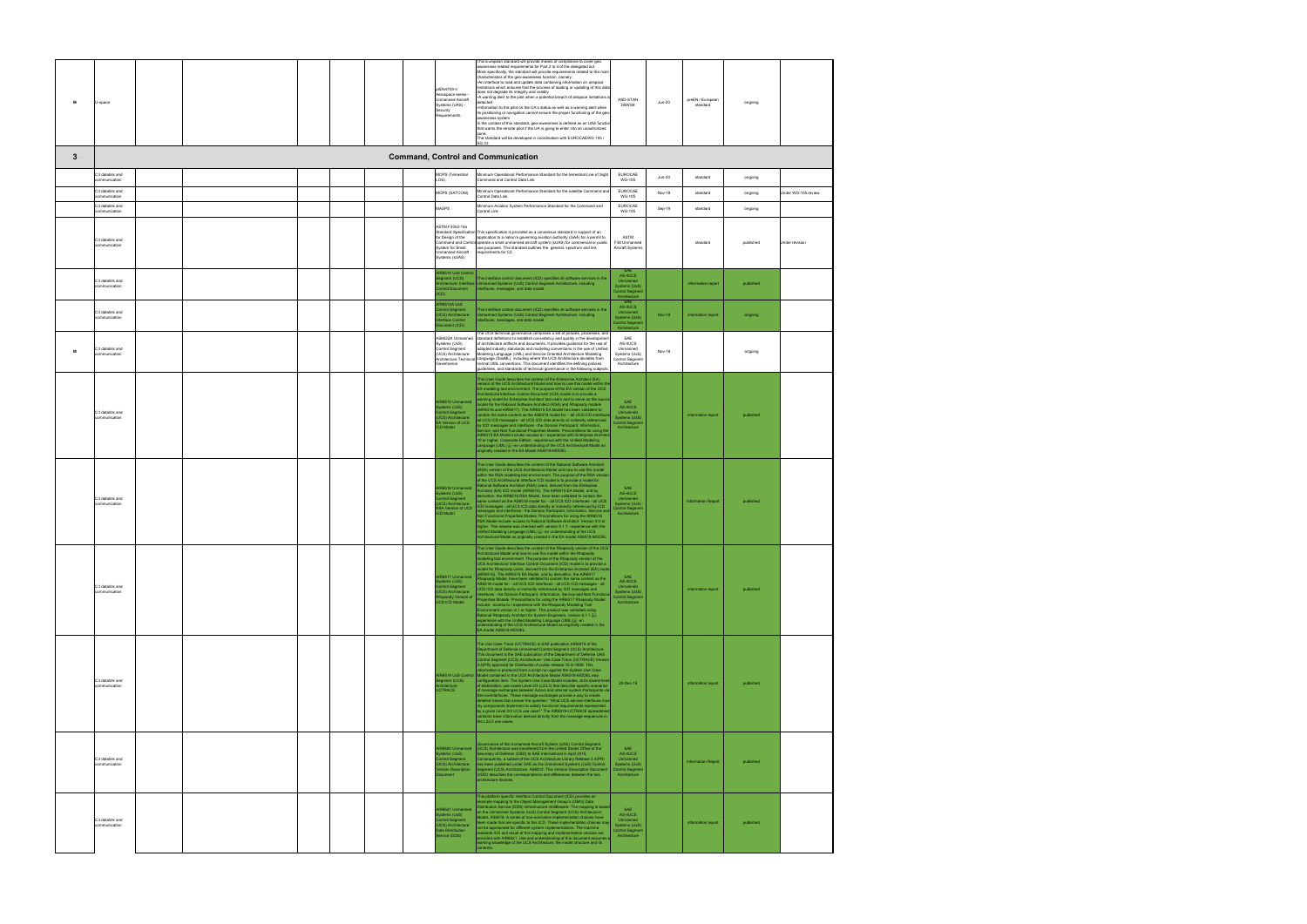| м | U-space                          |  | prEN4709-3<br>Aerospace series -<br><b>Jnmanned Aircraft</b><br>Systems (UAS) -<br>Security<br>Requirements                                          | his European standard will provide means of compliance to cover geo<br>awareness related requirements for Part 2 to 4 of the delegated act.<br>More specifically, the standard will provide requirements related to the mai<br>characteristics of the geo-awareness function, namely:<br>.An interface to load and update data containing information on airspace<br>imitations which ensures that the process of loading or updating of this data<br>does not degrade its integrity and validity<br>A warning alert to the pilot when a potential breach of airspace limitations<br>etected<br>Information to the pilot on the UA's status as well as a warning alert when<br>its positioning or navigation cannot ensure the proper functioning of the geo<br>awareness system<br>In the context of this standard, geo-awareness is defined as an UAS functio<br>that warns the remote pilot if the UA is going to enter into an unauthorized<br>zone.<br>The standard will be developed in coordination with EUROCAEWG 105 /<br>SG 33                                                                                                                                                                 | ASD-STAN<br>D5WG8                                                                           | <b>Jun-20</b> | preEN / European<br>standard | ongoing   |                     |
|---|----------------------------------|--|------------------------------------------------------------------------------------------------------------------------------------------------------|----------------------------------------------------------------------------------------------------------------------------------------------------------------------------------------------------------------------------------------------------------------------------------------------------------------------------------------------------------------------------------------------------------------------------------------------------------------------------------------------------------------------------------------------------------------------------------------------------------------------------------------------------------------------------------------------------------------------------------------------------------------------------------------------------------------------------------------------------------------------------------------------------------------------------------------------------------------------------------------------------------------------------------------------------------------------------------------------------------------------------------------------------------------------------------------------------------|---------------------------------------------------------------------------------------------|---------------|------------------------------|-----------|---------------------|
| 3 |                                  |  |                                                                                                                                                      | <b>Command, Control and Communication</b>                                                                                                                                                                                                                                                                                                                                                                                                                                                                                                                                                                                                                                                                                                                                                                                                                                                                                                                                                                                                                                                                                                                                                                |                                                                                             |               |                              |           |                     |
|   | C3 datalink and<br>communication |  | MOPS (Terrestrial<br>LOS)                                                                                                                            | linimum Operational Performance Standard for the terrestrial Line of Sight<br>ommand and Control Data Link                                                                                                                                                                                                                                                                                                                                                                                                                                                                                                                                                                                                                                                                                                                                                                                                                                                                                                                                                                                                                                                                                               | <b>EUROCAE</b><br><b>WG-105</b>                                                             | $Jun-20$      | standard                     | ongoing   |                     |
|   | C3 datalink and<br>ommunication  |  | MOPS (SATCOM)                                                                                                                                        | linimum Operational Performance Standard for the satellite Command and<br><b>Control Data Link</b>                                                                                                                                                                                                                                                                                                                                                                                                                                                                                                                                                                                                                                                                                                                                                                                                                                                                                                                                                                                                                                                                                                       | EUROCAE<br><b>WG-105</b>                                                                    | Nov-18        | standard                     | ongoing   | Jnder WG-105 review |
|   | C3 datalink and<br>communication |  | <b>MASPS</b>                                                                                                                                         | Minimum Aviation System Performance Standard for the Command and<br>Control Link                                                                                                                                                                                                                                                                                                                                                                                                                                                                                                                                                                                                                                                                                                                                                                                                                                                                                                                                                                                                                                                                                                                         | EUROCAE<br><b>WG-105</b>                                                                    | Sep-19        | standard                     | ongoing   |                     |
|   | C3 datalink and<br>communication |  | ASTM F3002-14a<br><b>Standard Specification</b><br>for Design of the<br>Command and Contr<br>System for Small<br>Inmanned Aircraft<br>Systems (sUAS) | This specification is provided as a consensus standard in support of an<br>application to a nation's governing aviation authority (GAA) for a permit to<br>operate a small unmanned aircraft system (sUAS) for commercial or public<br>use purposes. This standard outlines the general, spectrum and link<br>equirements for C2.                                                                                                                                                                                                                                                                                                                                                                                                                                                                                                                                                                                                                                                                                                                                                                                                                                                                        | ASTM<br>F38 Unmanned<br>Aircraft Systems                                                    |               | standard                     | published | Under revision      |
|   | C3 datalink and<br>communication |  | R6514 LivS Control<br>ment (UCS)<br>itecture: Interface<br>Introl Document                                                                           | This interface control document (ICD) specifies all software services in the<br><b>Jnmanned Systems (UxS) Control Segment Architecture, including</b><br>nterfaces, messages, and data model.                                                                                                                                                                                                                                                                                                                                                                                                                                                                                                                                                                                                                                                                                                                                                                                                                                                                                                                                                                                                            | AS-4UCS<br>Unmanned<br><b>Systems (UxS)</b><br>Control Segmer<br>Architecture               |               | information report           | published |                     |
|   | C3 datalink and<br>communication |  | <b>IR6514A UxS</b><br>ontrol Segment<br><b>JCS)</b> Architecture:<br>erface Control<br>ocument (ICD)                                                 | This interface control document (ICD) specifies all software services in the<br>nmanned Systems (UxS) Control Segment Architecture, including<br>erfaces, messages, and data model.                                                                                                                                                                                                                                                                                                                                                                                                                                                                                                                                                                                                                                                                                                                                                                                                                                                                                                                                                                                                                      | SAE<br>AS-4UCS<br>Unmanned<br><b>Systems (UxS)</b><br>Control Segmen<br>Architecture        | <b>Nov-18</b> | information report           | ongoing   |                     |
| м | C3 datalink and<br>ommunication  |  | S6522A Unmanned<br>Systems (UxS)<br>Control Segment<br>(UCS) Architecture:<br>Architecture Technical<br>overnance                                    | he UCS technical governance comprises a set of policies, processes, and<br>standard definitions to establish consistency and quality in the development<br>of architecture artifacts and documents. It provides guidance for the use of<br>adopted industry standards and modeling conventions in the use of Unified<br>Modeling Language (UML) and Service Oriented Architecture Modeling<br>Language (SoaML), including where the UCS Architecture deviates from<br>ormal UML conventions. This document identifies the defining policies,<br>uidelines, and standards of technical governance in the following subjects                                                                                                                                                                                                                                                                                                                                                                                                                                                                                                                                                                               | SAE<br>AS-4UCS<br>Unmanned<br>Systems (UxS)<br>Control Segment<br>Architecture              | Nov-18        |                              | ongoing   |                     |
|   | C3 datalink and<br>communication |  | <b>UR6515 Unmanned</b><br>stems (UxS)<br>.<br>Control Segment<br>UCS) Architecture:<br>EA Version of UCS<br><b>ICD Model</b>                         | This User Guide describes the content of the Enterprise Architect (EA)<br>version of the UCS Architectural Model and how to use this model within t<br>EA modeling tool environment. The purpose of the EA version of the UCS<br>vchitectural Interface Control Document (ICD) model is to provide a<br>orking model for Enterprise Architect tool users and to serve as the sourc<br>odel for the Rational Software Architect (RSA) and Rhapsody models<br>AIR6516 and AIR6517). The AIR6515 EA Model has been validated to<br>ontain the same content as the AS6518 model for: - all UCS ICD interface<br>I UCS ICD messages - all UCS ICD data directly or indirectly referenced<br>/ ICD messages and interfaces - the Domain Participant, Information,<br>ervice, and Non Functional Properties Models. Preconditions for using the<br>AIR6515 EA Model include:-access to / experience with Enterprise Archite<br>10 or higher, Corporate Edition. -experience with the Unified Modeling<br>Language (UML) $\frac{1}{2n}$ -an understanding of the UCS Architectural Model as originally created in the EA Model AS6518-MODEL                                                                      | AS-4UCS<br>Unmanned<br>Systems (UxS)<br><b>Control Segmen</b><br>Architecture               |               | information report           | published |                     |
|   | C3 datalink and<br>communication |  | AIR6516 Unmanned<br>vstems (UxS)<br><b>Control Segment</b><br>UCS) Architecture:<br><b>RSA Version of UCS</b><br><b>ICD Model</b>                    | This User Guide describes the content of the Rational Software Architect<br>(RSA) version of the UCS Architectural Model and how to use this model<br>within the RSA modeling tool environment. The purpose of the RSA versio<br>of the UCS Architectural Interface ICD model is to provide a model for<br>ational Software Architect (RSA) users, derived from the Enterprise<br>rchitect (EA) ICD model (AIR6515). The AIR6515 EA Model, and by<br>rivation, the AIR6516 RSA Model, have been validated to contain the<br>me content as the AS6518 model for: - all UCS ICD interfaces - all UCS<br>CD messages - all UCS ICD data directly or indirectly referenced by ICD<br>essages and interfaces - the Domain Participant, Information, Service an<br>Ion Functional Properties Models. Preconditions for using the AIR6516<br>RSA Model include:-access to Rational Software Architect. Version 9.0 or<br>igher. This release was checked with version 9.1.1. -experience with the<br>Unified Modeling Language (UML) (i) an understanding of the UCS<br>Architectural Model as originally created in the EA model AS6518 MODEL.                                                                 | SAE<br>AS-4UCS<br>Unmanned<br>Systems (UxS)<br>Control Segmen<br>Architecture               |               | <b>Information Report</b>    | published |                     |
|   | C3 datalink and<br>communication |  | AIR6517 Unmanned<br>Systems (UxS)<br>ontrol Segment<br>UCS) Architecture:<br>ansody Version of<br><b>JCS ICD Model</b>                               | This User Guide describes the content of the Rhapsody version of the UCS<br>rchitectural Model and how to use this model within the Rhapsody<br>odeling tool environment. The purpose of the Rhapsody version of the<br>UCS Architectural Interface Control Document (ICD) model is to provide a<br>odel for Rhapsody users, derived from the Enterprise Architect (EA) mod<br>AIR6515). The AIR6515 EA Model, and by derivation, the AIR6517<br>apsody Model, have been validated to contain the same content as the<br>AS6518 model for: - all UCS ICD interfaces - all UCS ICD messages - all<br>JCS ICD data directly or indirectly referenced by ICD messages and<br>erfaces - the Domain Participant, Information, Service and Non Function<br>roperties Models. Preconditions for using the AIR6517 Rhapsody Model<br>clude: -access to / experience with the Rhapsody Modeling Tool<br>nvironment version 8.1 or higher. This product was validated using<br>Rational Rhapsody Architect for System Engineers, version 8.1.1<br>experience with the Unified Modeling Language (UML) are an<br>nderstanding of the UCS Architectural Model as originally created in the<br>EA model AS6518-MODEL. | SAE<br>AS-4UCS<br>Unmanned<br>Systems (UxS)<br><b>Control Segment</b><br>Architecture       |               | information report           | published |                     |
|   | C3 datalink and<br>communication |  | Segment (UCS)<br>Architecture:<br><b>JCTRACE</b>                                                                                                     | The Use Case Trace (UCTRACE) is SAE publication AIR6519 of the<br>Department of Defense Unmanned Control Segment (UCS) Architecture.<br>This document is the SAE publication of the Department of Defense UAS<br>Control Segment (UCS) Architecture: Use Case Trace (UCTRACE) Versic<br>3.4(PR) approved for Distribution A public release 15.S-1859. This<br>formation is produced from a script run against the System Use Case<br>AIR6519 UxS Control Model contained in the UCS Architecture Model AS6518-MODEL.eap<br>configuration item. The System Use Case Model includes, at its lowest level<br>of elaboration, use cases Level 2/3 (L2/L3) that describe specific scenarios<br>of message exchanges between Actors and internal system Participants via<br>ServiceInterfaces. These message exchanges provide a way to create<br>detailed traces that answer the question: "What UCS service interfaces mu<br>ny components implement to satisfy functional requirements represented<br>by a given Level 2/3 UCS use case?" The AIR6519-UCTRACE spreadshe<br>ntains trace information derived directly from the message sequences in<br>the L2/L3 use cases.                                  | 20-Dec-16                                                                                   |               | information report           | published |                     |
|   | C3 datalink and<br>communication |  | AIR6520 Unmanned<br>stems (UxS)<br>ntrol Segment<br>UCS) Architecture:<br>ersion Description<br>cument.                                              | overnance of the Unmanned Aircraft System (UAS) Control Segment<br>(UCS) Architecture was transferred from the United States Office of the<br>cretary of Defense (OSD) to SAE International in April 2015.<br>nsequently, a subset of the UCS Architecture Library Release 3.4(PR)<br>as been published under SAE as the Unmanned Systems (UxS) Control<br>egment (UCS) Architecture, AS6512. This Version Description Document<br>(VDD) describes the correspondence and differences between the two<br>architecture libraries.                                                                                                                                                                                                                                                                                                                                                                                                                                                                                                                                                                                                                                                                         | SAE<br>AS-4UCS<br>Unmanned<br>Systems (UxS)<br><b>Control Segment</b><br>Architecture       |               | <b>Information Report</b>    | published |                     |
|   | C3 datalink and<br>communication |  | AIR6521 Unmanned<br>ystems (UxS)<br><b>Introl Segment</b><br><b>JCS)</b> Architecture:<br>Jata Distribution<br>Service (DDS)                         | This platform specific Interface Control Document (ICD) provides an<br>xample mapping to the Object Management Group's (OMG) Data<br>istribution Service (DDS) infrastructure middleware. The mapping is base<br>on the Unmanned Systems (UxS) Control Segment (UCS) Architecture:<br>Aodel, AS6518. A series of non-normative implementation choices have<br>en made that are specific to this ICD. These implementation choices ma<br>ot be appropriate for different system implementations. The machine<br>adable ICD and result of this mapping and implementation choices are<br>ovided with AIR6521. Use and understanding of this document assumes<br>orking knowledge of the UCS Architecture, the model structure and its                                                                                                                                                                                                                                                                                                                                                                                                                                                                      | <b>SAF</b><br>AS-4UCS<br>Unmanned<br>Systems (UxS)<br><b>Control Segmen</b><br>Architecture |               | information report           | published |                     |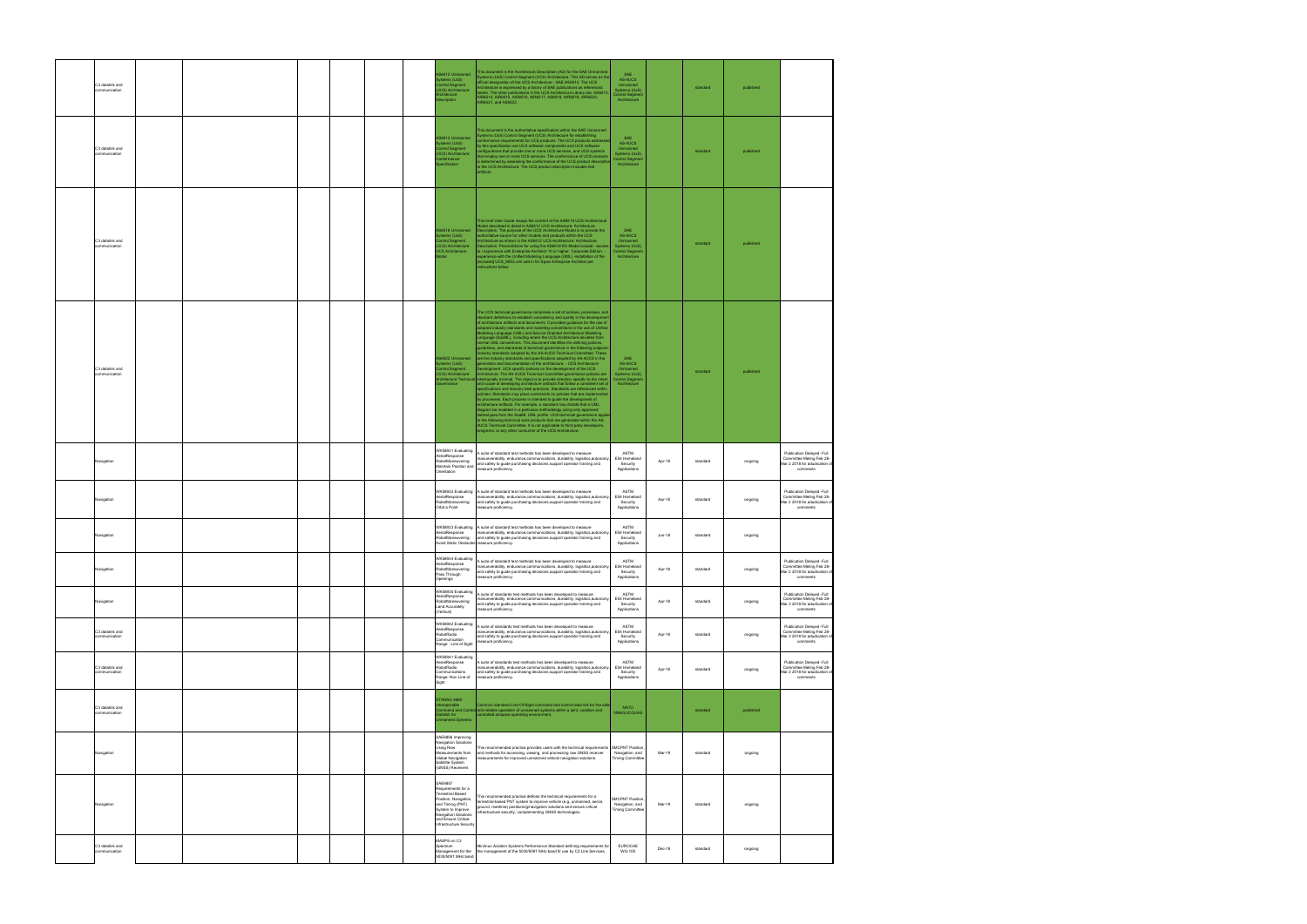| C3 datalink and<br>communication |  |  |  | S6512 Unmanned<br>stems (UxS)<br>iontrol Segment<br>JCS) Architecture:<br>chitecture<br>scription                                                                                            | This document is the Architecture Description (AD) for the SAE Unmanned<br>ystems (UxS) Control Segment (UCS) Architecture. This AD serves as the<br>ficial designation of the UCS Architecture - SAE AS6512. The UCS<br>rchitecture is expressed by a library of SAE publications as referenced<br>herein. The other publications in the UCS Architecture Library are: AS6513,<br>AIR6514, AIR6515, AIR6516, AIR6517, AS6518, AIR6519, AIR6520,<br>AIR6521, and AS6522.                                                                                                                                                                                                                                                                                                                                                                                                                                                                                                                                                                                                                                                                                                                                                                                                                                                                                                                                                                                                                                                                                                                                                                                                                                                                                                                                                                           | <b>SAF</b><br>AS-4UCS<br>Unmanned<br>Systems (UxS)<br><b>Control Segment</b><br>Architecture |        | standard | published |                                                                                                    |
|----------------------------------|--|--|--|----------------------------------------------------------------------------------------------------------------------------------------------------------------------------------------------|----------------------------------------------------------------------------------------------------------------------------------------------------------------------------------------------------------------------------------------------------------------------------------------------------------------------------------------------------------------------------------------------------------------------------------------------------------------------------------------------------------------------------------------------------------------------------------------------------------------------------------------------------------------------------------------------------------------------------------------------------------------------------------------------------------------------------------------------------------------------------------------------------------------------------------------------------------------------------------------------------------------------------------------------------------------------------------------------------------------------------------------------------------------------------------------------------------------------------------------------------------------------------------------------------------------------------------------------------------------------------------------------------------------------------------------------------------------------------------------------------------------------------------------------------------------------------------------------------------------------------------------------------------------------------------------------------------------------------------------------------------------------------------------------------------------------------------------------------|----------------------------------------------------------------------------------------------|--------|----------|-----------|----------------------------------------------------------------------------------------------------|
| C3 datalink and<br>ommunication  |  |  |  | S6513 Unmanned<br>stems (UxS)<br>.<br>JCS) Architecture:<br>JCS) Architecture:<br>onformance<br>ecification                                                                                  | This document is the authoritative specification within the SAE Unmanned<br>Systems (UxS) Control Segment (UCS) Architecture for establishing<br>nformance requirements for UCS products. The UCS products address<br>by this specification are UCS software components and UCS software<br>.<br>onfigurations that provide one or more UCS services, and UCS systems<br>that employ one or more UCS services. The conformance of UCS products<br>is determined by assessing the conformance of the UCS product descriptio<br>to the UCS Architecture. The UCS product description includes test<br>artifacts.                                                                                                                                                                                                                                                                                                                                                                                                                                                                                                                                                                                                                                                                                                                                                                                                                                                                                                                                                                                                                                                                                                                                                                                                                                     | SAF<br>AS-4UCS<br>Unmanned<br>Systems (UxS)<br><b>Control Segment</b><br>Architecture        |        | standard | published |                                                                                                    |
| C3 datalink and<br>communication |  |  |  | S6518 Unmanned<br>stems (UxS)<br>.<br>Iontrol Segment<br>JCS) Architecture:<br>CS Architecture<br>del                                                                                        | This brief User Guide recaps the content of the AS6518 UCS Architectural<br>lodel described in detail in AS6512 UCS Architecture: Architecture<br>Description. The purpose of the UCS Architecture Model is to provide the<br>uthoritative source for other models and products within the UCS<br>vchitecture as shown in the AS6512 UCS Architecture: Architecture<br>Description. Preconditions for using the AS6518 EA Model include: -access<br>to / experience with Enterprise Architect 10 or higher, Corporate Edition. -<br>experience with the Unified Modeling Language (UML) -installation of the<br>[included] UCS_MDG.xml add in for Sparx Enterprise Architect per<br>structions below                                                                                                                                                                                                                                                                                                                                                                                                                                                                                                                                                                                                                                                                                                                                                                                                                                                                                                                                                                                                                                                                                                                                               | <b>SAF</b><br>AS-4UCS<br>Unmanned<br>Systems (UxS)<br><b>Control Segment</b><br>Architecture |        | standard | published |                                                                                                    |
| C3 datalink and<br>ommunication  |  |  |  | S6522 Unmanned<br>ystems (UxS)<br>ontrol Segment<br><b>JCS)</b> Architecture:<br>chitecture Technica<br>vernance                                                                             | The UCS technical governance comprises a set of policies, processes, and<br>standard definitions to establish consistency and quality in the developmer<br>of architecture artifacts and documents. It provides guidance for the use of<br>adopted industry standards and modeling conventions in the use of Unified<br>Modeling Language (UML) and Service Oriented Architecture Modeling<br>.anguage (SoaML), including where the UCS Architecture deviates from<br>normal UML conventions. This document identifies the defining policies,<br>guidelines, and standards of technical governance in the following subjects<br>dustry standards adopted by the AS-4UCS Technical Committee: These<br>are the industry standards and specifications adopted by AS-4UCS in the<br>eneration and documentation of the architecture. - UCS Architecture<br>Development: UCS specific policies on the development of the UCS<br>rchitecture. The AS-4UCS Technical Committee governance policies are<br>tentionally minimal. The object is to provide direction specific to the intent<br>and scope of developing architecture artifacts that follow a consistent set o<br>specifications and industry best practices. Standards are referenced within<br>oolicies. Standards may place constraints on policies that are implemente<br>by processes. Each process is intended to guide the development of<br>rchitecture artifacts. For example, a standard may dictate that a UML<br>diagram be modeled in a particular methodology using only approved<br>ereotypes from the SoaML UML profile. UCS technical governance appl<br>to the following technical work products that are generated within the AS-<br>4UCS Technical Committee. It is not applicable to third party developers,<br>programs, or any other consumer of the UCS Architecture. | SAE<br>AS-4UCS<br>Unmanned<br>Systems (UxS)<br>Control Segmen<br>Architecture                |        | standard | published |                                                                                                    |
| Navigation                       |  |  |  | WK58931 Evaluating<br>AerialResponse<br>RobotManeuvering:<br>Maintain Position and<br>Orientation                                                                                            | A suite of standard test methods has been developed to measure<br>anueverability, endurance,communications, durability, logisitics,autonomy<br>and safety to guide purchasing decisions, support operator training and<br>easure proficiency.                                                                                                                                                                                                                                                                                                                                                                                                                                                                                                                                                                                                                                                                                                                                                                                                                                                                                                                                                                                                                                                                                                                                                                                                                                                                                                                                                                                                                                                                                                                                                                                                      | ASTM<br>E54 Homeland<br>Security<br>Applications                                             | Apr-18 | standard | ongoing   | Publication Delayed -Full<br>Committee Meting Feb 28-<br>Mar 2 2018 for adudication of<br>comments |
| Navigation                       |  |  |  | AerialResponse<br>RobotManeuvering:<br>Orbit a Point                                                                                                                                         | WK58932 Evaluating A suite of standard test methods has been developed to measure<br>manueverability, endurance.communications, durability, logisitics.autonom<br>and safety to guide purchasing decisions, support operator training and<br>easure proficiency.                                                                                                                                                                                                                                                                                                                                                                                                                                                                                                                                                                                                                                                                                                                                                                                                                                                                                                                                                                                                                                                                                                                                                                                                                                                                                                                                                                                                                                                                                                                                                                                   | ASTM<br>E54 Homeland<br>Security<br>Applications                                             | Apr-18 | standard | ongoing   | Publication Delaved -Full<br>Committee Meting Feb 28-<br>Mar 2 2018 for adudication o<br>comments  |
| Navigation                       |  |  |  | AerialResponse<br>Avoid Static Obstacles measure proficiency.                                                                                                                                | WK58933 Evaluating A suite of standard test methods has been developed to measure<br>manueverability, endurance,communications, durability, logisitics,autonom<br>RobotManeuvering: and safety to guide purchasing decisions, support operator training and                                                                                                                                                                                                                                                                                                                                                                                                                                                                                                                                                                                                                                                                                                                                                                                                                                                                                                                                                                                                                                                                                                                                                                                                                                                                                                                                                                                                                                                                                                                                                                                        | ASTM<br>E54 Homeland<br>Security<br>Applications                                             | Jun-18 | standard | ongoing   |                                                                                                    |
| Navigation                       |  |  |  | WK58934 Evaluating<br>AerialResponse<br>RobotManeuvering:<br>Pass Through<br>Openings                                                                                                        | A suite of standard test methods has been developed to measure<br>nanueverability, endurance,communications, durability, logisitics,autonomy<br>and safety to guide purchasing decisions, support operator training and<br>easure proficiency.                                                                                                                                                                                                                                                                                                                                                                                                                                                                                                                                                                                                                                                                                                                                                                                                                                                                                                                                                                                                                                                                                                                                                                                                                                                                                                                                                                                                                                                                                                                                                                                                     | ASTM<br>E54 Homeland<br>Security<br>Applications                                             | Apr-18 | standard | ongoing   | Publication Delayed -Full<br>Committee Meting Feb 28-<br>Mar 2 2018 for adudication o<br>comments  |
| Navigation                       |  |  |  | WK58935 Evaluating<br>AerialResponse<br>RobotManeuvering:<br>Land Accurately<br>Vertical)                                                                                                    | A suite of standards test methods has been developed to measure<br>nanueverability, endurance,communications, durability, logisitics,autonom<br>and safety to guide purchasing decisions, support operator training and<br>easure proficiency.                                                                                                                                                                                                                                                                                                                                                                                                                                                                                                                                                                                                                                                                                                                                                                                                                                                                                                                                                                                                                                                                                                                                                                                                                                                                                                                                                                                                                                                                                                                                                                                                     | ASTM<br>E54 Homeland<br>Security<br>Applications                                             | Apr-18 | standard | ongoing   | Publication Delayed -Full<br>Committee Meting Feb 28-<br>Mar 2 2018 for adudication of<br>comments |
| C3 datalink and<br>communication |  |  |  | WK58942 Evaluating<br>AerialResponse<br>RobotRadio<br>Communication<br>Range : Line of Sight                                                                                                 | A suite of standards test methods has been developed to measure<br>nanueverability, endurance.communications, durability, logisitics.autonom<br>and safety to guide purchasing decisions, support operator training and<br>easure proficiency.                                                                                                                                                                                                                                                                                                                                                                                                                                                                                                                                                                                                                                                                                                                                                                                                                                                                                                                                                                                                                                                                                                                                                                                                                                                                                                                                                                                                                                                                                                                                                                                                     | ASTM<br>E54 Homeland<br>Security<br>Applications                                             | Apr-18 | standard | ongoing   | Publication Delayed -Full<br>Committee Meting Feb 28-<br>Mar 2 2018 for adudication o<br>comments  |
| C3 datalink and<br>communication |  |  |  | WK58941 Evaluating<br>AerialResponse<br><b>RobotRadio</b><br>Communications<br>Range: Non Line of<br>Sight                                                                                   | A suite of standards test methods has been developed to measure<br>nanueverability, endurance,communications, durability, logisitics,autonomy<br>and safety to guide purchasing decisions, support operator training and<br>measure proficiency.                                                                                                                                                                                                                                                                                                                                                                                                                                                                                                                                                                                                                                                                                                                                                                                                                                                                                                                                                                                                                                                                                                                                                                                                                                                                                                                                                                                                                                                                                                                                                                                                   | ASTM<br>E54 Homeland<br>Security<br>Applications                                             | Apr-18 | standard | ongoing   | Publication Delayed -Full<br>Committee Meting Feb 28-<br>Mar 2 2018 for adudication of<br>comments |
| C3 datalink and<br>communication |  |  |  | - GANAG 4660<br>roperable<br>nmand and Contro<br>atalink for<br><b>Imanned Systems</b>                                                                                                       | Common standard Line-Of-Sight command and control data link for the safe<br>and reliable operation of unmanned systems within a joint, coalition and<br>controlled airspace operating environment.                                                                                                                                                                                                                                                                                                                                                                                                                                                                                                                                                                                                                                                                                                                                                                                                                                                                                                                                                                                                                                                                                                                                                                                                                                                                                                                                                                                                                                                                                                                                                                                                                                                 | <b>NATO</b><br><b>NNAG/JCGUAS</b>                                                            |        | standard | published |                                                                                                    |
| Navigation                       |  |  |  | SAE6856 Improving<br><b>Navigation Solutions</b><br>Using Raw<br>leasurements from<br><b>Global Navigation</b><br>Satellite System<br>(GNSS) Receivers                                       | This recommended practice provides users with the technical requirements<br>and methods for accessing, viewing, and processing raw GNSS receiver<br>neasurements for improved unmanned vehicle navigation solutions.                                                                                                                                                                                                                                                                                                                                                                                                                                                                                                                                                                                                                                                                                                                                                                                                                                                                                                                                                                                                                                                                                                                                                                                                                                                                                                                                                                                                                                                                                                                                                                                                                               | <b>SMCPNT Position</b><br>Navigation, and<br><b>Timing Committee</b>                         | Mar-19 | standard | ongoing   |                                                                                                    |
| Navigation                       |  |  |  | SAE6857<br>Requirements for a<br>Terrestrial Based<br>osition, Navigation,<br>and Timing (PNT)<br>System to Improve<br>Navigation Solutions<br>and Ensure Critical<br>nfrastructure Security | This recommended practice defines the technical requirements for a<br>terrestrial-based PNT system to improve vehicle (e.g. unmanned, aerial,<br>ground, maritime) positioning/navigation solutions and ensure critical<br>frastructure security, complementing GNSS technologies.                                                                                                                                                                                                                                                                                                                                                                                                                                                                                                                                                                                                                                                                                                                                                                                                                                                                                                                                                                                                                                                                                                                                                                                                                                                                                                                                                                                                                                                                                                                                                                 | MCPNT Position<br>Navigation, and<br><b>Timing Committee</b>                                 | Mar-19 | standard | ongoing   |                                                                                                    |
| C3 datalink and<br>communication |  |  |  | MASPS on C3<br>spectrum<br>Management for the<br>5030/5091 MHz band                                                                                                                          | Minimun Aviation Systems Performance Standard defining requirements for<br>the management of the 5030/5091 MHz band fir use by C2 Link Services                                                                                                                                                                                                                                                                                                                                                                                                                                                                                                                                                                                                                                                                                                                                                                                                                                                                                                                                                                                                                                                                                                                                                                                                                                                                                                                                                                                                                                                                                                                                                                                                                                                                                                    | <b>EUROCAE</b><br><b>WG-105</b>                                                              | Dec-18 | standard | ongoing   |                                                                                                    |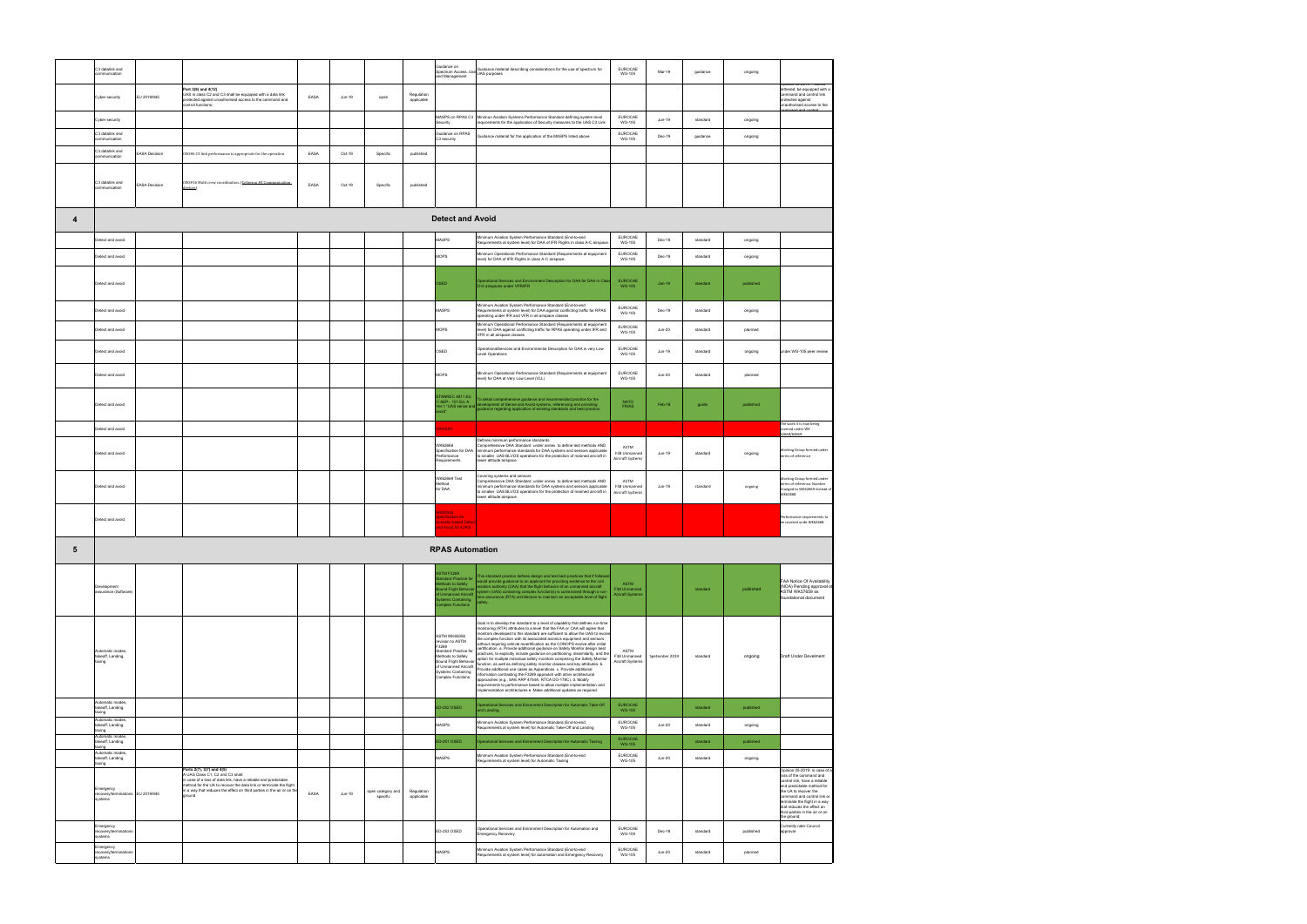|   | C3 datalink and<br>ommunication                           |                      |                                                                                                                                                                                                                                                                                            |      |        |                               |                          | <b>Guidance on</b><br>and Management                                                                                                                                                       | Guidance on<br>Spectrum Access, Use Guidance material describing considerations for the use of spectrum for<br>and Management                                                                                                                                                                                                                                                                                                                                                                                                                                                                                                                                                                                                                                                                                                                                                                                                                                                                                                                                                                     | EUROCAE<br><b>WG-105</b>                        | Mar-19         | guidance | ongoing   |                                                                                                                                                                                                                                                                                                 |
|---|-----------------------------------------------------------|----------------------|--------------------------------------------------------------------------------------------------------------------------------------------------------------------------------------------------------------------------------------------------------------------------------------------|------|--------|-------------------------------|--------------------------|--------------------------------------------------------------------------------------------------------------------------------------------------------------------------------------------|---------------------------------------------------------------------------------------------------------------------------------------------------------------------------------------------------------------------------------------------------------------------------------------------------------------------------------------------------------------------------------------------------------------------------------------------------------------------------------------------------------------------------------------------------------------------------------------------------------------------------------------------------------------------------------------------------------------------------------------------------------------------------------------------------------------------------------------------------------------------------------------------------------------------------------------------------------------------------------------------------------------------------------------------------------------------------------------------------|-------------------------------------------------|----------------|----------|-----------|-------------------------------------------------------------------------------------------------------------------------------------------------------------------------------------------------------------------------------------------------------------------------------------------------|
|   | Cyber security                                            | EU 2019/945          | Part 3(8) and 4(12)<br>UAS in class C2 and C3 shall be equipped with a data link<br>protected against unauthorised access to the command and                                                                                                                                               | EASA | Jun-19 | open                          | Regulation<br>applicable |                                                                                                                                                                                            |                                                                                                                                                                                                                                                                                                                                                                                                                                                                                                                                                                                                                                                                                                                                                                                                                                                                                                                                                                                                                                                                                                   |                                                 |                |          |           | Joinion US-2019 : Uniess<br>tethered, be equipped with a<br>command and control link<br>protected against                                                                                                                                                                                       |
|   | Cyber security                                            |                      | control functions;                                                                                                                                                                                                                                                                         |      |        |                               |                          | MASPS on RPAS C3                                                                                                                                                                           | Minimun Aviation Systems Performance Standard defining system level                                                                                                                                                                                                                                                                                                                                                                                                                                                                                                                                                                                                                                                                                                                                                                                                                                                                                                                                                                                                                               | EUROCAE                                         | Jun-19         | standard | ongoing   | unauthorised access to the<br>mand and contro                                                                                                                                                                                                                                                   |
|   | C3 datalink and                                           |                      |                                                                                                                                                                                                                                                                                            |      |        |                               |                          | Security<br><b>Suidance on RPAS</b>                                                                                                                                                        | equirements for the application of Security measures to the UAS C3 Link<br>Suidance material for the application of the MASPS listed above                                                                                                                                                                                                                                                                                                                                                                                                                                                                                                                                                                                                                                                                                                                                                                                                                                                                                                                                                        | <b>WG-105</b><br><b>EUROCAE</b>                 | Dec-19         | guidance | ongoing   |                                                                                                                                                                                                                                                                                                 |
|   | communication<br>C3 datalink and                          | <b>EASA Decision</b> | OSO#6 C3 link performance is appropriate for the operation                                                                                                                                                                                                                                 | EASA | Oct-19 | Specific                      | published                | C3 security                                                                                                                                                                                |                                                                                                                                                                                                                                                                                                                                                                                                                                                                                                                                                                                                                                                                                                                                                                                                                                                                                                                                                                                                                                                                                                   | <b>WG-105</b>                                   |                |          |           |                                                                                                                                                                                                                                                                                                 |
|   | communication                                             |                      |                                                                                                                                                                                                                                                                                            |      |        |                               |                          |                                                                                                                                                                                            |                                                                                                                                                                                                                                                                                                                                                                                                                                                                                                                                                                                                                                                                                                                                                                                                                                                                                                                                                                                                                                                                                                   |                                                 |                |          |           |                                                                                                                                                                                                                                                                                                 |
|   | C3 datalink and<br>communication                          | <b>EASA Decision</b> | 0S0#16 Multi crew coordination. (Criterion #3 Communication<br>devices)                                                                                                                                                                                                                    | EASA | Oct-19 | Specific                      | published                |                                                                                                                                                                                            |                                                                                                                                                                                                                                                                                                                                                                                                                                                                                                                                                                                                                                                                                                                                                                                                                                                                                                                                                                                                                                                                                                   |                                                 |                |          |           |                                                                                                                                                                                                                                                                                                 |
| 4 |                                                           |                      |                                                                                                                                                                                                                                                                                            |      |        |                               |                          | <b>Detect and Avoid</b>                                                                                                                                                                    |                                                                                                                                                                                                                                                                                                                                                                                                                                                                                                                                                                                                                                                                                                                                                                                                                                                                                                                                                                                                                                                                                                   |                                                 |                |          |           |                                                                                                                                                                                                                                                                                                 |
|   | Detect and avoid                                          |                      |                                                                                                                                                                                                                                                                                            |      |        |                               |                          | MASPS                                                                                                                                                                                      | Minimum Aviation System Performance Standard (End-to-end<br>Requirements at system level) for DAA of IFR Flights in class A-C airspace                                                                                                                                                                                                                                                                                                                                                                                                                                                                                                                                                                                                                                                                                                                                                                                                                                                                                                                                                            | EUROCAE<br><b>WG-105</b>                        | Dec-18         | standard | ongoing   |                                                                                                                                                                                                                                                                                                 |
|   | Detect and avoid                                          |                      |                                                                                                                                                                                                                                                                                            |      |        |                               |                          | MOPS                                                                                                                                                                                       | Minimum Operational Performance Standard (Requirements at equipment<br>evel) for DAA of IFR Flights in class A-C airspace.                                                                                                                                                                                                                                                                                                                                                                                                                                                                                                                                                                                                                                                                                                                                                                                                                                                                                                                                                                        | EUROCAE<br><b>WG-105</b>                        | Dec-19         | standard | ongoing   |                                                                                                                                                                                                                                                                                                 |
|   | Detect and avoid                                          |                      |                                                                                                                                                                                                                                                                                            |      |        |                               |                          | OSED                                                                                                                                                                                       | Operational Services and Environment Description for DAA for DAA in Class<br>D-G airspaces under VFR/IFR                                                                                                                                                                                                                                                                                                                                                                                                                                                                                                                                                                                                                                                                                                                                                                                                                                                                                                                                                                                          | EUROCAE<br><b>WG-105</b>                        | $Jan-19$       | standard | published |                                                                                                                                                                                                                                                                                                 |
|   | Detect and avoid                                          |                      |                                                                                                                                                                                                                                                                                            |      |        |                               |                          | MASPS                                                                                                                                                                                      | Minimum Aviation System Performance Standard (End-to-end<br>Requirements at system level) for DAA against conflicting traffic for RPAS                                                                                                                                                                                                                                                                                                                                                                                                                                                                                                                                                                                                                                                                                                                                                                                                                                                                                                                                                            | EUROCAE<br><b>WG-105</b>                        | Dec-19         | standard | ongoing   |                                                                                                                                                                                                                                                                                                 |
|   | Detect and avoid                                          |                      |                                                                                                                                                                                                                                                                                            |      |        |                               |                          | <b>MOPS</b>                                                                                                                                                                                | operating under IFR and VFR in all airspace classes<br>Minimum Operational Performance Standard (Requirements at equipment<br>level) for DAA against conflicting traffic for RPAS operating under IFR and                                                                                                                                                                                                                                                                                                                                                                                                                                                                                                                                                                                                                                                                                                                                                                                                                                                                                         | EUROCAE<br><b>WG-105</b>                        | Jun-20         | standard | planned   |                                                                                                                                                                                                                                                                                                 |
|   | Detect and avoid                                          |                      |                                                                                                                                                                                                                                                                                            |      |        |                               |                          | OSED                                                                                                                                                                                       | VFR in all airspace classes<br>OperationalServices and Environmental Description for DAA in very Low<br>Level Operations                                                                                                                                                                                                                                                                                                                                                                                                                                                                                                                                                                                                                                                                                                                                                                                                                                                                                                                                                                          | EUROCAE<br><b>WG-105</b>                        | Jun-19         | standard | ongoing   | under WG-105 peer review                                                                                                                                                                                                                                                                        |
|   | Detect and avoid                                          |                      |                                                                                                                                                                                                                                                                                            |      |        |                               |                          | <b>MOPS</b>                                                                                                                                                                                | Minimum Operational Performance Standard (Requirements at equipment<br>level) for DAA at Very Low Level (VLL)                                                                                                                                                                                                                                                                                                                                                                                                                                                                                                                                                                                                                                                                                                                                                                                                                                                                                                                                                                                     | EUROCAE<br><b>WG-105</b>                        | $Jun-20$       | standard | planned   |                                                                                                                                                                                                                                                                                                 |
|   | Detect and avoid                                          |                      |                                                                                                                                                                                                                                                                                            |      |        |                               |                          | STANREC 4811 Ed.<br>/ AEP-, 101 Ed. A<br>er.1 "UAS sense and                                                                                                                               | To detail comprehensive guidance and recommended practice for the<br>development of Sense and Avoid systems, referencing and providing<br>guidance regarding application of existing standards and best practice.                                                                                                                                                                                                                                                                                                                                                                                                                                                                                                                                                                                                                                                                                                                                                                                                                                                                                 | <b>NATO</b><br><b>FINAS</b>                     | Feb-18         | guide    | published |                                                                                                                                                                                                                                                                                                 |
|   | Detect and avoid                                          |                      |                                                                                                                                                                                                                                                                                            |      |        |                               |                          | <b>KXXXXX</b>                                                                                                                                                                              |                                                                                                                                                                                                                                                                                                                                                                                                                                                                                                                                                                                                                                                                                                                                                                                                                                                                                                                                                                                                                                                                                                   |                                                 |                |          |           | The work it is now being<br>overed under WK<br>62668/62669                                                                                                                                                                                                                                      |
|   | Detect and avoid                                          |                      |                                                                                                                                                                                                                                                                                            |      |        |                               |                          | WK62668<br>Specification for DAA<br>Performance<br>Requirements                                                                                                                            | Defines minimum performance standards<br>comprehensive DAA Standard under annex to define test methods AND<br>ninimum performance standards for DAA systems and sensors applicable<br>smaller UAS BLVOS operations for the protection of manned aircraft in<br>wer altitude airspace                                                                                                                                                                                                                                                                                                                                                                                                                                                                                                                                                                                                                                                                                                                                                                                                              | <b>ASTM</b><br>F38 Unmanned<br>Aircraft Systems | Jun-19         | standard | ongoing   | <b>Norking Group formed under</b><br>erms of reference                                                                                                                                                                                                                                          |
|   | Detect and avoid                                          |                      |                                                                                                                                                                                                                                                                                            |      |        |                               |                          | WK62669 Test<br><b>Aethod</b><br>for DAA                                                                                                                                                   | overing systems and sensors<br>Comprehensive DAA Standard under annex to define test methods AND<br>ninimum performance standards for DAA systems and sensors applicable<br>smaller UAS BLVOS operations for the protection of manned aircraft in<br>wer altitude airspace.                                                                                                                                                                                                                                                                                                                                                                                                                                                                                                                                                                                                                                                                                                                                                                                                                       | ASTM<br>F38 Unmanned<br>Aircraft Systems        | Jun-19         | standard | ongoing   | Vorking Group formed under<br>terms of reference. Number<br>changed to WK62669 instead of<br>VK62668                                                                                                                                                                                            |
|   | Detect and avoid                                          |                      |                                                                                                                                                                                                                                                                                            |      |        |                               |                          | K60936<br>pecification for<br>oustic-based Detect<br>d Avoid for sUAS                                                                                                                      |                                                                                                                                                                                                                                                                                                                                                                                                                                                                                                                                                                                                                                                                                                                                                                                                                                                                                                                                                                                                                                                                                                   |                                                 |                |          |           | Performance requirements to<br>be covered unde WK62668                                                                                                                                                                                                                                          |
| 5 |                                                           |                      |                                                                                                                                                                                                                                                                                            |      |        |                               |                          | <b>RPAS Automation</b>                                                                                                                                                                     |                                                                                                                                                                                                                                                                                                                                                                                                                                                                                                                                                                                                                                                                                                                                                                                                                                                                                                                                                                                                                                                                                                   |                                                 |                |          |           |                                                                                                                                                                                                                                                                                                 |
|   | Development<br>assurance (Software                        |                      |                                                                                                                                                                                                                                                                                            |      |        |                               |                          | <b>ASTM F3269</b><br>andard Practice for<br>thods to Safely<br>und Flight Behavior<br><b>Unmanned Aircraft</b><br>ystems Containing<br>complex Eunctions                                   | This standard practice defines design and test best practices that if follows<br>would provide guidance to an applicant for providing evidence to the civil<br>iviation authority (CAA) that the flight behavior of an unmanned aircraft<br>ystem (UAS) containing complex function(s) is constrained through a run-<br>me assurance (RTA) architecture to maintain an acceptable level of flight<br>afety.                                                                                                                                                                                                                                                                                                                                                                                                                                                                                                                                                                                                                                                                                       | ASTM<br>F38 Unmanned<br><b>Aircraft Systems</b> |                | standard | published | FAA Notice Of Availability<br>(NOA) Pending approval of<br>ASTM WK57659 as<br>foundational document                                                                                                                                                                                             |
|   | Automatic modes,<br>takeoff, Landing,<br>taxing           |                      |                                                                                                                                                                                                                                                                                            |      |        |                               |                          | ASTM WK65056<br>revision to ASTM<br>F3269<br>Standard Practice for<br>Methods to Safely<br><b>Bound Flight Behavior</b><br>of Unmanned Aircraft<br>Systems Containing<br>Complex Functions | Goal is to develop the standard to a level of capability that defines run-time<br>monitoring (RTA) attributes to a level that the FAA or CAA will agree that<br>nonitors developed to this standard are sufficient to allow the UAS to evolv<br>the complex function with its associated avionics equipment and sensors<br>vithout requiring vehicle recertification as the CONOPS evolve after initial<br>certification. a. Provide additional guidance on Safety Monitor design best<br>practices, to explicitly include guidance on partitioning, dissimilarity, and the<br>option for multiple individual safety monitors comprising the Safety Monitor<br>unction, as well as defining safety monitor classes and key attributes. b.<br>rovide additional use cases as Appendices. c. Provide additional<br>iformation contrasting the F3269 approach with other architectural<br>approaches (e.g., SAE ARP 4754A, RTCA DO-178C). d. Modify<br>requirements to performance based to allow multiple implementation and<br>mplementation architectures e. Make additional updates as required. | ASTM<br>F38 Unmanned<br>Aircraft Systems        | Spetember 2019 | standard | ongoing   | Draft Under Develment                                                                                                                                                                                                                                                                           |
|   | Automatic modes,<br>takeoff, Landing,<br>taxing           |                      |                                                                                                                                                                                                                                                                                            |      |        |                               |                          | <b>ED-252 OSED</b>                                                                                                                                                                         | Operational Services and Enironment Description for Automatic Take-Off<br>and Landing.                                                                                                                                                                                                                                                                                                                                                                                                                                                                                                                                                                                                                                                                                                                                                                                                                                                                                                                                                                                                            | EUROCAE<br><b>WG-105</b>                        |                | standard | published |                                                                                                                                                                                                                                                                                                 |
|   | Automatic modes,<br>takeoff, Landing,<br>taxing           |                      |                                                                                                                                                                                                                                                                                            |      |        |                               |                          | MASPS                                                                                                                                                                                      | Minimum Aviation System Performance Standard (End-to-end<br>Requirements at system level) for Automatic Take-Off and Landing                                                                                                                                                                                                                                                                                                                                                                                                                                                                                                                                                                                                                                                                                                                                                                                                                                                                                                                                                                      | EUROCAE<br>WG-105                               | $Jun-20$       | standard | ongoing   |                                                                                                                                                                                                                                                                                                 |
|   | Automatic modes.<br>takeoff, Landing,<br>taxing           |                      |                                                                                                                                                                                                                                                                                            |      |        |                               |                          | ED-251 OSED                                                                                                                                                                                | perational Services and Enironment Description for Automatic Taxiing                                                                                                                                                                                                                                                                                                                                                                                                                                                                                                                                                                                                                                                                                                                                                                                                                                                                                                                                                                                                                              | <b>EUROCAE</b><br><b>WG-105</b>                 |                | standard | published |                                                                                                                                                                                                                                                                                                 |
|   | Automatic modes<br>takeoff, Landing,<br>taxing            |                      |                                                                                                                                                                                                                                                                                            |      |        |                               |                          | MASPS                                                                                                                                                                                      | Minimum Aviation System Performance Standard (End-to-end<br>Requirements at system level) for Automatic Taxiing                                                                                                                                                                                                                                                                                                                                                                                                                                                                                                                                                                                                                                                                                                                                                                                                                                                                                                                                                                                   | EUROCAE<br>WG-105                               | $Jun-20$       | standard | ongoing   |                                                                                                                                                                                                                                                                                                 |
|   | Emergency<br>recovery/terminations EU 2019/945<br>systems |                      | Parts 2(7), 3(7) and 4(5)<br>A UAS Class C1, C2 and C3 shall:<br>in case of a loss of data link, have a reliable and predictable<br>method for the UA to recover the data link or terminate the flight<br>in a way that reduces the effect on third parties in the air or on the<br>around | EASA | Jun-19 | open category and<br>specific | Regulation<br>applicable |                                                                                                                                                                                            |                                                                                                                                                                                                                                                                                                                                                                                                                                                                                                                                                                                                                                                                                                                                                                                                                                                                                                                                                                                                                                                                                                   |                                                 |                |          |           | Opinion 05-2019: in case of a<br>loss of the command and<br>control link, have a reliable<br>and predictable method for<br>the UA to recover the<br>command and control link or<br>terminate the flight in a way<br>that reduces the effect on<br>third parties in the air or on<br>the ground; |
|   | Emergency<br>recovery/termination                         |                      |                                                                                                                                                                                                                                                                                            |      |        |                               |                          | ED-253 OSED                                                                                                                                                                                | Operational Services and Enironment Description for Automation and<br>mergency Recovery                                                                                                                                                                                                                                                                                                                                                                                                                                                                                                                                                                                                                                                                                                                                                                                                                                                                                                                                                                                                           | <b>EUROCAE</b><br><b>WG-105</b>                 | Dec-18         | standard | published | Currently nder Council<br>approval                                                                                                                                                                                                                                                              |
|   | systems<br>Emergency<br>recovery/termination<br>systems   |                      |                                                                                                                                                                                                                                                                                            |      |        |                               |                          | MASPS                                                                                                                                                                                      | Minimum Aviation System Performance Standard (End-to-end<br>Requirements at system level) for automation and Emergency Recovery                                                                                                                                                                                                                                                                                                                                                                                                                                                                                                                                                                                                                                                                                                                                                                                                                                                                                                                                                                   | EUROCAE<br>WG-105                               | $Jun-20$       | standard | planned   |                                                                                                                                                                                                                                                                                                 |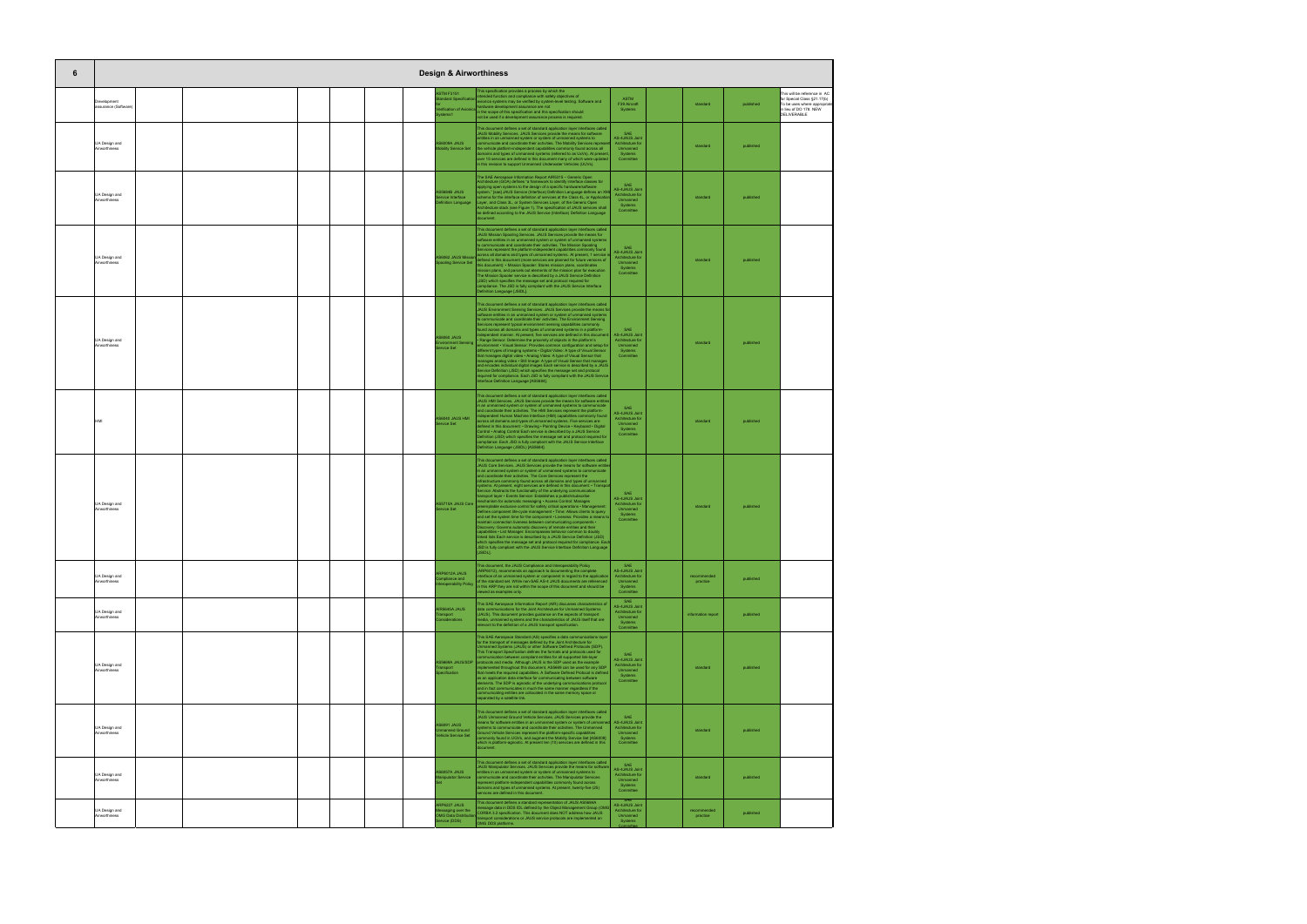| 6                                     |  |  | <b>Design &amp; Airworthiness</b>                                        |                                                                                                                                                                                                                                                                                                                                                                                                                                                                                                                                                                                                                                                                                                                                                                                                                                                                                                                                                                                                                                                                                                                                                                                                                                                                                                                                                             |                                                                                             |                         |           |                                                                                                                                    |
|---------------------------------------|--|--|--------------------------------------------------------------------------|-------------------------------------------------------------------------------------------------------------------------------------------------------------------------------------------------------------------------------------------------------------------------------------------------------------------------------------------------------------------------------------------------------------------------------------------------------------------------------------------------------------------------------------------------------------------------------------------------------------------------------------------------------------------------------------------------------------------------------------------------------------------------------------------------------------------------------------------------------------------------------------------------------------------------------------------------------------------------------------------------------------------------------------------------------------------------------------------------------------------------------------------------------------------------------------------------------------------------------------------------------------------------------------------------------------------------------------------------------------|---------------------------------------------------------------------------------------------|-------------------------|-----------|------------------------------------------------------------------------------------------------------------------------------------|
| Development<br>assurance (Software)   |  |  | <b>ASTM F3151</b><br>ndard Specification                                 | This specification provides a process by which the<br>tended function and compliance with safety objectives of<br>avionics systems may be verified by system-level testing. Software and<br>rdware development assurance are not<br>erification of Avionics in the scope of this specification and this specification should<br>not be used if a development assurance process is required.                                                                                                                                                                                                                                                                                                                                                                                                                                                                                                                                                                                                                                                                                                                                                                                                                                                                                                                                                                 | <b>ASTM</b><br>F39 Aircraft<br>Systems                                                      | standard                | published | This will be reference in AC<br>for Special Class §21.17(b)<br>To be uses where appropria<br>in lieu of DO 178. NEW<br>DELIVERABLE |
| UA Design and<br>Airworthiness        |  |  | S6009A JAUS<br><b>Iobility Service Set</b>                               | This document defines a set of standard application layer interfaces called<br>JAUS Mobility Services. JAUS Services provide the means for software<br>ntities in an unmanned system or system of unmanned systems to<br>ommunicate and coordinate their activities. The Mobility Services represe<br>the vehicle platform-independent capabilities commonly found across all<br>lomains and types of unmanned systems (referred to as UxVs). At presen<br>over 15 services are defined in this document many of which were updated<br>in this revision to support Unmanned Underwater Vehicles (UUVs).                                                                                                                                                                                                                                                                                                                                                                                                                                                                                                                                                                                                                                                                                                                                                     | SAF<br><b>AS-4JAUS Joint</b><br>Architecture for<br>Unmanned<br>Systems<br>Committee        | standard                | published |                                                                                                                                    |
| UA Design and<br>Airworthiness        |  |  | S5684B JAUS<br>rvice Interface<br>inition Language                       | The SAE Aerospace Information Report AIR5315 - Generic Open<br>Architecture (GOA) defines "a framework to identify interface classes for<br>applying open systems to the design of a specific hardware/software<br>system." [sae] JAUS Service (Interface) Definition Language defines an XM<br>chema for the interface definition of services at the Class 4L, or Application<br>Layer, and Class 3L, or System Services Layer, of the Generic Open<br>Architecture stack (see Figure 1). The specification of JAUS services shall<br>be defined according to the JAUS Service (Interface) Definition Language<br>document.                                                                                                                                                                                                                                                                                                                                                                                                                                                                                                                                                                                                                                                                                                                                | SAE<br><b>AS-4JAUS Joint</b><br>Architecture for<br>Unmanned<br>Systems<br>Committee        | standard                | published |                                                                                                                                    |
| UA Design and<br>Airworthiness        |  |  |                                                                          | This document defines a set of standard application layer interfaces called<br>JAUS Mission Spooling Services. JAUS Services provide the means for<br>oftware entities in an unmanned system or system of unmanned systems<br>to communicate and coordinate their activities. The Mission Spooling<br>Services represent the platform-independent capabilities commonly found<br>across all domains and types of unmanned systems. At present, 1 service i<br>AS6062 JAUS Mission <b>Bullets an unified and view of European are planned</b> for future versions of<br>oling Service Set this document): • Mission Spooler: Stores mission plans, coordinates<br>ission plans, and parcels out elements of the mission plan for execution<br>The Mission Spooler service is described by a JAUS Service Definition<br>(JSD) which specifies the message set and protocol required for<br>ompliance. The JSD is fully compliant with the JAUS Service Interface<br>Definition Language [JSIDL].                                                                                                                                                                                                                                                                                                                                                              | SAE<br><b>AS-4JAUS Joint</b><br>Architecture for<br>Unmanned<br>Systems<br>Committee        | standard                | published |                                                                                                                                    |
| UA Design and<br>Airworthiness        |  |  | <b>AS6060 JAUS</b><br>ironment Sensing<br>rvice Set                      | This document defines a set of standard application layer interfaces called<br>JAUS Environment Sensing Services. JAUS Services provide the means fo<br>software entities in an unmanned system or system of unmanned systems<br>to communicate and coordinate their activities. The Environment Sensing<br>Services represent typical environment sensing capabilities commonly<br>found across all domains and types of unmanned systems in a platform-<br>dependent manner. At present, five services are defined in this documer<br>Range Sensor: Determine the proximity of objects in the platform's<br>nvironment • Visual Sensor: Provides common configuration and setup fo<br>different types of imaging systems . Digital Video: A type of Visual Sensor<br>that manages digital video . Analog Video: A type of Visual Sensor that<br>manages analog video . Still Image: A type of Visual Sensor that manages<br>and encodes individual digital images Each service is described by a JAUS<br>Service Definition (JSD) which specifies the message set and protocol<br>required for compliance. Each JSD is fully compliant with the JAUS Service<br>Interface Definition Language [AS5684].                                                                                                                                                   | SAE<br><b>AS-4JAUS Joint</b><br>Architecture for<br>Unmanned<br>Systems<br>Committee        | standard                | published |                                                                                                                                    |
| IMF                                   |  |  | IMH 2UAL 0N034<br>ervice Set                                             | This document defines a set of standard application layer interfaces called<br>JAUS HMI Services. JAUS Services provide the means for software entitie<br>in an unmanned system or system of unmanned systems to communicate<br>and coordinate their activities. The HMI Services represent the platform-<br>dependent Human Machine Interface (HMI) capabilities commonly found<br>cross all domains and types of unmanned systems. Five services are<br>defined in this document: • Drawing • Pointing Device • Keyboard • Digital<br>Control · Analog Control Each service is described by a JAUS Service<br>Definition (JSD) which specifies the message set and protocol required for<br>compliance. Each JSD is fully compliant with the JAUS Service Interface<br>Definition Language (JSIDL) [AS5684].                                                                                                                                                                                                                                                                                                                                                                                                                                                                                                                                              | SAE<br><b>AS-4JAUS Joint</b><br>Architecture for<br>Unmanned<br>Systems<br>Committee        | standard                | published |                                                                                                                                    |
| <b>UA Design and</b><br>Airworthiness |  |  | S5710A JAUS Core<br>ervice Set                                           | This document defines a set of standard application layer interfaces called<br>JAUS Core Services. JAUS Services provide the means for software entiti<br>in an unmanned system or system of unmanned systems to communicate<br>and coordinate their activities. The Core Services represent the<br>infrastructure commonly found across all domains and types of unmanned<br>systems. At present, eight services are defined in this document: . Transpo<br>Service: Abstracts the functionality of the underlying communication<br>ansport layer · Events Service: Establishes a publish/subscribe<br>echanism for automatic messaging . Access Control: Manages<br>reemptable exclusive control for safety critical operations . Manager<br>Defines component life-cycle management . Time: Allows clients to query<br>and set the system time for the component . Liveness: Provides a means to<br>maintain connection liveness between communicating components .<br>Discovery: Governs automatic discovery of remote entities and their<br>capabilities • List Manager: Encompasses behavior common to doubly<br>linked lists Each service is described by a JAUS Service Definition (JSD)<br>which specifies the message set and protocol required for compliance. Ead<br>JSD is fully compliant with the JAUS Service Interface Definition Language | <b>AS-4JAUS Joint</b><br>Architecture for<br>Unmanned<br>Systems<br>Committee               | standard                | published |                                                                                                                                    |
| UA Design and<br>Airworthiness        |  |  | ARP6012A JAUS<br>mpliance and<br>operability Policy                      | This document, the JAUS Compliance and Interoperability Policy<br>ARP6012), recommends an approach to documenting the complete<br>terface of an unmanned system or component in regard to the application<br>of the standard set. While non-SAE AS-4 JAUS documents are referenced<br>in this ARP they are not within the scope of this document and should be<br>iewed as examples only.                                                                                                                                                                                                                                                                                                                                                                                                                                                                                                                                                                                                                                                                                                                                                                                                                                                                                                                                                                   | SAF<br>AS-4JAUS Joint<br>Architecture for<br>Unmanned<br>Systems<br>Committee               | recommended<br>practice | published |                                                                                                                                    |
| UA Design and<br>Airworthiness        |  |  | R5645A JAUS<br>ansport<br>siderations                                    | This SAE Aerospace Information Report (AIR) discusses characteristics of<br>data communications for the Joint Architecture for Unmanned Systems<br>(JAUS). This document provides guidance on the aspects of transport<br>media, unmanned systems and the characteristics of JAUS itself that are<br>elevant to the definition of a JAUS transport specification.                                                                                                                                                                                                                                                                                                                                                                                                                                                                                                                                                                                                                                                                                                                                                                                                                                                                                                                                                                                           | SAF<br><b>AS-4JAUS Joint</b><br>Architecture for<br>Unmanned<br>Systems<br>Committee        | information report      | published |                                                                                                                                    |
| UA Design and<br>Airworthiness        |  |  | S5669A JAUS/SDP<br>nsport                                                | This SAE Aerospace Standard (AS) specifies a data communications layer<br>for the transport of messages defined by the Joint Architecture for<br>Unmanned Systems (JAUS) or other Software Defined Protocols (SDP).<br>This Transport Specification defines the formats and protocols used for<br>mmunication between compliant entities for all supported link-layer<br>protocols and media. Although JAUS is the SDP used as the example<br>nplemented throughout this document, AS5669 can be used for any SDP<br>that meets the required capabilities. A Software Defined Protocol is defined<br>as an application data interface for communicating between software<br>elements. The SDP is agnostic of the underlying communications protocol<br>and in fact communicates in much the same manner regardless if the<br>communicating entities are collocated in the same memory space or<br>separated by a satellite link.                                                                                                                                                                                                                                                                                                                                                                                                                            | SAE<br><b>AS-4JAUS Joint</b><br>Architecture for<br>Unmanned<br>Systems<br>Committee        | standard                | published |                                                                                                                                    |
| UA Design and<br>Airworthiness        |  |  | S6091 JAUS<br>manned Ground<br>hicle Service Set                         | This document defines a set of standard application layer interfaces called<br>JAUS Unmanned Ground Vehicle Services. JAUS Services provide the<br>neans for software entities in an unmanned system or system of unmanne<br>ystems to communicate and coordinate their activities. The Unmanned<br>Ground Vehicle Services represent the platform-specific capabilities<br>mmonly found in UGVs, and augment the Mobilty Service Set [AS6009]<br>which is platform-agnostic. At present ten (10) services are defined in this                                                                                                                                                                                                                                                                                                                                                                                                                                                                                                                                                                                                                                                                                                                                                                                                                              | SAF<br>AS-4JAUS Joint<br>Architecture for<br>Unmanned<br>Systems<br>Committee               | standard                | published |                                                                                                                                    |
| UA Design and<br>Airworthiness        |  |  | S6057A JAUS<br>nipulator Service                                         | This document defines a set of standard application layer interfaces called<br>JAUS Manipulator Services, JAUS Services provide the means for software<br>ntities in an unmanned system or system of unmanned systems to<br>ommunicate and coordinate their activities. The Manipulator Services<br>present platform-independent capabilities commonly found across<br>omains and types of unmanned systems. At present, twenty-five (25)<br>services are defined in this document.                                                                                                                                                                                                                                                                                                                                                                                                                                                                                                                                                                                                                                                                                                                                                                                                                                                                         | <b>SAF</b><br><b>AS-4JAUS Joint</b><br>Architecture for<br>Unmanned<br>Systems<br>Committee | standard                | published |                                                                                                                                    |
| UA Design and<br>Airworthiness        |  |  | RP6227 JAUS<br>Messaging over the<br>DMG Data Distributio<br>rvice (DDS) | This document defines a standard representation of JAUS AS5684A<br>ssage data in DDS IDL defined by the Object Management Group (OMG<br>CORBA 3.2 specification. This document does NOT address how JAUS<br>ransport considerations or JAUS service protocols are implemented on<br>OMG DDS platforms.                                                                                                                                                                                                                                                                                                                                                                                                                                                                                                                                                                                                                                                                                                                                                                                                                                                                                                                                                                                                                                                      | <b>AS-4JAUS Joint</b><br>Architecture for<br>Unmanned<br>Systems                            | recommended<br>practice | published |                                                                                                                                    |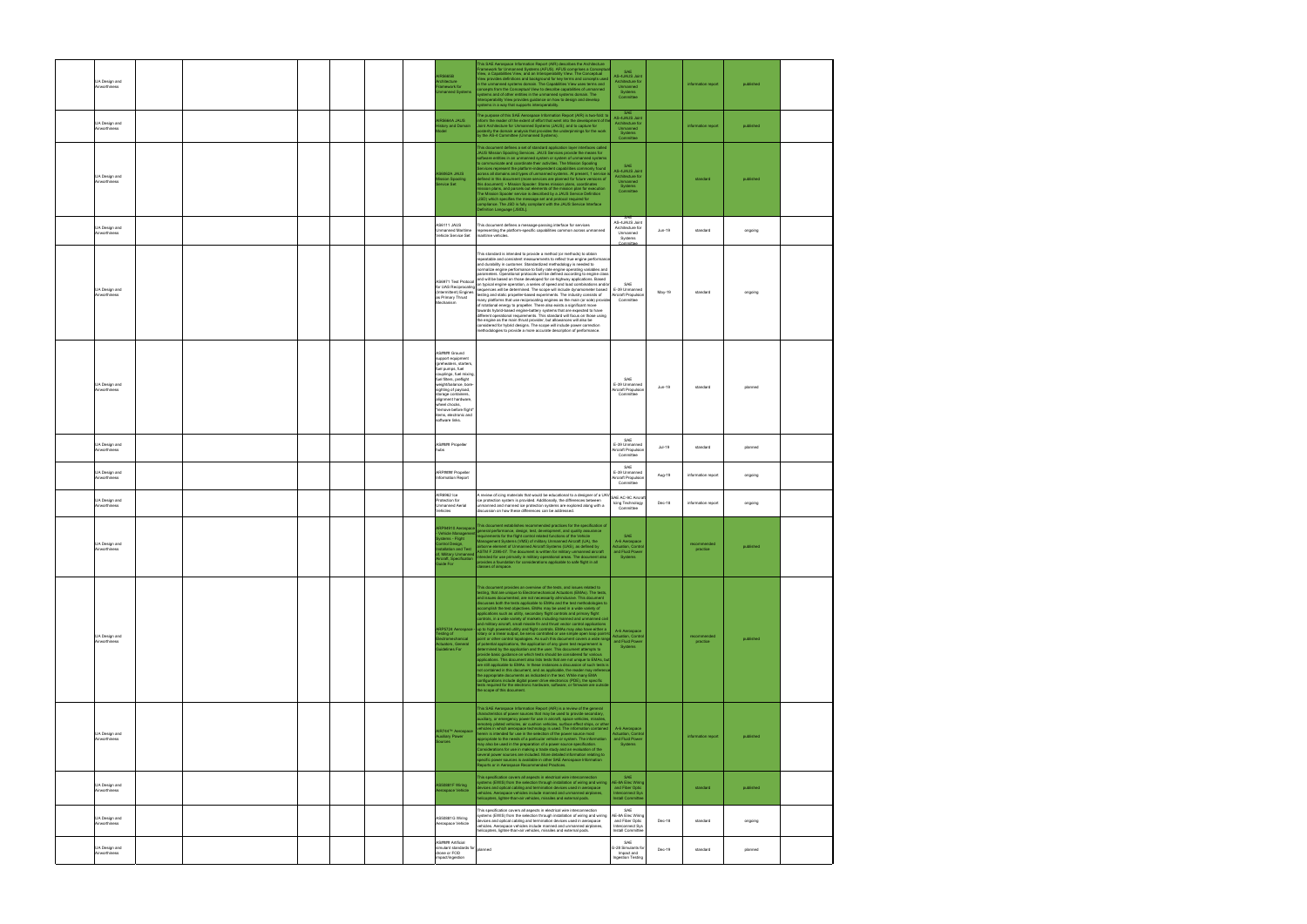| UA Design and<br>Airworthiness |  |  | <b>IR5665B</b><br>hitecture<br>nework for<br>anned Systems                                                                                                                                                                                                                                                                  | This SAE Aerospace Information Report (AIR) describes the Architecture<br>ramework for Unmanned Systems (AFUS). AFUS comprises a Conceptu<br>View, a Capabilities View, and an Interoperability View. The Conceptual<br>.<br>View provides definitions and background for key terms and concepts used<br>in the unmanned systems domain. The Capabilities View uses terms and<br>concepts from the Conceptual View to describe capabilities of unmanned<br>systems and of other entities in the unmanned systems domain. The<br>.<br>teroperability View provides guidance on how to design and develop<br>systems in a way that supports interoperability.                                                                                                                                                                                                                                                                                                                                                                                                                                                                                                                                                                                                                                                                                                                                                                                                                                                                                                                                                                                                   | SAE<br>AS-4JAUS Joint<br>Architecture for<br>Unmanned<br>Systems<br>Committee                             |          | information report      | published |  |
|--------------------------------|--|--|-----------------------------------------------------------------------------------------------------------------------------------------------------------------------------------------------------------------------------------------------------------------------------------------------------------------------------|---------------------------------------------------------------------------------------------------------------------------------------------------------------------------------------------------------------------------------------------------------------------------------------------------------------------------------------------------------------------------------------------------------------------------------------------------------------------------------------------------------------------------------------------------------------------------------------------------------------------------------------------------------------------------------------------------------------------------------------------------------------------------------------------------------------------------------------------------------------------------------------------------------------------------------------------------------------------------------------------------------------------------------------------------------------------------------------------------------------------------------------------------------------------------------------------------------------------------------------------------------------------------------------------------------------------------------------------------------------------------------------------------------------------------------------------------------------------------------------------------------------------------------------------------------------------------------------------------------------------------------------------------------------|-----------------------------------------------------------------------------------------------------------|----------|-------------------------|-----------|--|
| UA Design and<br>Airworthiness |  |  | AIR5664A JAUS<br>story and Domain                                                                                                                                                                                                                                                                                           | The purpose of this SAE Aerospace Information Report (AIR) is two-fold: to<br>form the reader of the extent of effort that went into the development of th<br>Joint Architecture for Unmanned Systems (JAUS); and to capture for<br>posterity the domain analysis that provides the underpinnings for the work<br>by the AS-4 Committee (Unmanned Systems).                                                                                                                                                                                                                                                                                                                                                                                                                                                                                                                                                                                                                                                                                                                                                                                                                                                                                                                                                                                                                                                                                                                                                                                                                                                                                                   | SAE<br><b>AS-4JAUS Joint</b><br>Architecture for<br>Unmanned<br>Systems<br>Committee                      |          | information report      | published |  |
| UA Design and<br>Airworthiness |  |  | AS6062A JAUS<br>ission Spooling<br>rvice Set                                                                                                                                                                                                                                                                                | This document defines a set of standard application layer interfaces called<br>JAUS Mission Spooling Services. JAUS Services provide the means for<br>software entities in an unmanned system or system of unmanned systems<br>to communicate and coordinate their activities. The Mission Spooling<br>Services represent the platform-independent capabilities commonly found<br>across all domains and types of unmanned systems. At present, 1 service<br>defined in this document (more services are planned for future versions of<br>this document): • Mission Spooler: Stores mission plans, coordinates<br>ission plans, and parcels out elements of the mission plan for execution<br>The Mission Spooler service is described by a JAUS Service Definition<br>(JSD) which specifies the message set and protocol required for<br>ompliance. The JSD is fully compliant with the JAUS Service Interface<br>Definition Language [JSIDL].                                                                                                                                                                                                                                                                                                                                                                                                                                                                                                                                                                                                                                                                                                              | SAF<br><b>AS-4JAUS Joint</b><br>Architecture for<br>Unmanned<br>Systems<br>Committee                      |          | standard                | published |  |
| UA Design and<br>Airworthiness |  |  | AS6111 JAUS<br><b>Unmanned Maritime</b><br>Vehicle Service Set                                                                                                                                                                                                                                                              | This document defines a message-passing interface for services<br>representing the platform-specific capabilities common across unmanned<br>maritime vehicles.                                                                                                                                                                                                                                                                                                                                                                                                                                                                                                                                                                                                                                                                                                                                                                                                                                                                                                                                                                                                                                                                                                                                                                                                                                                                                                                                                                                                                                                                                                | SAE<br>AS-4JAUS Joint<br>Architecture for<br>Unmanned<br>Systems<br>mmittee                               | Jun-19   | standard                | ongoing   |  |
| UA Design and<br>Airworthiness |  |  | (Intermittent) Engines<br>as Primary Thrust<br>Mechanism                                                                                                                                                                                                                                                                    | This standard is intended to provide a method (or methods) to obtain<br>repeatable and consistent measurements to reflect true engine performand<br>and durability in customer. Standardized methodology is needed to<br>normalize engine performance to fairly rate engine operating variables and<br>parameters. Operational protocols will be defined according to engine class<br>AS6971 Test Protocol and will be based on those developed for on-highway applications. Based<br>for UAS Reciprocating on typical engine operation, a series of speed and load combinations and/or<br>for UAS Reciprocating December<br>sequences will be determined. The scope will include dynamometer based<br>testing and static propeller-based experiments. The industry consists of<br>many platforms that use reciprocating engines as the main (or sole) provider<br>of rotational energy to propeller. There also exists a significant move<br>towards hybrid-based engine-battery systems that are expected to have<br>different operational requirements. This standard will focus on those using<br>the engine as the main thrust provider, but allowances will also be<br>considered for hybrid designs. The scope will include power correction<br>methodologies to provide a more accurate description of performance.                                                                                                                                                                                                                                                                                                                                   | SAE<br>E-39 Unmanned<br>Aircraft Propulsion<br>Committee                                                  | May-19   | standard                | ongoing   |  |
| UA Design and<br>Airworthiness |  |  | AS#### Ground<br>support equipment<br>(preheaters, starters,<br>fuel pumps, fuel<br>couplings, fuel mixing,<br>fuel filters, preflight<br>weight/balance, bore-<br>sighting of payload,<br>storage containers,<br>alignment hardware,<br>wheel chocks,<br>remove before flight'<br>items, electronic and<br>software links. |                                                                                                                                                                                                                                                                                                                                                                                                                                                                                                                                                                                                                                                                                                                                                                                                                                                                                                                                                                                                                                                                                                                                                                                                                                                                                                                                                                                                                                                                                                                                                                                                                                                               | SAE<br>E-39 Unmanned<br>Aircraft Propulsion<br>Committee                                                  | Jun-19   | standard                | planned   |  |
| UA Design and<br>Airworthiness |  |  | AS#### Propeller<br>hubs                                                                                                                                                                                                                                                                                                    |                                                                                                                                                                                                                                                                                                                                                                                                                                                                                                                                                                                                                                                                                                                                                                                                                                                                                                                                                                                                                                                                                                                                                                                                                                                                                                                                                                                                                                                                                                                                                                                                                                                               | SAE<br>E-39 Unmanned<br>Aircraft Propulsion<br>Committee                                                  | $Jul-19$ | standard                | planned   |  |
| UA Design and<br>Airworthiness |  |  | ARP#### Propeller<br>Information Report                                                                                                                                                                                                                                                                                     |                                                                                                                                                                                                                                                                                                                                                                                                                                                                                                                                                                                                                                                                                                                                                                                                                                                                                                                                                                                                                                                                                                                                                                                                                                                                                                                                                                                                                                                                                                                                                                                                                                                               | SAE<br>E-39 Unmanned<br>Aircraft Propulsion<br>Committee                                                  | Aug-19   | information report      | ongoing   |  |
| UA Design and                  |  |  | AIR6962 Ice                                                                                                                                                                                                                                                                                                                 | review of icing materials that would be educational to a designer of a UA\<br>ice protection system is provided. Additionally, the differences between                                                                                                                                                                                                                                                                                                                                                                                                                                                                                                                                                                                                                                                                                                                                                                                                                                                                                                                                                                                                                                                                                                                                                                                                                                                                                                                                                                                                                                                                                                        | SAE AC-9C Aircraf                                                                                         |          |                         |           |  |
| Airworthiness                  |  |  | Protection for<br><b>Unmanned Aerial</b><br>Vehicles                                                                                                                                                                                                                                                                        | unmanned and manned ice protection systems are explored along with a<br>discussion on how these differences can be addressed                                                                                                                                                                                                                                                                                                                                                                                                                                                                                                                                                                                                                                                                                                                                                                                                                                                                                                                                                                                                                                                                                                                                                                                                                                                                                                                                                                                                                                                                                                                                  | Icing Technology<br>Committee                                                                             | Dec-18   | information report      | ongoing   |  |
| UA Design and<br>Airworthiness |  |  | ARP94910 Aerospace<br>Vehicle Management<br>stems - Flight<br>Introl Design,                                                                                                                                                                                                                                                | This document establishes recommended practices for the specification of<br>general performance, design, test, development, and quality assurance<br>requirements for the flight control related functions of the Vehicle<br>Management Systems (VMS) of military Unmanned Aircraft (UA), the<br>airborne element of Unmanned Aircraft Systems (UAS), as defined by<br>allation and Test ASTM F 2395-07. The document is written fo<br>of, Military Unmanned Note that was explored the military operational areas. The document also<br>Aircraft, Specification provides a foundation for considerations applicable to safe flight in all<br>Accredition provides a founda<br>classes of airspace.                                                                                                                                                                                                                                                                                                                                                                                                                                                                                                                                                                                                                                                                                                                                                                                                                                                                                                                                                           | SAE<br>A-6 Aerospace<br>Actuation, Control<br>and Fluid Powe<br>Systems                                   |          | recommended<br>practice | published |  |
| UA Design and<br>Airworthiness |  |  | sting of<br><b>stromechanical</b><br>uators, General<br>idelines For                                                                                                                                                                                                                                                        | This document provides an overview of the tests, and issues related to<br>testing, that are unique to Electromechanical Actuators (EMAs). The tests,<br>and issues documented, are not necessarily all-inclusive. This document<br>discusses both the tests applicable to EMAs and the test methodologies to<br>accomplish the test objectives. EMAs may be used in a wide variety of<br>applications such as utility, secondary flight controls and primary flight<br>controls, in a wide variety of markets including manned and unmanned civil<br>and military aircraft, small missile fin and thrust vector control applications<br>RP5724 Aerospace - up to high powered utility and flight controls. EMAs may also have either a<br>rotary or a linear output, be servo controlled or use simple open loop point-t<br>point or other control topologies. As such this document covers a wide range<br>of potential applications, the application of any given test requirement is<br>determined by the application and the user. This document attempts to<br>provide basic guidance on which tests should be considered for various<br>applications. This document also lists tests that are not unique to EMAs, but<br>are still applicable to EMAs. In these instances a discussion of such tests is<br>not contained in this document, and as applicable, the reader may refere<br>the appropriate documents as indicated in the text. While many EMA<br>configurations include digital power drive electronics (PDE), the specific<br>tests required for the electronic hardware, software, or firmware are outside<br>the scope of this document. | A-6 Aerospace<br><b>Actuation, Contro</b><br>and Fluid Power<br>Systems                                   |          | recommended<br>practice | published |  |
| UA Design and<br>Airworthiness |  |  | AIR744™ Aerospace<br>uxiliary Power<br><b>Irces</b>                                                                                                                                                                                                                                                                         | This SAE Aerospace Information Report (AIR) is a review of the general<br>haracteristics of power sources that may be used to provide secondary,<br>uxiliary, or emergency power for use in aircraft, space vehicles, missiles,<br>motely piloted vehicles, air cushion vehicles, surface effect ships, or othe<br>ehicles in which aerospace technology is used. The information contained<br>herein is intended for use in the selection of the power source most<br>appropriate to the needs of a particular vehicle or system. The information<br>may also be used in the preparation of a power source specification.<br>Considerations for use in making a trade study and an evaluation of the<br>several power sources are included. More detailed information relating to<br>specific power sources is available in other SAE Aerospace Information<br>Reports or in Aerospace Recommended Practices.                                                                                                                                                                                                                                                                                                                                                                                                                                                                                                                                                                                                                                                                                                                                                | A-6 Aerospace<br><b>Actuation, Contro</b><br>and Fluid Power<br>Systems                                   |          | information report      | published |  |
| UA Design and<br>Airworthiness |  |  | S50881F Wiring<br>pspace Vehicle                                                                                                                                                                                                                                                                                            | This specification covers all aspects in electrical wire interconnection<br>rstems (EWIS) from the selection through installation of wiring and wiring<br>evices and optical cabling and termination devices used in aerospace<br>ehicles. Aerospace vehicles include manned and unmanned airplanes,<br>elicopters, lighter-than-air vehicles, missiles and external pods.                                                                                                                                                                                                                                                                                                                                                                                                                                                                                                                                                                                                                                                                                                                                                                                                                                                                                                                                                                                                                                                                                                                                                                                                                                                                                    | <b>SAF</b><br>AE-8A Elec Wiring<br>and Fiber Optic<br><b>Interconnect Sys</b><br><b>Install Committer</b> |          | standard                | published |  |
| UA Design and<br>Airworthiness |  |  | AS50881G Wiring<br>Aerospace Vehicle                                                                                                                                                                                                                                                                                        | This specification covers all aspects in electrical wire interconnection<br>ystems (EWIS) from the selection through installation of wiring and wiring<br>devices and optical cabling and termination devices used in aerospace<br>rehicles. Aerospace vehicles include manned and unmanned airplanes,<br>elicopters, lighter-than-air vehicles, missiles and external pods.                                                                                                                                                                                                                                                                                                                                                                                                                                                                                                                                                                                                                                                                                                                                                                                                                                                                                                                                                                                                                                                                                                                                                                                                                                                                                  | SAF<br>AE-8A Elec Wiring<br>and Fiber Optic<br>Interconnect Sys<br>Install Committee                      | Dec-18   | standard                | ongoing   |  |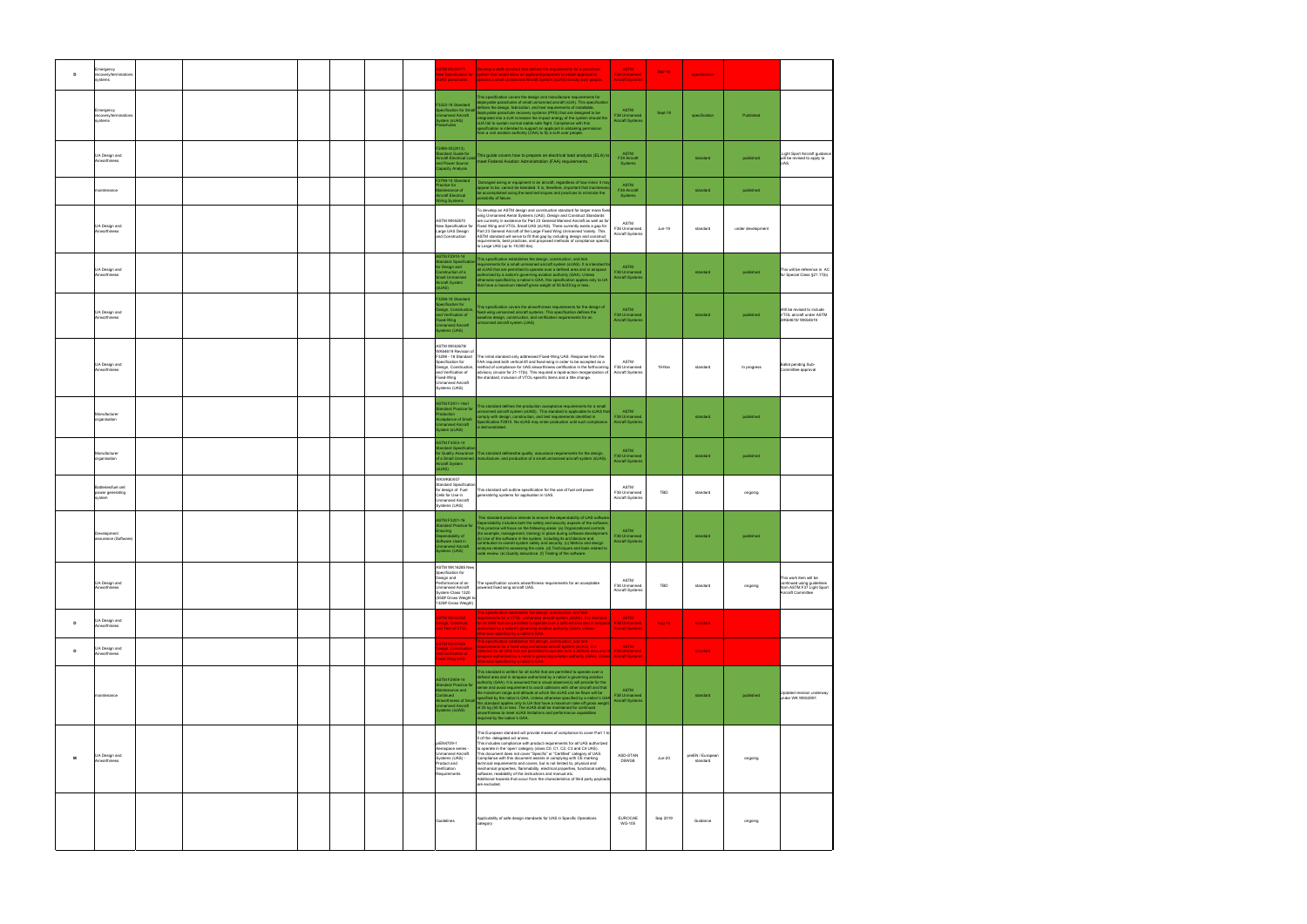| D | Emergency<br>recovery/termination<br>ystems       |  | <b>TM WK59171</b><br><b>JAS</b> parachutes                                                                                                                                | Develop a draft standard that defines the requirements for a parachute<br>w Specification for system that would allow an applicant/proponent to obtain approval to<br>operate a small Unmanned Aircraft System (sUAS) directly over people.                                                                                                                                                                                                                                                                                                                                                                                                                                                                                                  | <b>ASTM</b><br>F38 Unmanned<br><b>Aircraft Systems</b> | Mar-18   | specification                |                   |                                                                                                         |
|---|---------------------------------------------------|--|---------------------------------------------------------------------------------------------------------------------------------------------------------------------------|----------------------------------------------------------------------------------------------------------------------------------------------------------------------------------------------------------------------------------------------------------------------------------------------------------------------------------------------------------------------------------------------------------------------------------------------------------------------------------------------------------------------------------------------------------------------------------------------------------------------------------------------------------------------------------------------------------------------------------------------|--------------------------------------------------------|----------|------------------------------|-------------------|---------------------------------------------------------------------------------------------------------|
|   | mergency<br>ecovery/termination<br>vstems         |  | F3322-18 Standard<br>ecification for Small<br>nanned Aircraft<br>stem (sUAS)<br>rachutes                                                                                  | This specification covers the design and manufacture requirements for<br>ployable parachutes of small unmanned aircraft (sUA). This specification<br>lefines the design, fabrication, and test requirements of installable,<br>leployable parachute recovery systems (PRS) that are designed to be<br>tegrated into a sUA to lessen the impact energy of the system should the<br>sUA fail to sustain normal stable safe flight. Compliance with this<br>specification is intended to support an applicant in obtaining permission<br>from a civil aviation authority (CAA) to fly a sUA over people.                                                                                                                                        | ASTM<br>F38 Unmanned<br><b>Aircraft Systems</b>        | Sept-18  | specification                | Published         |                                                                                                         |
|   | UA Design and<br>Airworthiness                    |  | F2490-05(2013)<br>andard Guide for<br>rcraft Electrical Loa<br>and Power Source<br>pacity Analysis                                                                        | This guide covers how to prepare an electrical load analysis (ELA) to<br>neet Federal Aviation Administration (FAA) requirements.                                                                                                                                                                                                                                                                                                                                                                                                                                                                                                                                                                                                            | <b>ASTM</b><br>F39 Aircraft<br><b>Systems</b>          |          | standard                     | published         | Light Sport Aircraft guidance<br>will be revised to apply to<br>UAS.                                    |
|   | maintenance                                       |  | F2799-14 Standard<br>actice for<br>ntenance of<br>ircraft Electrical<br>/iring Systems                                                                                    | Damaged wiring or equipment in an aircraft, regardless of how minor it ma<br>appear to be, cannot be tolerated. It is, therefore, important that maintenan<br>be accomplished using the best techniques and practices to minimize the<br>ossibility of failure.                                                                                                                                                                                                                                                                                                                                                                                                                                                                              | <b>ASTM</b><br>F39 Aircraft<br>Systems                 |          | standard                     | published         |                                                                                                         |
|   | UA Design and<br>Airworthiness                    |  | ASTM WK62670<br>New Specification for<br>Large UAS Design<br>and Construction                                                                                             | To develop an ASTM design and construction standard for larger mass fixed<br>wing Unmanned Aerial Systems (UAS). Design and Construct Standards<br>are currently in existence for Part 23 General Manned Aircraft as well as for<br>Fixed Wing and VTOL Small UAS (sUAS). There currently exists a gap for<br>Part 23 General Aircraft of the Large Fixed Wing Unmanned Variety. This<br>ASTM standard will serve to fill that gap by including design and construct<br>requirements, best practices, and proposed methods of compliance specific<br>to Large UAS (up to 19,000 lbs).                                                                                                                                                        | ASTM<br>F38 Unmanned<br>Aircraft Systems               | Jun-19   | standard                     | under development |                                                                                                         |
|   | UA Design and<br>Airworthiness                    |  | <b>ASTM F2910-14</b><br>ndard Specificati<br>r Design and<br>nstruction of a<br>all Unmanned<br>rcraft System<br>UAS)                                                     | This specification establishes the design, construction, and test<br>equirements for a small unmanned aircraft system (sUAS). It is intended fo<br>all sUAS that are permitted to operate over a defined area and in airspace<br>authorized by a nation's governing aviation authority (GAA). Unless<br>otherwise specified by a nation's GAA, this specification applies only to UA<br>that have a maximum takeoff gross weight of 55 lb/25 kg or less.                                                                                                                                                                                                                                                                                     | <b>ASTM</b><br>F38 Unmanned<br><b>Aircraft Systems</b> |          | standard                     | published         | This will be reference in AC<br>for Special Class §21.17(b)                                             |
|   | UA Design and<br>Airworthiness                    |  | F3298-18 Standard<br>ecification for<br>sian, Construction<br>Ind Verification of<br>pd-Wing<br>anned Aircraft<br>stems (UAS)                                             | his specification covers the airworthiness requirements for the design of<br>ixed-wing unmanned aircraft systems. This specification defines the<br>aseline design, construction, and verification requirements for an<br>manned aircraft system (UAS)                                                                                                                                                                                                                                                                                                                                                                                                                                                                                       | <b>ASTM</b><br>F38 Unmanned<br>Aircraft Systems        |          | standard                     | published         | Will be revised to include<br>VTOL aircraft under ASTM<br>WK64619/WK64619                               |
|   | UA Design and<br>Airworthiness                    |  | <b>ASTM WK63678/</b><br>WK64619 Revision of<br>Specification for<br>Design, Construction.<br>and Verification of<br>Fixed-Wing<br>Unmanned Aircraft<br>Systems (UAS)      | F3298 - 18 Standard The initial standard only addressed Fixed-Wing UAS. Response from the<br>FAA required both vertical lift and fixed-wing in order to be accepted as a<br>method of compliance for UAS airworthiness certification in the forthcoming<br>advisory circular for 21-17(b). This required a rapid-action reorganization of<br>the standard, inclusion of VTOL-specific items and a title change.                                                                                                                                                                                                                                                                                                                              | ASTM<br>F38 Unmanned<br>Aircraft Systems               | 19-Nov   | standard                     | In progress       | Ballot pending Sub-<br>Committee approval                                                               |
|   | Manufacturer<br>organisation                      |  | ASTM F2911-14e1<br>dard Practice for<br>duction<br>eptance of Small<br>nanned Aircraft<br>stem (sUAS)                                                                     | This standard defines the production acceptance requirements for a small<br>nmanned aircraft system (sUAS). This standard is applicable to sUAS tha<br>mply with design, construction, and test requirements identified in<br>ecification F2910. No sUAS may enter production until such compliance<br>demonstrated.                                                                                                                                                                                                                                                                                                                                                                                                                         | <b>ASTM</b><br>F38 Unmanned<br><b>Aircraft Systems</b> |          | standard                     | published         |                                                                                                         |
|   | Manufacturer<br>organisation                      |  | ASTM F3003-14<br>ndard Specifica<br>of a Small Unmanned<br>Aircraft System<br>UAS)                                                                                        | Quality Assurance This standard definesthe quality assurance requirements for the design,<br>manufacture, and production of a small unmanned aircraft system (sUAS)                                                                                                                                                                                                                                                                                                                                                                                                                                                                                                                                                                          | <b>ASTM</b><br>F38 Unmanned<br>Aircraft Systems        |          | standard                     | published         |                                                                                                         |
|   | Batteries/fuel cell<br>power generating<br>system |  | <b>WKWK60937</b><br><b>Standard Specification</b><br>for design of Fuel<br>Cells for Use in<br><b>Unmanned Aircraft</b><br>Systems (UAS)                                  | This standard will outline specification for the use of fuel cell power<br>generatinhg systems for application in UAS.                                                                                                                                                                                                                                                                                                                                                                                                                                                                                                                                                                                                                       | ASTM<br>F38 Unmanned<br>Aircraft Systems               | TBD      | standard                     | ongoing           |                                                                                                         |
|   | Development<br>assurance (Software)               |  | <b>ASTM F3201-16</b><br>ndard Practice for<br>uring<br>bendability of<br>tware Used in<br>nanned Aircraft<br>tems (UAS)                                                   | This standard practice intends to ensure the dependability of UAS softwar<br>Dependability includes both the safety and security aspects of the software<br>his practice will focus on the following areas: (a) Organizational controls<br>(for example, management, training) in place during software developmen<br>(b) Use of the software in the system, including its architecture and<br>contribution to overall system safety and security. (c) Metrics and design<br>analysis related to assessing the code. (d) Techniques and tools related to                                                                                                                                                                                     | <b>ASTM</b><br>F38 Unmanned<br><b>Aircraft Systems</b> |          | standard                     | published         |                                                                                                         |
|   | UA Design and<br>Airworthiness                    |  | ASTM WK16285 New<br>Specification for<br>Design and<br>Performance of an<br><b>Unmanned Aircraft</b><br>System-Class 1320<br>(550# Gross Weight to<br>1320# Gross Weight) | The specification covers airworthiness requirements for an acceptable<br>powered fixed wing aircraft UAS.                                                                                                                                                                                                                                                                                                                                                                                                                                                                                                                                                                                                                                    | ASTM<br>F38 Unmanned<br>Aircraft Systems               | TBD      | standard                     | ongoing           | This work item will be<br>continued using guidelines<br>from ASTM F37 Light Sport<br>Aircraft Committee |
| D | UA Design and<br>Airworthiness                    |  | <b>STM WK60352</b><br>sign, Construct,<br>d Test of VTOL                                                                                                                  | his specification establishes the design, construction, and test<br>equirements for a VTOL unmanned aircraft system (sUAS). It is intended<br>for all UAS that are permitted to operate over a defined area and in airspace<br>authorized by a nation's governing aviation authority (GAA). Unless<br>therwise specified by a nation's GAA.                                                                                                                                                                                                                                                                                                                                                                                                  | <b>ASTM</b><br>F38 Unmanned<br><b>Aircraft Systems</b> | Aug-18   | standard                     |                   |                                                                                                         |
| D | UA Design and<br>Airworthiness                    |  | TM WK57659<br>sign, Construction<br>d Verification of<br>ed Wing UAS                                                                                                      | This specification establishes the design, construction, and test<br>requirements for a fixed wing unmanned aircraft system (sUAS). It is<br>intended for all UAS that are permitted to operate over a defined area and in F38 Unmanned<br>airspace authorized by a nation's governing aviation authority (GAA). Unless Aircraft Systems<br>otherwise specified by a nation's GAA.                                                                                                                                                                                                                                                                                                                                                           | ASTM                                                   |          | standard                     |                   |                                                                                                         |
|   | naintenance                                       |  | <b>ASTM F2909-14</b><br>ndard Practice for<br>tenance and<br>tinued<br>orthiness of Small<br>anned Aircraft<br>ms (sUAS)                                                  | This standard is written for all sUAS that are permitted to operate over a<br>lefined area and in airspace authorized by a nation's governing aviation<br>uthority (GAA). It is assumed that a visual observer(s) will provide for the<br>sense and avoid requirement to avoid collisions with other aircraft and that<br>the maximum range and altitude at which the sUAS can be flown will be<br>pecified by the nation's GAA. Unless otherwise specified by a nation's GAA<br>this standard applies only to UA that have a maximum take off gross weight<br>of 25 kg (55 lb) or less. The sUAS shall be maintained for continued<br>irworthiness to meet sUAS limitations and performance capabilities<br>required by the nation's GAA.   | <b>ASTM</b><br>F38 Unmanned<br><b>Aircraft Systems</b> |          | standard                     | published         | Updated revision underway<br>under WK WK63991                                                           |
| M | UA Design and<br>Airworthiness                    |  | prEN4709-1<br>Aerospace series -<br>Unmanned Aircraft<br>Systems (UAS) -<br>Product and<br>Verification<br>Requirements                                                   | This European standard will provide means of compliance to cover Part 1 to<br>5 of the delegated act annex.<br>This includes compliance with product requirements for all UAS authorized<br>to operate in the 'open' category (class C0, C1, C2, C3 and C4 UAS).<br>This document does not cover "Specific" or "Certified" category of UAS.<br>Compliance with this document assists in complying with CE marking<br>technical requirements and covers, but is not limited to, physical and<br>mechanical properties, flammability, electrical properties, functional safety,<br>software, readability of the instructions and manual etc.<br>Additional hazards that occur from the characteristics of third party payload<br>are excluded. | ASD-STAN<br>D5WG8                                      | $Jun-20$ | preEN / European<br>standard | ongoing           |                                                                                                         |
|   |                                                   |  | Guidelines                                                                                                                                                                | Applicability of safe design standards for UAS in Specific Operations<br>category                                                                                                                                                                                                                                                                                                                                                                                                                                                                                                                                                                                                                                                            | <b>EUROCAE</b><br><b>WG-105</b>                        | Sep 2019 | Guidance                     | ongoing           |                                                                                                         |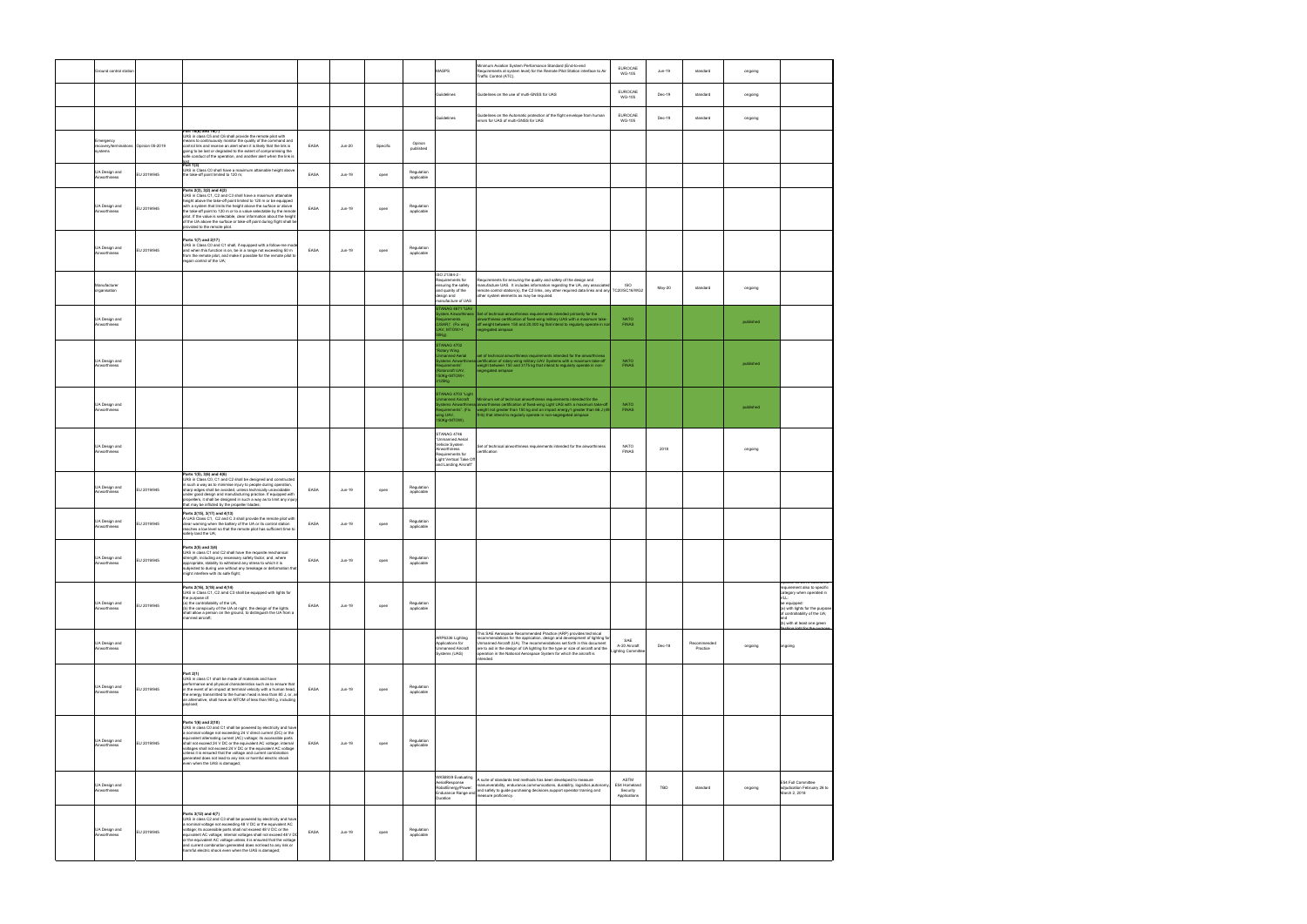| Ground control station                                        |             |                                                                                                                                                                                                                                                                                                                                                                                                                                                                                                                                         |      |          |          |                          | <b>MASPS</b>                                                                                                                                                                                                                                                                                                                                                                                                                                                                                                                              | Minimum Aviation System Performance Standard (End-to-end<br>Requirements at system level) for the Remote Pilot Station interface to Air<br>raffic Control (ATC).                                                                                                                                                                                                                                 | EUROCAE<br>WG-105                                | Jun-19 | standard                | ongoing   |                                                                                                                                                                                                                           |
|---------------------------------------------------------------|-------------|-----------------------------------------------------------------------------------------------------------------------------------------------------------------------------------------------------------------------------------------------------------------------------------------------------------------------------------------------------------------------------------------------------------------------------------------------------------------------------------------------------------------------------------------|------|----------|----------|--------------------------|-------------------------------------------------------------------------------------------------------------------------------------------------------------------------------------------------------------------------------------------------------------------------------------------------------------------------------------------------------------------------------------------------------------------------------------------------------------------------------------------------------------------------------------------|--------------------------------------------------------------------------------------------------------------------------------------------------------------------------------------------------------------------------------------------------------------------------------------------------------------------------------------------------------------------------------------------------|--------------------------------------------------|--------|-------------------------|-----------|---------------------------------------------------------------------------------------------------------------------------------------------------------------------------------------------------------------------------|
|                                                               |             |                                                                                                                                                                                                                                                                                                                                                                                                                                                                                                                                         |      |          |          |                          | Guiidelines                                                                                                                                                                                                                                                                                                                                                                                                                                                                                                                               | Guidelines on the use of multi-GNSS for UAS                                                                                                                                                                                                                                                                                                                                                      | <b>EUROCAE</b><br><b>WG-105</b>                  | Dec-19 | standard                | ongoing   |                                                                                                                                                                                                                           |
|                                                               |             |                                                                                                                                                                                                                                                                                                                                                                                                                                                                                                                                         |      |          |          |                          | Guiidelines                                                                                                                                                                                                                                                                                                                                                                                                                                                                                                                               | Guidelines on the Automatic protection of the flight envelope from human<br>errors for UAS of multi-GNSS for UAS                                                                                                                                                                                                                                                                                 | EUROCAE<br><b>WG-105</b>                         | Dec-19 | standard                | ongoing   |                                                                                                                                                                                                                           |
| Emergency<br>recovery/terminations Opinion 05-2019<br>systems |             | Part 16(6) and 16(7)<br>UAS in class C5 and C6 shall provide the remote pilot with<br>means to continuously monitor the quality of the command and<br>control link and receive an alert when it is likely that the link is<br>going to be lost or degraded to the extent of compromising the<br>safe conduct of the operation, and another alert when the link is                                                                                                                                                                       | EASA | $Jun-20$ | Specific | Opinon<br>published      |                                                                                                                                                                                                                                                                                                                                                                                                                                                                                                                                           |                                                                                                                                                                                                                                                                                                                                                                                                  |                                                  |        |                         |           |                                                                                                                                                                                                                           |
| UA Design and<br>Airworthiness                                | EU 2019/945 | $_{\rm Part\ 1(3)}^{\rm lost}$<br>UAS in Class C0 shall have a maximum attainable height above<br>the take-off point limited to 120 m;                                                                                                                                                                                                                                                                                                                                                                                                  | EASA | Jun-19   | open     | Regulation<br>applicable |                                                                                                                                                                                                                                                                                                                                                                                                                                                                                                                                           |                                                                                                                                                                                                                                                                                                                                                                                                  |                                                  |        |                         |           |                                                                                                                                                                                                                           |
| UA Design and<br>Airworthiness                                | EU 2019/945 | Parts 2(3), 3(2) and 4(2)<br>UAS in Class C1, C2 and C3 shall have a maximum attainable<br>height above the take-off point limited to 120 m or be equipped<br>with a system that limits the height above the surface or above<br>the take-off point to 120 m or to a value selectable by the remote<br>pilot. If the value is selectable, clear information about the height<br>of the UA above the surface or take-off point during flight shall be<br>provided to the remote pilot.                                                   | EASA | Jun-19   | open     | Regulation<br>applicable |                                                                                                                                                                                                                                                                                                                                                                                                                                                                                                                                           |                                                                                                                                                                                                                                                                                                                                                                                                  |                                                  |        |                         |           |                                                                                                                                                                                                                           |
| UA Design and<br>Airworthiness                                | EU 2019/945 | Parts 1(7) and 2(17)<br>UAS in Class C0 and C1 shall, if equipped with a follow-me mode<br>and when this function is on, be in a range not exceeding 50 m<br>from the remote pilot, and make it possible for the remote pilot to<br>regain control of the UA;                                                                                                                                                                                                                                                                           | EASA | Jun-19   | open     | Regulation<br>applicable |                                                                                                                                                                                                                                                                                                                                                                                                                                                                                                                                           |                                                                                                                                                                                                                                                                                                                                                                                                  |                                                  |        |                         |           |                                                                                                                                                                                                                           |
| Manufacturer<br>organisation                                  |             |                                                                                                                                                                                                                                                                                                                                                                                                                                                                                                                                         |      |          |          |                          | ISO 21384-2 -<br>Requirements for<br>nsuring the safety<br>and quality of the<br>design and<br>anufacture of UAS                                                                                                                                                                                                                                                                                                                                                                                                                          | Requirements for ensuring the quality and safety of the design and<br>manufacture UAS. It includes information regarding the UA, any associat<br>remote control station(s), the C2 links, any other required data links and any TC20/SC16/WG2<br>other system elements as may be required.                                                                                                       | <b>ISO</b>                                       | May-20 | standard                | ongoing   |                                                                                                                                                                                                                           |
| UA Design and<br>Airworthiness                                |             |                                                                                                                                                                                                                                                                                                                                                                                                                                                                                                                                         |      |          |          |                          | TANAG 4671 "UAV<br>tem Airworthiness<br>uirements<br>SAR)". (Fix wing<br>AV. MTOW>1<br>Ka).                                                                                                                                                                                                                                                                                                                                                                                                                                               | Set of technical airworthiness requirements intended primarily for the<br>airworthiness certification of fixed-wing military UAS with a maximum take-<br>off weight between 150 and 20,000 kg that intend to regularly operate in nor<br>egregated airspace                                                                                                                                      | <b>NATO</b><br><b>FINAS</b>                      |        |                         | published |                                                                                                                                                                                                                           |
| UA Design and<br>Airworthiness                                |             |                                                                                                                                                                                                                                                                                                                                                                                                                                                                                                                                         |      |          |          |                          | <b>TANAG 4702</b><br>ptary Wing<br>nanned Aerial<br>tems Airworthin<br>uirements"<br>torcraft UAV.<br>OKg <mtow<<br>25Kg</mtow<<br>                                                                                                                                                                                                                                                                                                                                                                                                       | set of technical airworthiness requirements intended for the airworthiness<br>certification of rotary-wing military UAV Systems with a maximum take-off<br>weight between 150 and 3175 kg that intend to regularly operate in non-<br>egregated airspace                                                                                                                                         | <b>NATO</b><br><b>FINAS</b>                      |        |                         | published |                                                                                                                                                                                                                           |
| UA Design and<br>Airworthiness                                |             |                                                                                                                                                                                                                                                                                                                                                                                                                                                                                                                                         |      |          |          |                          | STANAG 4703 "Light<br>anned Aircraft<br>quirements". (Fix<br>ng UAV,<br>SOKg <mtow).< td=""><td>Minimum set of technical airworthiness requirements intended for the<br/>ems Airworthiness<mark>tairworthiness certification of fixed-wing Light UAS with a maximum take-of</mark><br/>weight not greater than 150 kg and an impact energy1 greater than 66 J (49<br/>ft-lb) that intend to regularly operate in non-segregated airspace</td><td><b>NATO</b><br/><b>FINAS</b></td><td></td><td></td><td>published</td><td></td></mtow).<> | Minimum set of technical airworthiness requirements intended for the<br>ems Airworthiness <mark>tairworthiness certification of fixed-wing Light UAS with a maximum take-of</mark><br>weight not greater than 150 kg and an impact energy1 greater than 66 J (49<br>ft-lb) that intend to regularly operate in non-segregated airspace                                                           | <b>NATO</b><br><b>FINAS</b>                      |        |                         | published |                                                                                                                                                                                                                           |
| UA Design and<br>Airworthiness                                |             |                                                                                                                                                                                                                                                                                                                                                                                                                                                                                                                                         |      |          |          |                          | STANAG 4746<br>'Unmanned Aerial<br>Vehicle System<br>Airworthiness<br>Requirements for<br>Light Vertical Take Off<br>and Landing Aircraft"                                                                                                                                                                                                                                                                                                                                                                                                | Set of technical airworthiness requirements intended for the airworthiness<br>certification                                                                                                                                                                                                                                                                                                      | <b>NATO</b><br><b>FINAS</b>                      | 2018   |                         | ongoing   |                                                                                                                                                                                                                           |
| UA Design and<br>Airworthiness                                | EU 2019/945 | Parts 1(5), 3(6) and 4(6)<br>UAS in Class C0, C1 and C2 shall be designed and constructed<br>in such a way as to minimise injury to people during operation.<br>sharp edges shall be avoided, unless technically unavoidable<br>under good design and manufacturing practice. If equipped with<br>propellers, it shall be designed in such a way as to limit any injury<br>that may be inflicted by the propeller blades;                                                                                                               | EASA | Jun-19   | open     | Regulation<br>applicable |                                                                                                                                                                                                                                                                                                                                                                                                                                                                                                                                           |                                                                                                                                                                                                                                                                                                                                                                                                  |                                                  |        |                         |           |                                                                                                                                                                                                                           |
| UA Design and<br>Airworthiness                                | EU 2019/945 | Parts 2(15), 3(17) and 4(13)<br>A UAS Class C1, C2 and C 3 shall provide the remote pilot with<br>clear warning when the battery of the UA or its control station<br>reaches a low level so that the remote pilot has sufficient time to<br>safely land the UA:                                                                                                                                                                                                                                                                         | EASA | Jun-19   | open     | Regulation<br>applicable |                                                                                                                                                                                                                                                                                                                                                                                                                                                                                                                                           |                                                                                                                                                                                                                                                                                                                                                                                                  |                                                  |        |                         |           |                                                                                                                                                                                                                           |
| UA Design and<br>Airworthiness                                | EU 2019/945 | Parts 2(5) and 3(4)<br>UAS in class C1 and C2 shall have the requisite mechanical<br>strength, including any necessary safety factor, and, where<br>appropriate, stability to withstand any stress to which it is<br>subjected to during use without any breakage or deformation that<br>might interfere with its safe flight;                                                                                                                                                                                                          | EASA | Jun-19   | open     | Regulation<br>applicable |                                                                                                                                                                                                                                                                                                                                                                                                                                                                                                                                           |                                                                                                                                                                                                                                                                                                                                                                                                  |                                                  |        |                         |           |                                                                                                                                                                                                                           |
| UA Design and<br>Airworthiness                                | EU 2019/945 | Parts 2(16), 3(18) and 4(14)<br>UAS in Class C1, C2 amd C3 shall be equipped with lights for<br>the purpose of:<br>(a) the controllability of the UA.<br>(b) the conspicuity of the UA at night, the design of the lights<br>shall allow a person on the ground, to distinguish the UA from a<br>manned aircraft;                                                                                                                                                                                                                       | EASA | Jun-19   | open     | Regulation<br>applicable |                                                                                                                                                                                                                                                                                                                                                                                                                                                                                                                                           |                                                                                                                                                                                                                                                                                                                                                                                                  |                                                  |        |                         |           | Joinion US-ZUTY extend the<br>requirement also to specific<br>category when operated in<br>VLL:<br>be equipped:<br>(a) with lights for the purpose<br>of controllability of the UA;<br>and<br>(b) with at least one green |
| UA Design and<br>Airworthiness                                |             |                                                                                                                                                                                                                                                                                                                                                                                                                                                                                                                                         |      |          |          |                          | ARP6336 Lighting<br>Applications for<br>Unmanned Aircraft<br>Systems (UAS)                                                                                                                                                                                                                                                                                                                                                                                                                                                                | This SAE Aerospace Recommended Practice (ARP) provides technical<br>recommendations for the application, design and development of lighting for<br>Unmanned Aircraft (UA). The recommendations set forth in this document<br>are to aid in the design of UA lighting for the type or size of aircraft and the<br>operation in the National Aerospace System for which the aircraft is<br>hehnetn | SAE<br>A-20 Aircraft<br>ighting Committe         | Dec-18 | Recommended<br>Practice | ongoing   | ngoing                                                                                                                                                                                                                    |
| UA Design and<br>Airworthiness                                | EU 2019/945 | Part 2(1)<br>UAS in class C1 shall be made of materials and have<br>performance and physical characteristics such as to ensure that<br>in the event of an impact at terminal velocity with a human head,<br>the energy transmitted to the human head is less than 80 J, or, a<br>an alternative, shall have an MTOM of less than 900 g, including<br>pavload:                                                                                                                                                                           | EASA | Jun-19   | open     | Regulation<br>applicable |                                                                                                                                                                                                                                                                                                                                                                                                                                                                                                                                           |                                                                                                                                                                                                                                                                                                                                                                                                  |                                                  |        |                         |           |                                                                                                                                                                                                                           |
| UA Design and<br>Airworthiness                                | EU 2019/945 | Parts 1(6) and 2(10)<br>UAS in class C0 and C1 shall be powered by electricity and have<br>a nominal voltage not exceeding 24 V direct current (DC) or the<br>equivalent alternating current (AC) voltage; its accessible parts<br>shall not exceed 24 V DC or the equivalent AC voltage; internal<br>voltages shall not exceed 24 V DC or the equivalent AC voltage<br>unless it is ensured that the voltage and current combination<br>generated does not lead to any risk or harmful electric shock<br>even when the UAS is damaged; | EASA | Jun-19   | open     | Regulation<br>applicable |                                                                                                                                                                                                                                                                                                                                                                                                                                                                                                                                           |                                                                                                                                                                                                                                                                                                                                                                                                  |                                                  |        |                         |           |                                                                                                                                                                                                                           |
| UA Design and<br>Airworthiness                                |             |                                                                                                                                                                                                                                                                                                                                                                                                                                                                                                                                         |      |          |          |                          | WK58939 Evaluating<br>AerialResponse<br>RobotEnergy/Power:<br>Duration                                                                                                                                                                                                                                                                                                                                                                                                                                                                    | A suite of standards test methods has been developed to measure<br>manueverability, endurance,communications, durability, logisitics,autonom<br>neasure proficiency.                                                                                                                                                                                                                             | ASTM<br>E54 Homeland<br>Security<br>Applications | TBD    | standard                | ongoing   | E54 Full Committee<br>adjudication February 26 to<br>March 2, 2018                                                                                                                                                        |
| UA Design and<br>Airworthiness                                | EU 2019/945 | Parts 3(12) and 4(7)<br>UAS in class C2 and C3 shall be powered by electricity and have<br>a nominal voltage not exceeding 48 V DC or the equivalent AC<br>voltage; its accessible parts shall not exceed 48 V DC or the<br>equivalent AC voltage; internal voltages shall not exceed 48 V DO<br>or the equivalent AC voltage unless it is ensured that the voltage<br>and current combination generated does not lead to any risk or<br>harmful electric shock even when the UAS is damaged;                                           | EASA | Jun-19   | open     | Regulation<br>applicable |                                                                                                                                                                                                                                                                                                                                                                                                                                                                                                                                           |                                                                                                                                                                                                                                                                                                                                                                                                  |                                                  |        |                         |           |                                                                                                                                                                                                                           |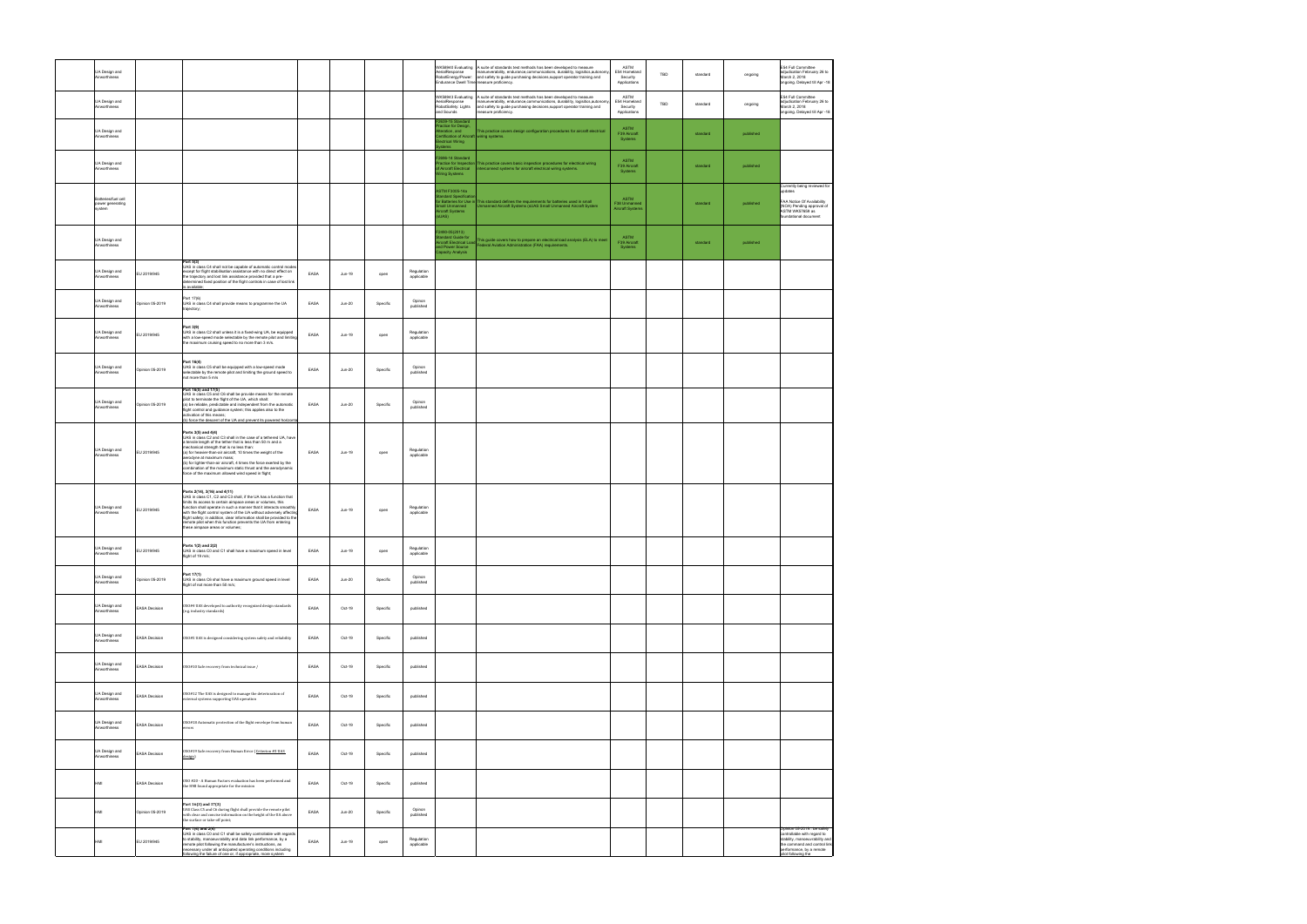| UA Design and<br>Airworthiness                    |                        |                                                                                                                                                                                                                                                                                                                                                                                                                                                                                               |      |               |          |                          | AerialResponse<br>RobotEnergy/Power:                                                                                     | WK58940 Evaluating A suite of standards test methods has been developed to measure<br>manueverability, endurance,communications, durability, logisitics,autonom<br>and safety to guide purchasing decisions, support operator training and<br>ndurance Dwell Time measure proficiency. | ASTM<br>E54 Homeland<br>Security<br>Applications | TBD | standard | ongoing   | E54 Full Committee<br>adjudication February 26 to<br>March 2, 2018<br>ongoing. Delayed till Apr -18                                              |
|---------------------------------------------------|------------------------|-----------------------------------------------------------------------------------------------------------------------------------------------------------------------------------------------------------------------------------------------------------------------------------------------------------------------------------------------------------------------------------------------------------------------------------------------------------------------------------------------|------|---------------|----------|--------------------------|--------------------------------------------------------------------------------------------------------------------------|----------------------------------------------------------------------------------------------------------------------------------------------------------------------------------------------------------------------------------------------------------------------------------------|--------------------------------------------------|-----|----------|-----------|--------------------------------------------------------------------------------------------------------------------------------------------------|
| UA Design and<br>Airworthiness                    |                        |                                                                                                                                                                                                                                                                                                                                                                                                                                                                                               |      |               |          |                          | WK58943 Evaluating<br>AerialResponse<br>RobotSafety: Lights<br>Ind Sounds                                                | A suite of standards test methods has been developed to measure<br>manueverability, endurance,communications, durability, logisitics,autonom<br>and safety to guide purchasing decisions, support operator training and<br>easure proficiency.                                         | ASTM<br>E54 Homeland<br>Security<br>Applications | TBD | standard | ongoing   | E54 Full Committee<br>adjudication February 26 to<br>March 2, 2018<br>ongoing. Delayed till Apr -18                                              |
| UA Design and<br>Airworthiness                    |                        |                                                                                                                                                                                                                                                                                                                                                                                                                                                                                               |      |               |          |                          | 2639-15 Standard<br>ractice for Design,<br>teration, and<br>Certification of Aircraft wiring systems.<br>ectrical Wiring | This practice covers design configuration procedures for aircraft electrical                                                                                                                                                                                                           | ASTM<br>F39 Aircraft<br>Systems                  |     | standard | published |                                                                                                                                                  |
| UA Design and<br>Airworthiness                    |                        |                                                                                                                                                                                                                                                                                                                                                                                                                                                                                               |      |               |          |                          | 2696-14 Standard<br>Aircraft Electrical<br>liring Systems                                                                | ractice for Inspection This practice covers basic inspection procedures for electrical wiring<br>nterconnect systems for aircraft electrical wiring systems.                                                                                                                           | <b>ASTM</b><br>F39 Aircraft<br>Systems           |     | standard | published |                                                                                                                                                  |
| Batteries/fuel cell<br>power generating<br>system |                        |                                                                                                                                                                                                                                                                                                                                                                                                                                                                                               |      |               |          |                          | ASTM F3005-14a<br><b>Indard Specifica</b><br>mall Unmanned<br>ircraft Systems<br>UAS)                                    |                                                                                                                                                                                                                                                                                        | ASTM<br>F38 Unmanned<br><b>Aircraft Systems</b>  |     | standard | published | Currently being reviewed for<br>updates<br>FAA Notice Of Availability<br>(NOA) Pending approval of<br>ASTM WK57659 as<br>oundational document    |
| UA Design and<br>Airworthiness                    |                        |                                                                                                                                                                                                                                                                                                                                                                                                                                                                                               |      |               |          |                          | $-2490 - 05(2013)$<br>nd Power Source<br>apacity Analysis                                                                | vanuaro Guide for<br>Ircraft Electrical Load This guide covers how to prepare an electrical load analysis (ELA) to meet<br>Federal Aviation Administration (FAA) requirements.                                                                                                         | <b>ASTM</b><br>F39 Aircraft<br>Systems           |     | standard | published |                                                                                                                                                  |
| UA Design and<br>Airworthiness                    | EU 2019/945            | Part 5(3)<br>UAS in class C4 shall not be capable of automatic control mode<br>except for flight stabilisation assistance with no direct effect on<br>the trajectory and lost link assistance provided that a pre-<br>determined fixed position of the flight controls in case of lost link<br>s available:                                                                                                                                                                                   | EASA | $Jun-19$      | open     | Regulation<br>applicable |                                                                                                                          |                                                                                                                                                                                                                                                                                        |                                                  |     |          |           |                                                                                                                                                  |
| UA Design and<br>Airworthiness                    | Opinion 05-2019        | Part 17(6)<br>UAS in class C4 shall provide means to programme the UA<br>trajectory;                                                                                                                                                                                                                                                                                                                                                                                                          | EASA | $Jun-20$      | Specific | Opinon<br>published      |                                                                                                                          |                                                                                                                                                                                                                                                                                        |                                                  |     |          |           |                                                                                                                                                  |
| UA Design and<br>Airworthiness                    | EU 2019/945            | Part 3(9)<br>UAS in class C2 shall unless it is a fixed-wing UA, be equipped<br>with a low-speed mode selectable by the remote pilot and limiting<br>the maximum cruising speed to no more than 3 m/s.                                                                                                                                                                                                                                                                                        | EASA | Jun-19        | open     | Regulation<br>applicable |                                                                                                                          |                                                                                                                                                                                                                                                                                        |                                                  |     |          |           |                                                                                                                                                  |
| UA Design and<br>Airworthiness                    | <b>Opinion 05-2019</b> | Part 16(4)<br>UAS in class C5 shall be equipped with a low-speed mode<br>selectable by the remote pilot and limiting the ground speed to<br>not more than 5 m/s                                                                                                                                                                                                                                                                                                                               | EASA | <b>Jun-20</b> | Specific | Opinon<br>published      |                                                                                                                          |                                                                                                                                                                                                                                                                                        |                                                  |     |          |           |                                                                                                                                                  |
| UA Design and<br>Airworthiness                    | Opinion 05-2019        | Part 16(5) and 17(5)<br>UAS in class C5 and C6 shall be provide means for the remote<br>pilot to terminate the flight of the UA, which shall:<br>(a) be reliable, predictable and independent from the automatic<br>flight control and guidance system; this applies also to the<br>activation of this means;<br>(b) force the descent of the UA and prevent its powered horizont                                                                                                             | EASA | <b>Jun-20</b> | Specific | Opinon<br>published      |                                                                                                                          |                                                                                                                                                                                                                                                                                        |                                                  |     |          |           |                                                                                                                                                  |
| UA Design and<br>Airworthiness                    | EU 2019/945            | Parts 3(5) and 4(4)<br>UAS in class C2 and C3 shall in the case of a tethered UA, have<br>a tensile length of the tether that is less than 50 m and a<br>mechanical strength that is no less than:<br>(a) for heavier-than-air aircraft, 10 times the weight of the<br>aerodyne at maximum mass;<br>(b) for lighter-than-air aircraft, 4 times the force exerted by the<br>combination of the maximum static thrust and the aerodynamic<br>force of the maximum allowed wind speed in flight; | EASA | Jun-19        | open     | Regulation<br>applicable |                                                                                                                          |                                                                                                                                                                                                                                                                                        |                                                  |     |          |           |                                                                                                                                                  |
| UA Design and<br>Airworthiness                    | EU 2019/945            | Parts 2(14), 3(16) and 4(11)<br>UAS in class C1, C2 and C3 shall, if the UA has a function that<br>limits its access to certain airspace areas or volumes, this<br>function shall operate in such a manner that it interacts smoothly<br>with the flight control system of the UA without adversely affecting<br>flight safety; in addition, clear information shall be provided to the<br>remote pilot when this function prevents the UA from entering<br>these airspace areas or volumes;  | EASA | Jun-19        | open     | Regulation<br>applicable |                                                                                                                          |                                                                                                                                                                                                                                                                                        |                                                  |     |          |           |                                                                                                                                                  |
| UA Design and<br>wortniness                       | EU 2019/945            | Parts 1(2) and 2(2)<br>UAS in class C0 and C1 shall have a maximum speed in level<br>flight of 19 m/s;                                                                                                                                                                                                                                                                                                                                                                                        | EASA | Jun-19        | open     | Regulation<br>арріісаріє |                                                                                                                          |                                                                                                                                                                                                                                                                                        |                                                  |     |          |           |                                                                                                                                                  |
| UA Design and<br>Airworthiness                    | Opinion 05-2019        | Part 17(1)<br>UAS in class C6 shal have a maximum ground speed in level<br>flight of not more than 50 m/s;                                                                                                                                                                                                                                                                                                                                                                                    | EASA | $Jun-20$      | Specific | Opinon<br>published      |                                                                                                                          |                                                                                                                                                                                                                                                                                        |                                                  |     |          |           |                                                                                                                                                  |
| UA Design and<br>Airworthiness                    | <b>EASA Decision</b>   | OSO#4 UAS developed to authority recognized design standards<br>(e.g. industry standards)                                                                                                                                                                                                                                                                                                                                                                                                     | EASA | Oct-19        | Specific | published                |                                                                                                                          |                                                                                                                                                                                                                                                                                        |                                                  |     |          |           |                                                                                                                                                  |
| UA Design and<br>Airworthiness                    | <b>EASA Decision</b>   | 0SO#5 UAS is designed considering system safety and reliability                                                                                                                                                                                                                                                                                                                                                                                                                               | EASA | Oct-19        | Specific | published                |                                                                                                                          |                                                                                                                                                                                                                                                                                        |                                                  |     |          |           |                                                                                                                                                  |
| UA Design and<br>Airworthiness                    | <b>EASA Decision</b>   | 0S0#10 Safe recovery from technical issue /                                                                                                                                                                                                                                                                                                                                                                                                                                                   | EASA | Oct-19        | Specific | published                |                                                                                                                          |                                                                                                                                                                                                                                                                                        |                                                  |     |          |           |                                                                                                                                                  |
| UA Design and<br>Airworthiness                    | <b>EASA Decision</b>   | OSO#12 The UAS is designed to manage the deterioration of<br>external systems supporting UAS operation                                                                                                                                                                                                                                                                                                                                                                                        | EASA | Oct-19        | Specific | published                |                                                                                                                          |                                                                                                                                                                                                                                                                                        |                                                  |     |          |           |                                                                                                                                                  |
| UA Design and<br>Airworthiness                    | <b>EASA Decision</b>   | 0S0#18 Automatic protection of the flight envelope from human<br>errors                                                                                                                                                                                                                                                                                                                                                                                                                       | EASA | Oct-19        | Specific | published                |                                                                                                                          |                                                                                                                                                                                                                                                                                        |                                                  |     |          |           |                                                                                                                                                  |
| UA Design and<br>Airworthiness                    | <b>EASA Decision</b>   | OSO#19 Safe recovery from Human Error (Criterion #3 UAS<br>design)                                                                                                                                                                                                                                                                                                                                                                                                                            | EASA | Oct-19        | Specific | published                |                                                                                                                          |                                                                                                                                                                                                                                                                                        |                                                  |     |          |           |                                                                                                                                                  |
| HMI                                               | <b>EASA Decision</b>   | 0SO #20 - A Human Factors evaluation has been performed and<br>the HMI found appropriate for the mission                                                                                                                                                                                                                                                                                                                                                                                      | EASA | Oct-19        | Specific | published                |                                                                                                                          |                                                                                                                                                                                                                                                                                        |                                                  |     |          |           |                                                                                                                                                  |
| HMI                                               | Opinion 05-2019        | Part 16(3) and 17(3)<br>UAS Class C5 and C6 during flight shall provide the remote pilot<br>with clear and concise information on the height of the UA above<br>the surface or take-off point;<br>Part 1(4) and 2(4)                                                                                                                                                                                                                                                                          | EASA | <b>Jun-20</b> | Specific | Opinon<br>published      |                                                                                                                          |                                                                                                                                                                                                                                                                                        |                                                  |     |          |           | Opinion 05-2019:: be safely                                                                                                                      |
| HMI                                               | EU 2019/945            | UAS in class C0 and C1 shall be safely controllable with regards<br>to stability, manoeuvrability and data link performance, by a<br>remote pilot following the manufacturer's instructions, as<br>ecessary under all anticipated operating conditions including<br>following the failure of one or, if appropriate, more system:                                                                                                                                                             | EASA | Jun-19        | open     | Regulation<br>applicable |                                                                                                                          |                                                                                                                                                                                                                                                                                        |                                                  |     |          |           | controllable with regard to<br>stability, manoeuvrability and<br>the command and control link<br>performance, by a remote<br>pilot following the |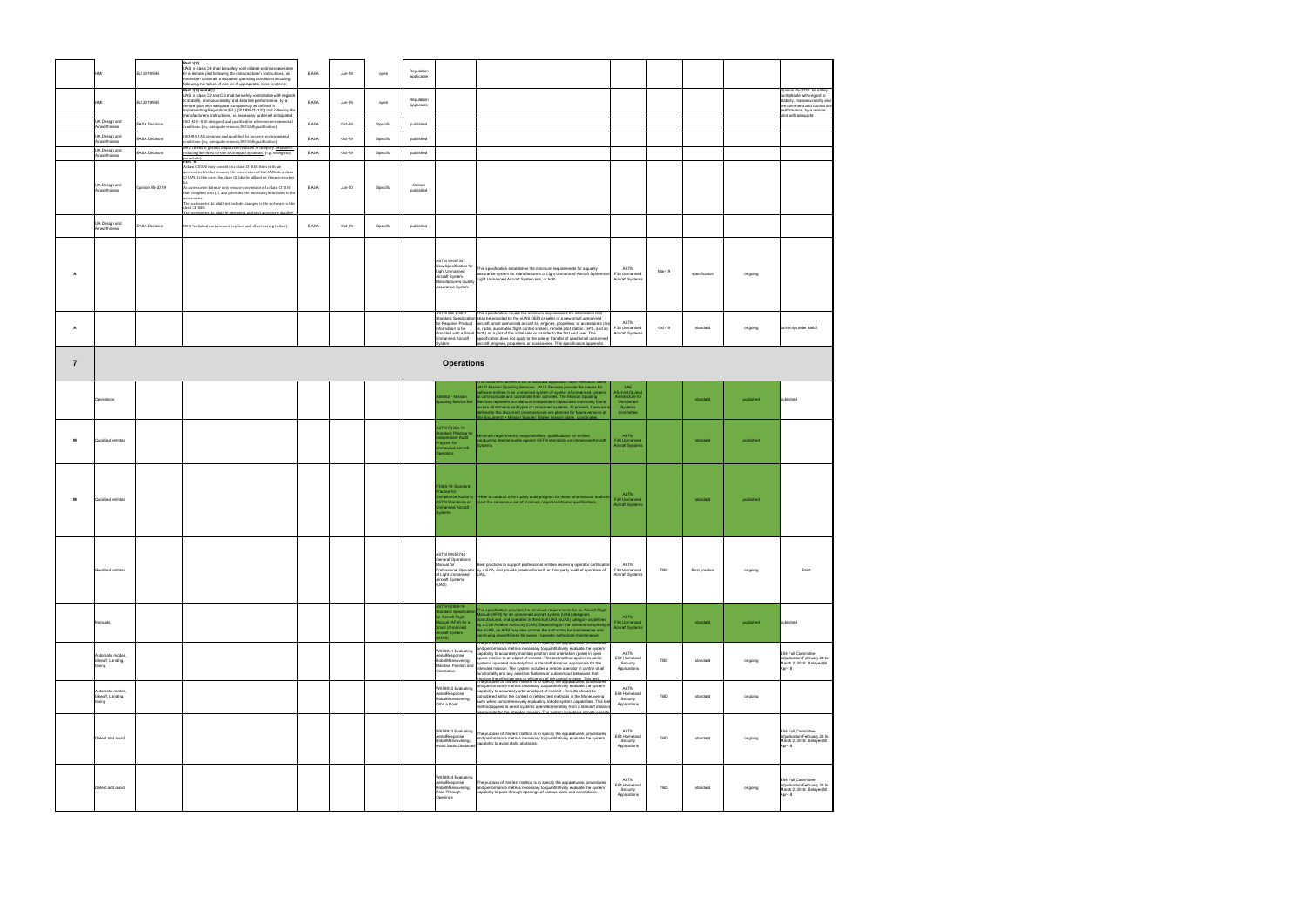|                |                                                 | EU 2019/945            | Part 5(2)<br>UAS in class C4 shall be safely controllable and manoeuvrable<br>by a remote pilot following the manufacturer's instructions, as<br>necessary under all anticipated operating conditions including<br>following the failure of one or, if appropriate, more systems;                                                                  | EASA | Jun-19        | open     | Regulation<br>applicable |                                                                                                                               |                                                                                                                                                                                                                                                                                                                                                                                                                                                                                                                                                                                                                                                                                      |                                                        |            |               |           |                                                                                                                                                                              |
|----------------|-------------------------------------------------|------------------------|----------------------------------------------------------------------------------------------------------------------------------------------------------------------------------------------------------------------------------------------------------------------------------------------------------------------------------------------------|------|---------------|----------|--------------------------|-------------------------------------------------------------------------------------------------------------------------------|--------------------------------------------------------------------------------------------------------------------------------------------------------------------------------------------------------------------------------------------------------------------------------------------------------------------------------------------------------------------------------------------------------------------------------------------------------------------------------------------------------------------------------------------------------------------------------------------------------------------------------------------------------------------------------------|--------------------------------------------------------|------------|---------------|-----------|------------------------------------------------------------------------------------------------------------------------------------------------------------------------------|
|                |                                                 | EU 2019/945            | Part 3(3) and 4(3)<br>UAS in class C2 and C3 shall be safely controllable with regards<br>to stability, manoeuvrability and data link performance, by a<br>remote pilot with adequate competency as defined in<br>Implementing Regulation (EU) [20190517-120] and following the<br>manufacturer's instructions, as necessary under all anticipated | EASA | Jun-19        | open     | Regulation<br>applicable |                                                                                                                               |                                                                                                                                                                                                                                                                                                                                                                                                                                                                                                                                                                                                                                                                                      |                                                        |            |               |           | Opinion 05-2019: be safely<br>controllable with regard to<br>stability, manoeuvrability an<br>the command and control link<br>erformance, by a remote<br>vilot with adequate |
|                | UA Design and<br>Airworthiness                  | <b>EASA Decision</b>   | OSO #24 - UAS designed and qualified for adverse environmental<br>conditions (e.g. adequate sensors, DO-160 qualification)                                                                                                                                                                                                                         | EASA | Oct-19        | Specific | published                |                                                                                                                               |                                                                                                                                                                                                                                                                                                                                                                                                                                                                                                                                                                                                                                                                                      |                                                        |            |               |           |                                                                                                                                                                              |
|                | UA Design and<br>Airworthiness                  | <b>EASA Decision</b>   | 0SO#24 UAS designed and qualified for adverse environmental<br>conditions (e.g. adequate sensors, DO-160 qualification)                                                                                                                                                                                                                            | EASA | Oct-19        | Specific | published                |                                                                                                                               |                                                                                                                                                                                                                                                                                                                                                                                                                                                                                                                                                                                                                                                                                      |                                                        |            |               |           |                                                                                                                                                                              |
|                | UA Design and<br>Airworthiness                  | <b>EASA Decision</b>   | M#2 Effects of ground impact are reduced. A category. Measures<br>reducing the effect of the UAS impact dynamics (e.g. emergency<br>parachute).<br>Part 16                                                                                                                                                                                         | EASA | Oct-19        | Specific | published                |                                                                                                                               |                                                                                                                                                                                                                                                                                                                                                                                                                                                                                                                                                                                                                                                                                      |                                                        |            |               |           |                                                                                                                                                                              |
|                |                                                 |                        | A class C5 UAS may consist in a class C3 UAS fitted with an<br>accessories kit that ensures the conversion of the IIAS into a class<br>C5 UAS. In this case, the class C5 label is affixed on the accessories                                                                                                                                      |      |               |          |                          |                                                                                                                               |                                                                                                                                                                                                                                                                                                                                                                                                                                                                                                                                                                                                                                                                                      |                                                        |            |               |           |                                                                                                                                                                              |
|                | UA Design and<br>Airworthiness                  | <b>Opinion 05-2019</b> | An accessories kit may only ensure conversion of a class C3 UAS<br>that complies with (1) and provides the necessary interfaces to the<br>accessories.<br>The accessories kit shall not include changes to the software of the<br>class C3 UAS.<br>The accessories kit shall be designed, and each accessory shall be                              | EASA | <b>Jun-20</b> | Specific | Opinon<br>published      |                                                                                                                               |                                                                                                                                                                                                                                                                                                                                                                                                                                                                                                                                                                                                                                                                                      |                                                        |            |               |           |                                                                                                                                                                              |
|                | UA Design and<br>Airworthiness                  | <b>EASA Decision</b>   | M#3 Technical containment in place and effective (e.g. tether)                                                                                                                                                                                                                                                                                     | EASA | Oct-19        | Specific | published                |                                                                                                                               |                                                                                                                                                                                                                                                                                                                                                                                                                                                                                                                                                                                                                                                                                      |                                                        |            |               |           |                                                                                                                                                                              |
|                |                                                 |                        |                                                                                                                                                                                                                                                                                                                                                    |      |               |          |                          |                                                                                                                               |                                                                                                                                                                                                                                                                                                                                                                                                                                                                                                                                                                                                                                                                                      |                                                        |            |               |           |                                                                                                                                                                              |
| А              |                                                 |                        |                                                                                                                                                                                                                                                                                                                                                    |      |               |          |                          | ASTM WK67357<br>New Specification for<br>Light Unmanned<br>Aircraft System<br><b>Manufacturers Quality</b><br>ssurance System | This specification establishes the minimum requirements for a quality<br>assurance system for manufacturers of Light Unmanned Aircraft Systems o<br>Light Unmanned Aircraft System kits, or both.                                                                                                                                                                                                                                                                                                                                                                                                                                                                                    | ASTM<br>F38 Unmanned<br>Aircraft Systems               | Mar-19     | specification | ongoing   |                                                                                                                                                                              |
| A              |                                                 |                        |                                                                                                                                                                                                                                                                                                                                                    |      |               |          |                          | <b>ASTM WK 63407</b><br>nformation to be<br>Jnmanned Aircraft                                                                 | This specification covers the minimum requirements for information that<br>Itandard Specification shall be provided by the sUAS OEM or seller of a new small unmanned<br>for Required Product aircraft, small unmanned aircraft kit, engines, propellers, or accessories (tha<br>is, radio, automated flight control system, remote pilot station, GPS, and so<br>Provided with a Small forth) as a part of the initial sale or transfer to the first end user. This<br>specification does not apply to the sale or transfer of used small unmanned                                                                                                                                  | ASTM<br>F38 Unmanned<br>Aircraft Systems               | Oct-19     | standard      | ongoing   | currently under ballot                                                                                                                                                       |
|                |                                                 |                        |                                                                                                                                                                                                                                                                                                                                                    |      |               |          |                          | stem                                                                                                                          | aircraft, engines, propellers, or accessories. This specification applies to                                                                                                                                                                                                                                                                                                                                                                                                                                                                                                                                                                                                         |                                                        |            |               |           |                                                                                                                                                                              |
| $\overline{7}$ |                                                 |                        |                                                                                                                                                                                                                                                                                                                                                    |      |               |          |                          | <b>Operations</b>                                                                                                             |                                                                                                                                                                                                                                                                                                                                                                                                                                                                                                                                                                                                                                                                                      |                                                        |            |               |           |                                                                                                                                                                              |
|                | Operations                                      |                        |                                                                                                                                                                                                                                                                                                                                                    |      |               |          |                          | S6062 - Mission<br>ooling Service Set                                                                                         | ent defines a set of standard application layer inte<br>JAUS Mission Spooling Services. JAUS Services provide the means for<br>oftware entities in an unmanned system or system of unmanned systems<br>communicate and coordinate their activities. The Mission Spooling<br>Services represent the platform-independent capabilities commonly found                                                                                                                                                                                                                                                                                                                                  | SAE<br>AS-4JAUS Joint<br>Architecture for<br>Unmanned  |            | standard      | published | published                                                                                                                                                                    |
|                |                                                 |                        |                                                                                                                                                                                                                                                                                                                                                    |      |               |          |                          | <b>ASTM F3364-19</b>                                                                                                          | across all domains and types of unmanned systems. At present, 1 service is<br>defined in this document (more services are planned for future versions of<br>ent): • Mission Spooler: Stor                                                                                                                                                                                                                                                                                                                                                                                                                                                                                            | Systems<br>Committee                                   |            |               |           |                                                                                                                                                                              |
| м              | Qualified entitites                             |                        |                                                                                                                                                                                                                                                                                                                                                    |      |               |          |                          | ndard Practice for<br>endent Audit<br>gram for<br>nanned Aircraft<br>Doerators                                                | Ainimum requirements, responsibilities, qualifications for entities<br>onducting internal audits against ASTM standards on Unmanned Aircraft                                                                                                                                                                                                                                                                                                                                                                                                                                                                                                                                         | ASTM<br>F38 Unmanned<br>Aircraft Systems               |            | standard      | published |                                                                                                                                                                              |
| м              | Qualified entitites                             |                        |                                                                                                                                                                                                                                                                                                                                                    |      |               |          |                          | F3365-19 Standard<br>actice for<br>npliance Audits to<br><b>STM Standards on</b><br>manned Aircraft<br>tems                   | -How to conduct a third party audit program for those who execute audits t<br>eet the consensus set of minimum requirements and qualifications.                                                                                                                                                                                                                                                                                                                                                                                                                                                                                                                                      | <b>ASTM</b><br>F38 Unmanned<br><b>Aircraft Systems</b> |            | standard      | published |                                                                                                                                                                              |
|                | Qualified entitites                             |                        |                                                                                                                                                                                                                                                                                                                                                    |      |               |          |                          | ASTM WK62744<br>General Operations<br>Manual for<br>of Light Unmanned<br>Aircraft Systems<br>(UAS)                            | Best practices to support professional entities receiving operator certification<br>Professional Operator by a CAA, and provide practice for self- or third-party audit of operators of<br>UAS.                                                                                                                                                                                                                                                                                                                                                                                                                                                                                      | ASTM<br>F38 Unmanned<br>Aircraft Systems               | TBD        | Best practice | ongoing   | Draft                                                                                                                                                                        |
|                | Manuals                                         |                        |                                                                                                                                                                                                                                                                                                                                                    |      |               |          |                          | <b>STM F2908-16</b><br>dard Specifi<br>Aircraft Flight<br>anual (AFM) for a<br>all Unmanned<br>rcraft System<br>UAS).         | This specification provides the minimum requirements for an Aircraft Flight<br>Manual (AFM) for an unmanned aircraft system (UAS) designed,<br>anufactured, and operated in the small UAS (sUAS) category as defined<br>by a Civil Aviation Authority (CAA). Depending on the size and complexity<br>he sUAS, an AFM may also contain the instruction for maintenance and<br>ntinuing airworthiness for owner / operator authorized maintenance.                                                                                                                                                                                                                                     | ASTM<br>F38 Unmanned<br><b>Aircraft Systems</b>        |            | standard      | published | published                                                                                                                                                                    |
|                | Automatic modes.<br>takeoff, Landing,<br>taxing |                        |                                                                                                                                                                                                                                                                                                                                                    |      |               |          |                          | WK58931 Evaluating<br>AerialResponse<br>RobotManeuvering:<br>Maintain Position and<br>Orientation                             | ose or this test method is to specify the apparatuses<br>and performance metrics necessary to quantitatively evaluate the system<br>capability to accurately maintain position and orientation (pose) in open<br>space relative to an object of interest. This test method applies to aerial<br>systems operated remotely from a standoff distance appropriate for the<br>ntended mission. The system includes a remote operator in control of all<br>functionality and any assistive features or autonomous behaviors that<br>morove the effectiveness or efficiency of the overall system. This test<br>The purpose of this test method is to specify the apparatuses, procedures, | ASTM<br>E54 Homeland<br>Security<br>Applications       | TBD        | standard      | ongoing   | E54 Full Committee<br>adjudication February 26 to<br>March 2, 2018. Delayed till<br>Apr-18                                                                                   |
|                | Automatic modes,<br>takeoff, Landing,<br>taxing |                        |                                                                                                                                                                                                                                                                                                                                                    |      |               |          |                          | WK58932 Evaluating<br>AerialResponse<br>RobotManeuvering:<br>Orbit a Point                                                    | and performance metrics necessary to quantitatively evaluate the system<br>capability to accurately orbit an object of interest . Results should be<br>considered within the context of related test methods in the Maneuvering<br>suite when comprehensively evaluating robotic system capabilities. This test<br>nethod applies to aerial systems operated remotely from a standoff distano<br>poropriate for the intended mission. The system includes a remote opera                                                                                                                                                                                                             | ASTM<br>E54 Homeland<br>Security<br>Applications       | TBD        | standard      | ongoing   |                                                                                                                                                                              |
|                | Detect and avoid                                |                        |                                                                                                                                                                                                                                                                                                                                                    |      |               |          |                          | WK58933 Evaluating<br>AerialResponse<br>RobotManeuvering:<br><b>Avoid Static Obstacles</b>                                    | The purpose of this test method is to specify the apparatuses, procedures,<br>and performance metrics necessary to quantitatively evaluate the system<br>capability to avoid static obstacles.                                                                                                                                                                                                                                                                                                                                                                                                                                                                                       | ASTM<br>E54 Homeland<br>Security<br>Applications       | <b>TBD</b> | standard      | ongoing   | E54 Full Committee<br>adjudication February 26 to<br>March 2, 2018. Delayed till<br>Apr-18                                                                                   |
|                | Detect and avoid                                |                        |                                                                                                                                                                                                                                                                                                                                                    |      |               |          |                          | WK58934 Evaluating<br>AerialResponse<br>RobotManeuvering:<br>Pass Through<br>Openings                                         | The purpose of this test method is to specify the apparatuses, procedures,<br>and performance metrics necessary to quantitatively evaluate the system<br>capability to pass through openings of various sizes and orientations.                                                                                                                                                                                                                                                                                                                                                                                                                                                      | ASTM<br>E54 Homeland<br>Security<br>Applications       | TBD        | standard      | ongoing   | E54 Full Committee<br>adjudication February 26 to<br>March 2, 2018. Delayed till<br>Apr-18                                                                                   |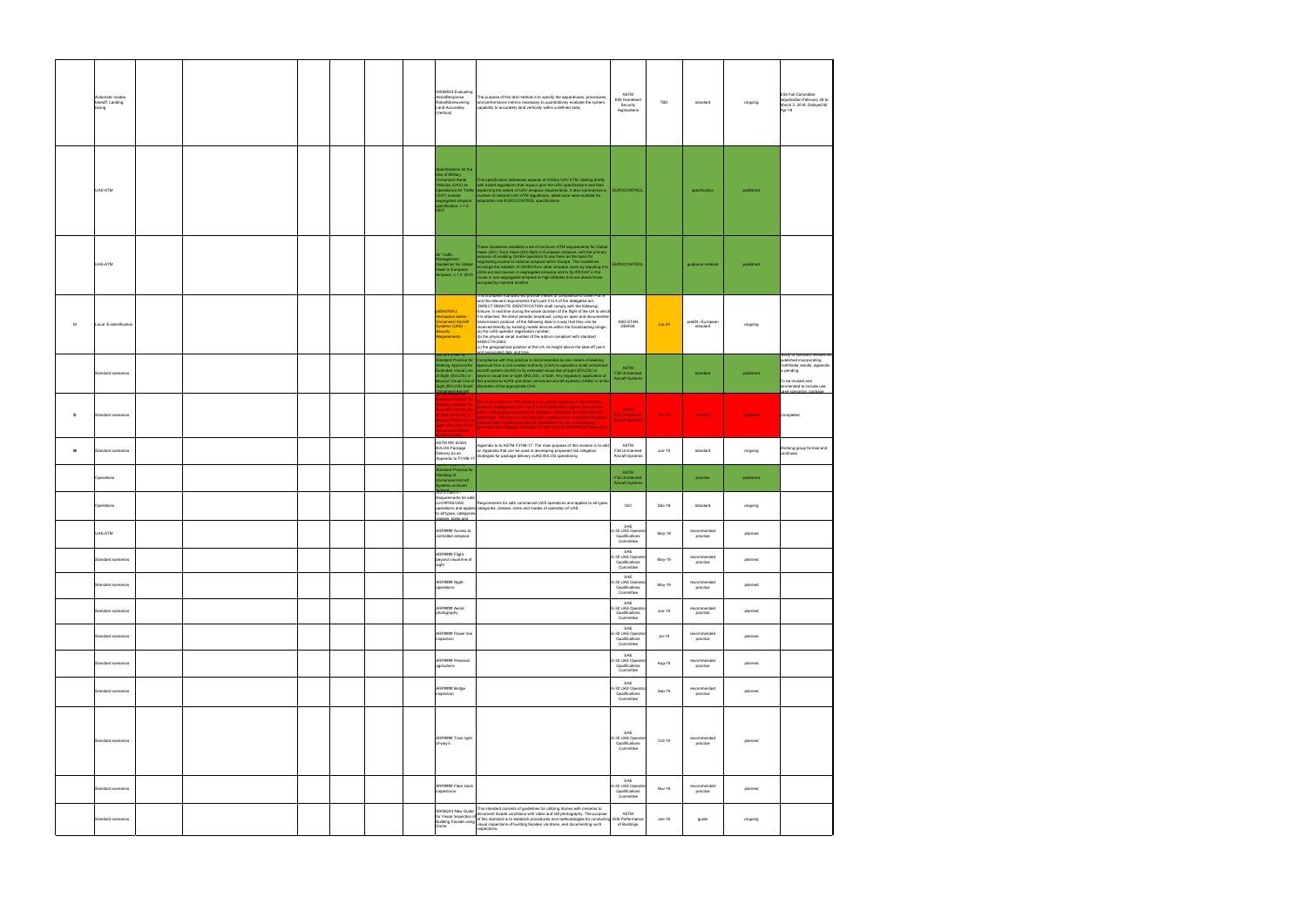|   | Automatic modes,<br>takeoff, Landing,<br>prixet |  | WK58935 Evaluating<br>AerialResponse<br>RobotManeuvering:<br><b>Land Accurately</b><br>(Vertical)                                               | The purpose of this test method is to specify the apparatuses, procedures,<br>and performance metrics necessary to quantitatively evaluate the system<br>capability to accurately land vertically within a defined area.                                                                                                                                                                                                                                                                                                                                                                                                                                                                                                                                                                     | ASTM<br>E54 Homeland<br>Security<br>Applications                                | TBD      | standard                     | ongoing   | E54 Full Committee<br>adjudication February 26 to<br>March 2, 2018. Delayed till<br>Apr-18                                                       |
|---|-------------------------------------------------|--|-------------------------------------------------------------------------------------------------------------------------------------------------|----------------------------------------------------------------------------------------------------------------------------------------------------------------------------------------------------------------------------------------------------------------------------------------------------------------------------------------------------------------------------------------------------------------------------------------------------------------------------------------------------------------------------------------------------------------------------------------------------------------------------------------------------------------------------------------------------------------------------------------------------------------------------------------------|---------------------------------------------------------------------------------|----------|------------------------------|-----------|--------------------------------------------------------------------------------------------------------------------------------------------------|
|   | UAS-ATM                                         |  | Specifications for the<br>Use of Military<br>Imanned Aerial<br>hicles (UAV) as<br><b>DAT)</b> outside<br>gregated airspace<br>ification, v 1.0, | This specification addresses aspects of military UAV ATM, dealing briefly<br>with extant regulations that impact upon the UAV specifications and then<br>erational Air Traffic explaining the nature of UAV airspace requirements. It also summarises a<br>umber of national UAV ATM regulations, albeit none were suitable for<br>daptation into EUROCONTROL specifications                                                                                                                                                                                                                                                                                                                                                                                                                 | EUROCONTROL                                                                     |          | specification                | published |                                                                                                                                                  |
|   | UAS-ATM                                         |  | Air Traffic<br>Management<br>uidelines for Global<br>Hawk in European<br>Airspace, v 1.0, 2010                                                  | These Guidelines establish a set of minimum ATM requirements for Global<br>Hawk (GH) / Euro Hawk (EH) flight in European airspace, with the primary<br>purpose of enabling GH/EH operators to use them as the basis for<br>regotiating access to national airspace within Europe. The Guidelines<br>envisage the isolation of GH/EH from other airspace users by requiring it to<br>climb-out and recover in segregated airspace and to fly IFR/OAT in the<br>cruise in non-segregated airspace at high altitudes that are above those occupied by manned aviation.                                                                                                                                                                                                                          | <b>EUROCONTROL</b>                                                              |          | guidance material            | published |                                                                                                                                                  |
| м | Local E-identification                          |  | rEN4709-2<br>erospace series -<br>manned Aircraft<br>/stems (UAS) -<br>ecurity<br>equirements<br>STM F3196-18                                   | This European standard will provide means of compliance to cover Part 6<br>and the relevant requirements from part 2 to 4 of the delegated act.<br>DIRECT REMOTE IDENTIFICATION shall comply with the following:<br>Ensure, in real time during the whole duration of the flight of the UA to which<br>it is attached, the direct periodic broadcast, using an open and documented<br>transmission protocol, of the following data in a way that they can be<br>received directly by existing mobile devices within the broadcasting range<br>(a) the UAS operator registration number;<br>(b) the physical serial number of the add-on compliant with standard<br>ANSI/CTA-2063;<br>(c) the geographical position of the UA, its height above the take-off point<br>associated date and tin | ASD-STAN<br>D5WG8                                                               | $Jun-20$ | preEN / European<br>standard | ongoing   | Body of standard revised an                                                                                                                      |
|   | Standard scenarios                              |  | and Aircraft                                                                                                                                    | ndard Practice for Compliance with this practice is recommended as one means of seeking<br>Iking Approval for <b>provalent and a state of the se</b> t (CAA) to operate a small unmanned<br>anded Visual Line aircraft system (sUAS) to fly extended visual line of sight (EVLOS) or<br>Sight (EVLOS) or beyond visual line of sight (BVLOS), or both. Any regulatory application of<br>ond Visual Line of this practice to sUAS and other unmanned aircraft systems (UASs) is at the<br>jht (BVLOS) Small discretion of the appropriate CAA.                                                                                                                                                                                                                                                | <b>ASTM</b><br>F38 Unmanned<br><b>Aircraft Systems</b>                          |          | standard                     | published | published incorporating<br>Oathfinder results, appendix<br>is pending.<br>To be revised and<br>ammended to include use<br>ase scenarios: package |
| D | Standard scenarios                              |  |                                                                                                                                                 | THE MERCUPS<br><b>State Control of The main purpose of this revision is to add an Appendix A that provides<br/>selected by The main purpose of this revision is to add an Appendix A that provides<br/>standed Visual Line Theoretical in t</b>                                                                                                                                                                                                                                                                                                                                                                                                                                                                                                                                              | ASTM<br>F38 Unmanned<br><b>Aircraft Systems</b>                                 | $Jun-18$ | standard                     | published | Completed                                                                                                                                        |
| м | Standard scenarios                              |  | <b>ASTM WK 62344</b><br><b>BVLOS Package</b>                                                                                                    | Appendix to to ASTM F3196-17. The main purpose of this revision is to add<br>an Appendix that can be used in developing proposed risk mitigation<br>Leawery as an action of the community of the second of the second residence of the community proposed risk.<br>Appendix to F3196-17 strategies for package delivery sUAS BVLOS operationsy                                                                                                                                                                                                                                                                                                                                                                                                                                               | ASTM<br>F38 Unmanned<br>Aircraft Systems                                        | Jun-19   | standard                     | ongoing   | Working group formed and<br>continues                                                                                                            |
|   | Operations                                      |  | マミネルコーツスクスリ<br>andard Practice for<br>ndling of<br>nanned Aircraft<br>tems at Divert                                                            |                                                                                                                                                                                                                                                                                                                                                                                                                                                                                                                                                                                                                                                                                                                                                                                              | ASTM<br>F38 Unmanned<br><b>Aircraft Systems</b>                                 |          | practice                     | published |                                                                                                                                                  |
|   | Operations                                      |  | SO 21384-3 -<br>Requirements for safe<br>civil RPAS/UAS<br>to all types, categories,<br>lasses, sizes and                                       | Requirements for safe commercial UAS operations and applies to all types,<br>operations and applies categories, classes, sizes and modes of operation of UAS.                                                                                                                                                                                                                                                                                                                                                                                                                                                                                                                                                                                                                                | <b>ISO</b>                                                                      | Dec-18   | standard                     | ongoing   |                                                                                                                                                  |
|   | UAS-ATM                                         |  | ARP#### Access to<br>controlled airspace                                                                                                        |                                                                                                                                                                                                                                                                                                                                                                                                                                                                                                                                                                                                                                                                                                                                                                                              | SAE<br>G-30 UAS Operate<br>Qualifications<br>Committee                          | May-19   | recommended<br>practice      | planned   |                                                                                                                                                  |
|   | Standard scenarios                              |  | RP#### Flight<br>beyond visual line of<br>sight                                                                                                 |                                                                                                                                                                                                                                                                                                                                                                                                                                                                                                                                                                                                                                                                                                                                                                                              | $\ensuremath{\mathsf{SAE}}$<br>G-30 UAS Operator<br>Qualifications<br>Committee | May-19   | recommended<br>practice      | planned   |                                                                                                                                                  |
|   | Standard scenarios                              |  | ARP#### Night<br>operations                                                                                                                     |                                                                                                                                                                                                                                                                                                                                                                                                                                                                                                                                                                                                                                                                                                                                                                                              | SAE<br>G-30 UAS Operato<br>Qualifications<br>Committee<br>SAE                   | May-19   | recommended<br>practice      | planned   |                                                                                                                                                  |
|   | Standard scenarios                              |  | ARP#### Aerial<br>photography                                                                                                                   |                                                                                                                                                                                                                                                                                                                                                                                                                                                                                                                                                                                                                                                                                                                                                                                              | G-30 UAS Operate<br>Qualifications<br>Committee<br>SAE                          | Jun-19   | recommended<br>practice      | planned   |                                                                                                                                                  |
|   | Standard scenarios                              |  | ARP#### Power line<br>inspection                                                                                                                |                                                                                                                                                                                                                                                                                                                                                                                                                                                                                                                                                                                                                                                                                                                                                                                              | G-30 UAS Operate<br>Qualifications<br>Committee<br>SAE                          | $Jul-19$ | recommended<br>practice      | planned   |                                                                                                                                                  |
|   | Standard scenarios                              |  | ARP#### Precision<br>agriculture                                                                                                                |                                                                                                                                                                                                                                                                                                                                                                                                                                                                                                                                                                                                                                                                                                                                                                                              | G-30 UAS Operato<br>Qualifications<br>Committee<br>SAE                          | Aug-19   | recommended<br>practice      | planned   |                                                                                                                                                  |
|   | Standard scenarios                              |  | ARP#### Bridge<br>inspection                                                                                                                    |                                                                                                                                                                                                                                                                                                                                                                                                                                                                                                                                                                                                                                                                                                                                                                                              | G-30 UAS Operate<br>Qualifications<br>Committee                                 | Sep-19   | recommended<br>practice      | planned   |                                                                                                                                                  |
|   | Standard scenarios                              |  | ARP#### Train right-<br>of-way's                                                                                                                |                                                                                                                                                                                                                                                                                                                                                                                                                                                                                                                                                                                                                                                                                                                                                                                              | SAE<br>G-30 UAS Operato<br>Qualifications<br>Committee                          | Oct-19   | recommended<br>practice      | planned   |                                                                                                                                                  |
|   | Standard scenarios                              |  | ARP#### Flare stack<br>inspections                                                                                                              |                                                                                                                                                                                                                                                                                                                                                                                                                                                                                                                                                                                                                                                                                                                                                                                              | SAE<br>G-30 UAS Operato<br>Qualifications<br>Committee                          | Nov-19   | recommended<br>practice      | planned   |                                                                                                                                                  |
|   | Standard scenarios                              |  | WK58243 New Guide                                                                                                                               | This standard consists of guidelines for utilizing drones with cameras to<br>WKS8243 New Guide<br>for Visual Inspection of of this standard is to establish procedures and still photography. The purpose ASTM<br>Puilding Encode using of this standard is to establish procedures and methodologies for conduct<br>and Building Facade using of uns standard to the server processing processes.<br>Building Facade using visual inspections of building facades via drone, and documenting such<br>inspections.                                                                                                                                                                                                                                                                           | of Buildings                                                                    | Jan-18   | guide                        | ongoing   |                                                                                                                                                  |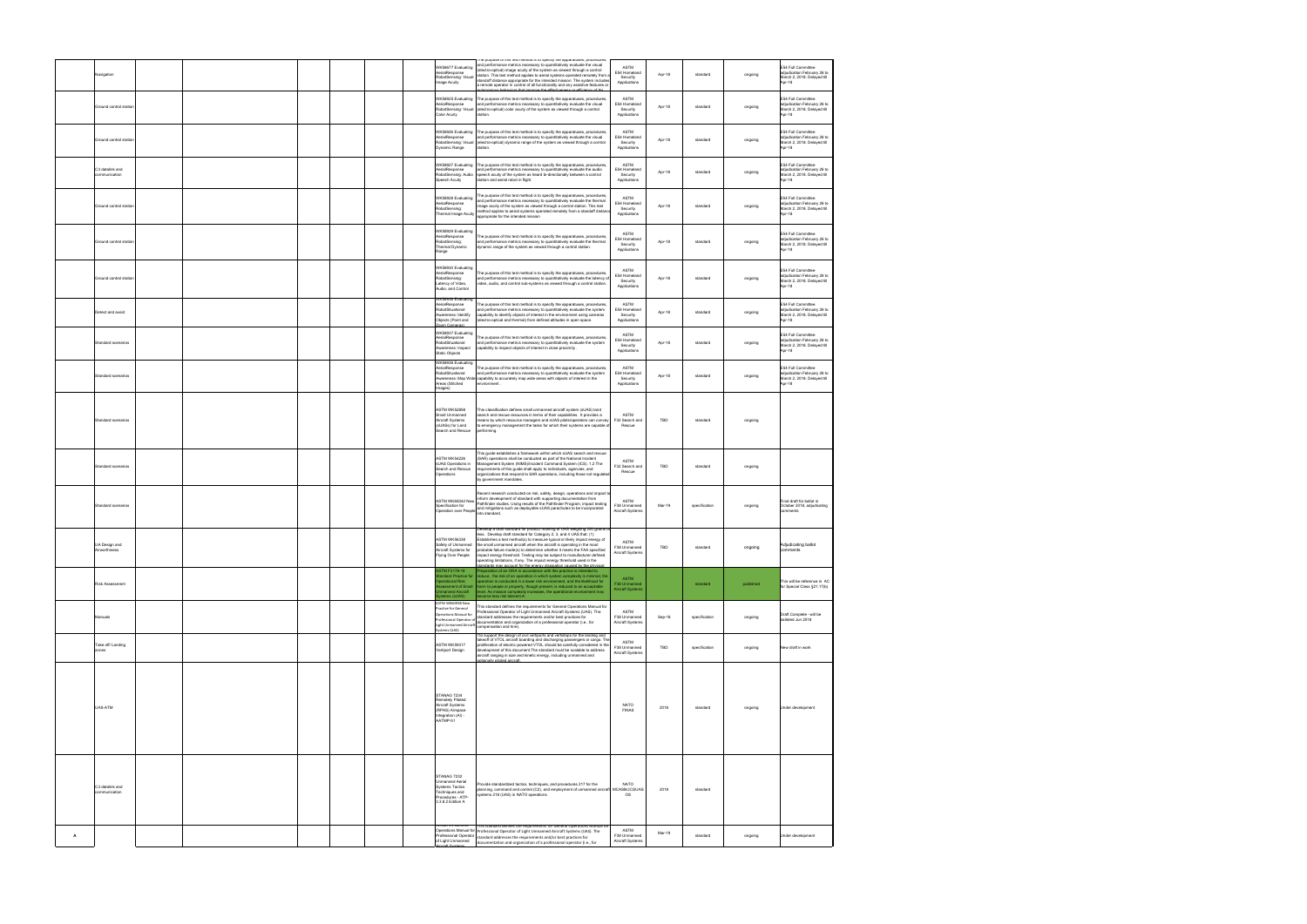|   | Navigation                       |  |  |  | VK58677 Evaluating<br>erialResponse<br><b>kobotSensing:</b> Visual                                                       | ne purpose or ans test meatou is to specify are apparatuses, procedures<br>and performance metrics necessary to quantitatively evaluate the visual<br>electro-optical) image acuity of the system as viewed through a control<br>station. This test method applies to aerial systems operated remotely from                                                                                                                                                                                                                                                                                                                          | <b>ASTM</b><br>E54 Homeland                             | Apr-18 | standard      | ongoing   | E54 Full Committee<br>adjudication February 26 to                                          |
|---|----------------------------------|--|--|--|--------------------------------------------------------------------------------------------------------------------------|--------------------------------------------------------------------------------------------------------------------------------------------------------------------------------------------------------------------------------------------------------------------------------------------------------------------------------------------------------------------------------------------------------------------------------------------------------------------------------------------------------------------------------------------------------------------------------------------------------------------------------------|---------------------------------------------------------|--------|---------------|-----------|--------------------------------------------------------------------------------------------|
|   |                                  |  |  |  | age Acuity                                                                                                               | standoff distance appropriate for the intended mission. The system includes<br>a remote operator in control of all functionality and any assistive features or                                                                                                                                                                                                                                                                                                                                                                                                                                                                       | Security<br>Applications                                |        |               |           | March 2, 2018. Delayed till<br>Apr-18                                                      |
|   | Ground control statio            |  |  |  | VK58925 Evaluating<br>AerialResponse<br>RobotSensing: Visual<br>Color Acuity                                             | The purpose of this test method is to specify the apparatuses, procedures,<br>and performance metrics necessary to quantitatively evaluate the visual<br>(electro-optical) color acuity of the system as viewed through a control<br>station.                                                                                                                                                                                                                                                                                                                                                                                        | ASTM<br>E54 Homeland<br>Security<br>Applications        | Apr-18 | standard      | ongoing   | E54 Full Committee<br>adjudication February 26 to<br>March 2, 2018. Delayed till<br>Apr-18 |
|   | Ground control station           |  |  |  | WK58926 Evaluating<br>AerialResponse<br>RobotSensing: Visual<br>Dynamic Range                                            | The purpose of this test method is to specify the apparatuses, procedures<br>and performance metrics necessary to quantitatively evaluate the visual<br>(electro-optical) dynamic range of the system as viewed through a control<br>station.                                                                                                                                                                                                                                                                                                                                                                                        | ASTM<br>E54 Homeland<br>Security<br>Applications        | Apr-18 | standard      | ongoing   | E54 Full Committee<br>adjudication February 26 to<br>March 2, 2018. Delaved till<br>Apr-18 |
|   | C3 datalink and<br>communication |  |  |  | VK58927 Evaluating<br>erialResponse<br>RobotSensing: Audio<br>Speech Acuity                                              | The purpose of this test method is to specify the apparatuses, procedures<br>and performance metrics necessary to quantitatively evaluate the audio<br>speech acuity of the system as heard bi-directionally between a control<br>station and aerial robot in flight.                                                                                                                                                                                                                                                                                                                                                                | ASTM<br>E54 Homeland<br>Security<br>Applications        | Apr-18 | standard      | ongoing   | E54 Full Committee<br>adjudication February 26 to<br>March 2, 2018. Delayed till<br>Apr-18 |
|   | Ground control station           |  |  |  | VK58928 Evaluating<br>AerialResponse<br>RobotSensing:<br>Thermal Image Acuity                                            | The purpose of this test method is to specify the apparatuses, procedures<br>and performance metrics necessary to quantitatively evaluate the thermal<br>mage acuity of the system as viewed through a control station. This test<br>method applies to aerial systems operated remotely from a standoff distanc<br>appropriate for the intended mission                                                                                                                                                                                                                                                                              | ASTM<br>E54 Homeland<br>Security<br>Applications        | Apr-18 | standard      | ongoing   | E54 Full Committee<br>adjudication February 26 to<br>March 2, 2018. Delayed till<br>Apr-18 |
|   | Ground control statio            |  |  |  | WK58929 Evaluating<br>AerialResponse<br>RobotSensing:<br>Thermal Dynamic<br>ange                                         | The purpose of this test method is to specify the apparatuses, procedures,<br>and performance metrics necessary to quantitatively evaluate the thermal<br>dynamic range of the system as viewed through a control station.                                                                                                                                                                                                                                                                                                                                                                                                           | ASTM<br>E54 Homeland<br>Security<br>Applications        | Apr-18 | standard      | ongoing   | E54 Full Committee<br>adjudication February 26 to<br>March 2, 2018. Delayed till<br>Apr-18 |
|   | Ground control station           |  |  |  | WK58930 Evaluating<br>erialResponse<br>RobotSensing:<br>atency of Video,<br>Audio, and Control                           | The purpose of this test method is to specify the apparatuses, procedures<br>and performance metrics necessary to quantitatively evaluate the latency of<br>video, audio, and control sub-systems as viewed through a control station.                                                                                                                                                                                                                                                                                                                                                                                               | ASTM<br>E54 Homeland<br>Security<br>Applications        | Apr-18 | standard      | ongoing   | E54 Full Committee<br>adjudication February 26 to<br>March 2, 2018. Delayed till<br>Apr-18 |
|   | Detect and avoid                 |  |  |  | /K58936 Evaluatin<br><b>AerialResponse</b><br>RobotSituational<br>wareness: Identify<br>bjects (Point and<br>om Cameras) | The purpose of this test method is to specify the apparatuses, procedures<br>and performance metrics necessary to quantitatively evaluate the system<br>apability to identify objects of interest in the environment using cameras<br>lectro-optical and thermal) from defined altitudes in open space.                                                                                                                                                                                                                                                                                                                              | <b>ASTM</b><br>E54 Homeland<br>Security<br>Applications | Apr-18 | standard      | ongoing   | E54 Full Committee<br>adjudication February 26 to<br>March 2, 2018. Delayed till<br>Apr-18 |
|   | Standard scenarios               |  |  |  | WK58937 Evaluating<br>AerialResponse<br>RobotSituational<br>wareness: Inspect<br>Static Objects                          | The purpose of this test method is to specify the apparatuses, procedures,<br>and performance metrics necessary to quantitatively evaluate the system<br>capability to inspect objects of interest in close proximity                                                                                                                                                                                                                                                                                                                                                                                                                | ASTM<br>E54 Homeland<br>Security<br>Applications        | Apr-18 | standard      | ongoing   | E54 Full Committee<br>adjudication February 26 to<br>March 2, 2018. Delayed till<br>Apr-18 |
|   | Standard scenarios               |  |  |  | WK58938 Evaluating<br>AerialResponse<br>RobotSituational<br>Areas (Stitched<br>ages)                                     | The purpose of this test method is to specify the apparatuses, procedures,<br>and performance metrics necessary to quantitatively evaluate the system<br>wareness: Map Wide <mark>capability to accurately map wide areas with objects of interest in the</mark><br>nvironment                                                                                                                                                                                                                                                                                                                                                       | ASTM<br>E54 Homeland<br>Security<br>Applications        | Apr-18 | standard      | ongoing   | E54 Full Committee<br>adjudication February 26 to<br>March 2, 2018. Delayed till<br>Apr-18 |
|   | Standard scenarios               |  |  |  | <b>ASTM WK52858</b><br>mall Unmanned<br>Aircraft Systems<br>sUASs) for Land<br>Search and Rescue                         | This classification defines small unmanned aircraft system (sUAS) land<br>search and rescue resources in terms of their capabilities. It provides a<br>means by which resource managers and sUAS pilots/operators can convey<br>to emergency management the tasks for which their systems are capable o<br>performing.                                                                                                                                                                                                                                                                                                               | ASTM<br>F32 Search and<br>Rescue                        | TBD    | standard      | ongoing   |                                                                                            |
|   | Standard scenarios               |  |  |  | ASTM WK54226<br>sUAS Operations in<br>Search and Rescue<br>Operations                                                    | This quide establishes a framework within which sUAS search and rescue<br>(SAR) operations shall be conducted as part of the National Incident<br>Management System (NIMS)/Incident Command System (ICS). 1.2 The<br>requirements of this guide shall apply to individuals, agencies, and<br>organizations that respond to SAR operations, including those not regulate<br>by government mandates.                                                                                                                                                                                                                                   | ASTM<br>F32 Search and<br>Rescue                        | TBD    | standard      | ongoing   |                                                                                            |
|   | Standard scenarios               |  |  |  | ASTM WK65042 New                                                                                                         | Recent research conducted on risk, safety, design, operations and impact to<br>inform development of standard with supporting documentation from<br>Pathfinder studies. Using results of the Pathfinder Program, impact testing<br>opeonication ion in pact testifications such as deployable sUAS parachutes to be incorporated.<br>Operation over People into photographs such as deployable sUAS parachutes to be incorporated<br>into standard.                                                                                                                                                                                  | <b>ASTM</b><br>F38 Unmanned<br>Aircraft Systems         | Mar-19 | specification | ongoing   | Final draft for ballot in<br>October 2018, adjudicating<br>comments                        |
|   | UA Design and<br>Airworthiness   |  |  |  | ASTM WK56338<br>Aircraft Systems for<br>Flying Over People                                                               | Develop a draft standard for product marking of UAS weighing 250 grams<br>less. Develop draft standard for Category 2, 3, and 4 UAS that: (1)<br>Establishes a test method(s) to measure typical or likely impact energy of<br>Safety of Unmanned the small unmanned aircraft when the aircraft is operating in the most<br>probable failure mode(s) to determine whether it meets the FAA specified<br>impact energy threshold. Testing may be subject to manufacturer defined<br>operating limitations, if any. The impact energy threshold used in the<br>standards may account for the energy dissipation caused by the physical | ASTM<br>F38 Unmanned<br>Aircraft Systems                | TBD    | standard      | ongoing   | Adjudicating ballot<br>:omment:                                                            |
|   | <b>Risk Assessment</b>           |  |  |  | STM F3178-16<br>ndard Practice for<br>erational Risk<br>essment of Small<br>nanned Aircraft<br>tems (sUAS)               | paration of an ORA in accordance with this practice is intended to<br>reduce, the risk of an operation in which system complexity is minimal, the<br>operation is conducted in a lower risk environment, and the likelihood for<br>harm to people or property, though present, is reduced to an acceptable<br>level. As mission complexity increases, the operational environment may<br>ecome less risk tolerant.A.                                                                                                                                                                                                                 | <b>ASTM</b><br>F38 Unmanner<br>Aircraft Systems         |        | standard      | published | This will be reference in AC<br>for Special Class §21.17(b)                                |
|   | Manuals                          |  |  |  | ASTM WK60938 New<br>ractice for General<br>Operations Manual for<br>rofessional Operator of<br>stems (UAS)               | This standard defines the requirements for General Operations Manual for<br>Professional Operator of Light Unmanned Aircraft Systems (UAS). The<br>standard addresses the requirements and/or best practices for<br>Light Unmanned Aircraft Cocumentation and organization of a professional operator (i.e., for<br>compensation and hire).                                                                                                                                                                                                                                                                                          | <b>ASTM</b><br>F38 Unmanned<br>Aircraft Systems         | Sep-18 | specification | ongoing   | Draft Complete - will be<br>balloted Jun 2018                                              |
|   | Take off/ Landing<br>zones       |  |  |  | ASTM WK59317<br>/ertiport Design                                                                                         | Tto support the design of civil vertiports and vertistops for the landing and<br>takeoff of VTOL aircraft boarding and discharging passengers or cargo. The<br>proliferation of electric-powered VTOL should be carefully considered in the<br>development of this document. The standard must be scalable to address<br>aircraft ranging in size and kinetic energy, including unmanned and<br>flerorie betolig villenoite                                                                                                                                                                                                          | ASTM<br>F38 Unmanned<br>Aircraft Systems                | TBD    | specification | ongoing   | New draft in work                                                                          |
|   | UAS-ATM                          |  |  |  | <b>STANAG 7234</b><br>Remotely Piloted<br>Aircraft Systems<br>(RPAS) Airspace<br>ntegration (AI) -<br>AATMP-51           |                                                                                                                                                                                                                                                                                                                                                                                                                                                                                                                                                                                                                                      | <b>NATO</b><br>FINAS                                    | 2018   | standard      | ongoing   | Under development                                                                          |
|   | C3 datalink and<br>communication |  |  |  | STANAG 7232<br><b>Jnmanned Aerial</b><br>systems Tactics<br>Fechniques and<br>rocedures - ATP-<br>3.3.8.2 Edition A      | Provide standardized tactics, techniques, and procedures 217 for the<br>planning, command and control (C2), and employment of unmanned aircraft MCASB/JCGUAS<br>ystems 218 (UAS) in NATO operations                                                                                                                                                                                                                                                                                                                                                                                                                                  | <b>NATO</b><br>os                                       | 2018   | standard      |           |                                                                                            |
| A |                                  |  |  |  | 102744-13611618<br>Professional Operator<br>of Light Unmanned                                                            | This standard defines the requirements for General Operations Manual f<br>Operations Manual for professional Operator of Light Unmanned Aircraft Systems (UAS). The<br>standard addresses the requirements and/or best practices for<br>documentation and organization of a professional operator (i.e., for                                                                                                                                                                                                                                                                                                                         | ASTM<br>F38 Unmanned<br>Aircraft System                 | Mar-19 | standard      | ongoing   | Under development                                                                          |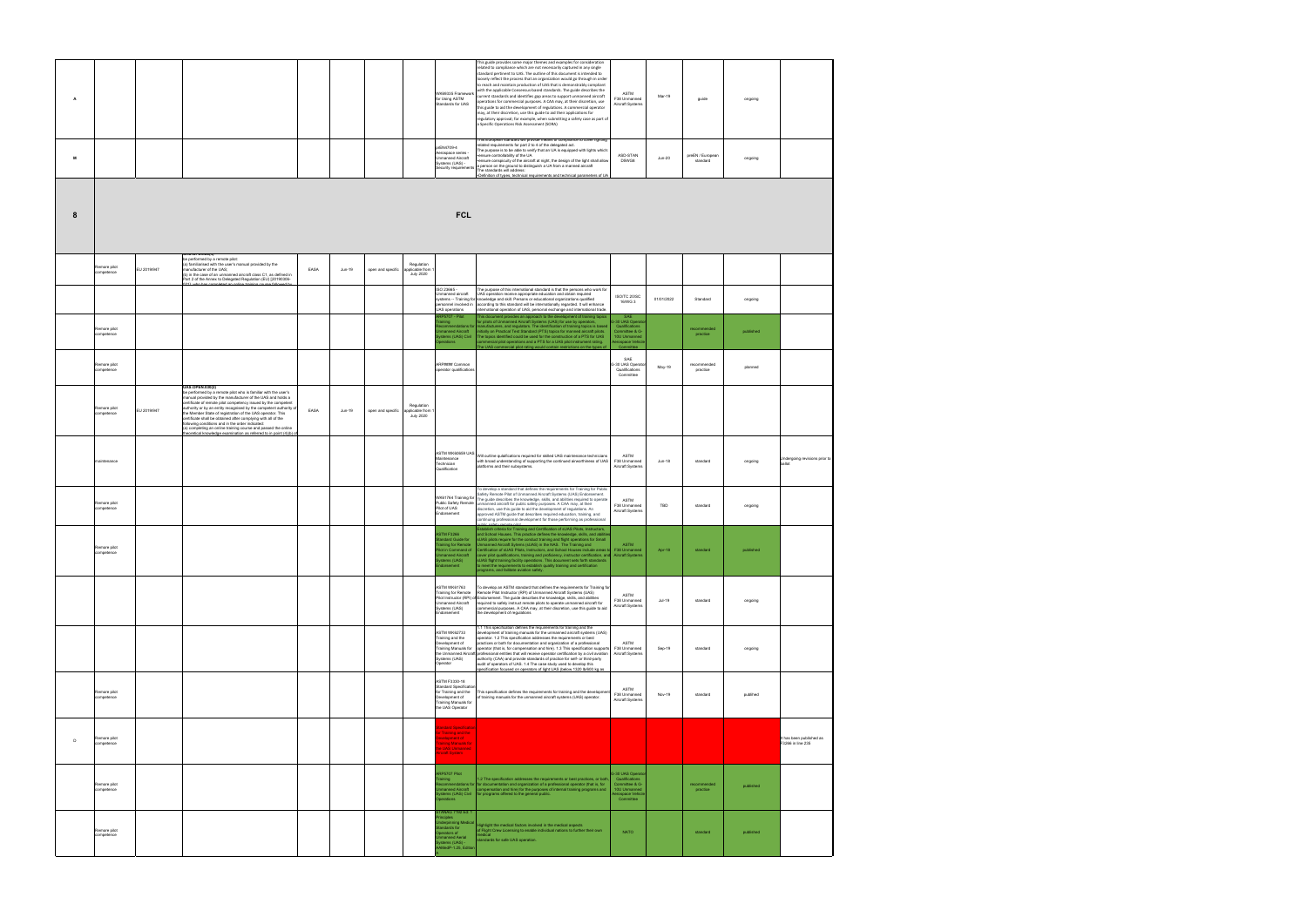| А |                            |             |                                                                                                                                                                                                                                                                                                                                                                                                                                                                                                                                                                                                 |      |        |                   |                                                   | WK69335 Framework<br>for Using ASTM<br>Standards for UAS                                                             | This guide provides some major themes and examples for consideration<br>related to compliance which are not necessarily captured in any single<br>standard pertinent to UAS. The outline of this document is intended to<br>loosely reflect the process that an organization would go through in order<br>to reach and maintain production of UAS that is demonstrably compliant<br>with the applicable Consensus-based standards. The guide describes the<br>ASTM<br>current standards and identifies gap areas to support unmanned aircraft<br>Mar-19<br>F38 Unmanned<br>operations for commercial purposes. A CAA may, at their discretion, use<br>Aircraft Systems<br>this guide to aid the development of regulations. A commercial operator<br>may, at their discretion, use this guide to aid their applications for<br>regulatory approval; for example, when submitting a safety case as part of<br>a Specific Operations Risk Assessment (SORA) | guide<br>ongoing                        |                                               |
|---|----------------------------|-------------|-------------------------------------------------------------------------------------------------------------------------------------------------------------------------------------------------------------------------------------------------------------------------------------------------------------------------------------------------------------------------------------------------------------------------------------------------------------------------------------------------------------------------------------------------------------------------------------------------|------|--------|-------------------|---------------------------------------------------|----------------------------------------------------------------------------------------------------------------------|-----------------------------------------------------------------------------------------------------------------------------------------------------------------------------------------------------------------------------------------------------------------------------------------------------------------------------------------------------------------------------------------------------------------------------------------------------------------------------------------------------------------------------------------------------------------------------------------------------------------------------------------------------------------------------------------------------------------------------------------------------------------------------------------------------------------------------------------------------------------------------------------------------------------------------------------------------------|-----------------------------------------|-----------------------------------------------|
| М |                            |             |                                                                                                                                                                                                                                                                                                                                                                                                                                                                                                                                                                                                 |      |        |                   |                                                   | prEN4709-4<br>erospace series -<br><b>Jnmanned Aircraft</b><br>Systems (UAS) -<br>Security requirements              | I his European standard will provide means of compliance to cover lighting<br>related requirements for part 2 to 4 of the delegated act.<br>The purpose is to be able to verify that an UA is equipped with lights which:<br>ensure controllability of the UA<br>ASD-STAN<br>$Jun-20$<br>ensure conspicuity of the aircraft at night, the design of the light shall allow<br>D5WG8<br>person on the ground to distinguish a UA from a manned aircraft<br>The standards will address:<br>Definition of types, technical requirements and technical parameters of UA                                                                                                                                                                                                                                                                                                                                                                                        | preEN / European<br>ongoing<br>standard |                                               |
| 8 |                            |             |                                                                                                                                                                                                                                                                                                                                                                                                                                                                                                                                                                                                 |      |        |                   |                                                   | <b>FCL</b>                                                                                                           |                                                                                                                                                                                                                                                                                                                                                                                                                                                                                                                                                                                                                                                                                                                                                                                                                                                                                                                                                           |                                         |                                               |
|   | Remore pilot<br>competence | EU 2019/947 | UAS.OPEN.2014<br>be performed by a remote pilot:<br>(a) familiarised with the user's manual provided by the<br>manufacturer of the UAS;<br>(b) in the case of an unmanned aircraft class C1, as defined in<br>Part 2 of the Annex to Delegated Regulation (EU) [20190306-                                                                                                                                                                                                                                                                                                                       | EASA | Jun-19 | open and specific | Regulation<br>applicable from<br><b>July 2020</b> |                                                                                                                      |                                                                                                                                                                                                                                                                                                                                                                                                                                                                                                                                                                                                                                                                                                                                                                                                                                                                                                                                                           |                                         |                                               |
|   |                            |             |                                                                                                                                                                                                                                                                                                                                                                                                                                                                                                                                                                                                 |      |        |                   |                                                   | ISO 23665 -<br>Jnmanned aircraft<br>JAS operations<br><b>P5707 - Pilot</b>                                           | The purpose of this international standard is that the persons who work for<br>UAS operation receive appropriate education and obtain required<br>ISO/TC 20/SC<br>01/01/2022<br>systems -- Training for knowledge and skill. Persons or educational organizations qualified<br>16/WG 3<br>personnel involved in according to this standard will be internationally regarded. It will enhance<br>international operation of UAS, personal exchange and international trade.<br>This document provides an approach to the development of training topics<br>SAE<br>3-30 UAS Opera<br>or pilots of Unmanned Aircraft Systems (UAS) for use by operators,                                                                                                                                                                                                                                                                                                     | Standard<br>ongoing                     |                                               |
|   | Remore pilot<br>competence |             |                                                                                                                                                                                                                                                                                                                                                                                                                                                                                                                                                                                                 |      |        |                   |                                                   | anned Aircraft<br>ems (UAS) Civil<br>erations                                                                        | ndations for manufacturers, and regulators. The identification of training topics is based<br>Qualifications<br>nitially on Practical Test Standard (PTS) topics for manned aircraft pilots.<br>Committee & G-<br>The topics identified could be used for the construction of a PTS for UAS<br>10U Unmanned<br>ommercial pilot operations and a PTS for a UAS pilot instrument rating.<br>erospace Vehick<br>The UAS commercial pilot rating would contain restrictions on the types of                                                                                                                                                                                                                                                                                                                                                                                                                                                                   | recommended<br>published<br>practice    |                                               |
|   | Remore pilot<br>competence |             | <b>UAS.OPEN.030(2)</b>                                                                                                                                                                                                                                                                                                                                                                                                                                                                                                                                                                          |      |        |                   |                                                   | ARP#### Common<br>perator qualifications                                                                             | SAF<br>G-30 UAS Operato<br>May-19<br>Qualifications<br>Committee                                                                                                                                                                                                                                                                                                                                                                                                                                                                                                                                                                                                                                                                                                                                                                                                                                                                                          | recommended<br>planned<br>practice      |                                               |
|   | Remore pilot<br>competence | EU 2019/947 | be performed by a remote pilot who is familiar with the user's<br>manual provided by the manufacturer of the UAS and holds a<br>certificate of remote pilot competency issued by the competent<br>authority or by an entity recognised by the competent authority of<br>the Member State of registration of the UAS operator. This<br>certificate shall be obtained after complying with all of the<br>following conditions and in the order indicated:<br>(a) completing an online training course and passed the online<br>theoretical knowledge examination as referred to in point (4)(b) ( | EASA | Jun-19 | open and specific | Regulation<br>applicable from<br><b>July 2020</b> |                                                                                                                      |                                                                                                                                                                                                                                                                                                                                                                                                                                                                                                                                                                                                                                                                                                                                                                                                                                                                                                                                                           |                                         |                                               |
|   | maintenance                |             |                                                                                                                                                                                                                                                                                                                                                                                                                                                                                                                                                                                                 |      |        |                   |                                                   | ASTM WK60659 UAS<br>Maintenance<br>Technician<br>Qualification                                                       | ASTM<br>Will outline gulaifications required for skilled UAS maintenance technicians<br>F38 Unmanned<br>with broad understanding of supporting the continued airworthiness of UAS<br>Jun-18<br>latforms and their subsystems<br>Aircraft Systems                                                                                                                                                                                                                                                                                                                                                                                                                                                                                                                                                                                                                                                                                                          | standard<br>ongoing                     | Undergoing revisions prior to                 |
|   | temore pilot<br>competence |             |                                                                                                                                                                                                                                                                                                                                                                                                                                                                                                                                                                                                 |      |        |                   |                                                   | Public Safety Remote<br>Pilot of UAS<br>Endorsement                                                                  | To develop a standard that defines the requirements for Training for Public<br>Safety Remote Pilot of Unmanned Aircraft Systems (UAS) Endorsement.<br>WK61764 Training for The guide describes the knowledge, skills, and abilities required to operate<br>ASTM<br>unmanned aircraft for public safety purposes. A CAA may, at their<br>F38 Unmanned<br>TBD<br>discretion, use this guide to aid the development of regulations. An<br>Aircraft Systems<br>approved ASTM guide that describes required education, training, and<br>continuing professional development for those performing as professional                                                                                                                                                                                                                                                                                                                                               | standard<br>ongoing                     |                                               |
|   | Remore pilot<br>competence |             |                                                                                                                                                                                                                                                                                                                                                                                                                                                                                                                                                                                                 |      |        |                   |                                                   | <b>ASTM F3266</b><br>tandard Guide for<br>nmanned Aircraft<br>stems (UAS)<br>dorsement                               | Establish criteria for Training and Certification of sUAS Pilots, Instructors,<br>and School Houses. This practice defines the knowledge, skills, and abiliti<br>sUAS pilots require for the conduct training and flight operations for Small<br>aining for Remote Unmanned Aircraft Sytems (sUAS) in the NAS. The Training and<br><b>ASTM</b><br>lot in Command of Certification of sUAS Pilots, Instructors, and School Houses include areas to F38 Unmanned<br>Apr-18<br>cover pilot qualifications, training and proficiency, instructor certification, and Aircraft Systems<br>sUAS flight training facility operations. This document sets forth standards<br>to meet the requirements to establish quality training and certification<br>programs, and failitate aviation safety.                                                                                                                                                                  | standard<br>published                   |                                               |
|   |                            |             |                                                                                                                                                                                                                                                                                                                                                                                                                                                                                                                                                                                                 |      |        |                   |                                                   | ASTM WK61763<br><b>Unmanned Aircraft</b><br>Systems (UAS)<br>Endorsement                                             | To develop an ASTM standard that defines the requirements for Training for<br>Training for Remote Remote Pilot Instructor (RPI) of Unmanned Aircraft Systems (UAS)<br>ASTM<br>Pilot Instructor (RPI) of Endorsement. The guide describes the knowledge, skills, and abilities<br>F38 Unmanned<br>Jul-19<br>required to safely instruct remote pilots to operate unmanned aircraft for<br>Aircraft Systems<br>commercial purposes. A CAA may, at their discretion, use this guide to aid<br>the development of regulations                                                                                                                                                                                                                                                                                                                                                                                                                                 | standard<br>ongoing                     |                                               |
|   |                            |             |                                                                                                                                                                                                                                                                                                                                                                                                                                                                                                                                                                                                 |      |        |                   |                                                   | <b>ASTM WK62733</b><br>Training and the<br>Development of<br>Systems (UAS)<br>Operator                               | 1.1 This specification defines the requirements for training and the<br>development of training manuals for the unmanned aircraft systems (UAS)<br>operator. 1.2 This specification addresses the requirements or best<br>practices or both for documentation and organization of a professional<br>ASTM<br>F38 Unmanned<br>Training Manuals for operator (that is, for compensation and hire). 1.3 This specification supports<br>Sep-19<br>the Unmanned Aircraft professional entities that will receive operator certification by a civil aviation<br>Aircraft Systems<br>authority (CAA) and provide standards of practice for self- or third-party<br>audit of operators of UAS. 1.4 The case study used to develop this<br>specification focused on operators of light UAS (below 1320 lb/600 kg as                                                                                                                                                 | standard<br>ongoing                     |                                               |
|   | Remore pilot<br>competence |             |                                                                                                                                                                                                                                                                                                                                                                                                                                                                                                                                                                                                 |      |        |                   |                                                   | <b>ASTM F3330-18</b><br><b>Standard Specification</b><br>Development of<br>Training Manuals for<br>the UAS Operator  | ASTM<br>for Training and the This specification defines the requirements for training and the developmer<br>F38 Unmanned<br>Nov-19<br>of training manuals for the unmanned aircraft systems (UAS) operator.<br>Aircraft Systems                                                                                                                                                                                                                                                                                                                                                                                                                                                                                                                                                                                                                                                                                                                           | standard<br>publihed                    |                                               |
| D | Remore pilot<br>competence |             |                                                                                                                                                                                                                                                                                                                                                                                                                                                                                                                                                                                                 |      |        |                   |                                                   | andard Specification<br>r Training and the<br>evelopment of<br>aining Manuals for<br>e UAS Unmanned<br>rcraft System |                                                                                                                                                                                                                                                                                                                                                                                                                                                                                                                                                                                                                                                                                                                                                                                                                                                                                                                                                           |                                         | It has been published as<br>F3266 in line 235 |
|   | Remore pilot<br>competence |             |                                                                                                                                                                                                                                                                                                                                                                                                                                                                                                                                                                                                 |      |        |                   |                                                   | <b>ARP5707 Pilot</b><br>aining<br>anned Aircraft<br>perations<br>TANAG 7192 Ed: 1                                    | 3-30 UAS Operato<br>1.2 The specification addresses the requirements or best practices, or both,<br>Qualifications<br>ndations for for documentation and organization of a professional operator (that is, for<br>Committee & G-<br>compensation and hire) for the purposes of internal training programs and<br>10U Unmanned<br>stems (UAS) Civil for programs offered to the general public.<br>erospace Vehicle<br>Committee                                                                                                                                                                                                                                                                                                                                                                                                                                                                                                                           | recommended<br>published<br>practice    |                                               |
|   | Remore pilot<br>competence |             |                                                                                                                                                                                                                                                                                                                                                                                                                                                                                                                                                                                                 |      |        |                   |                                                   | inciples<br>derpinning Medical<br>andards for<br>perators of<br>manned Aerial<br>stems (UAS) -<br>MedP-1.25, Edition | lighlight the medical factors involved in the medical aspects<br>of Flight Crew Licensing to enable individual nations to further their own<br><b>NATO</b><br>tandards for safe UAS operation.                                                                                                                                                                                                                                                                                                                                                                                                                                                                                                                                                                                                                                                                                                                                                            | published<br>standard                   |                                               |